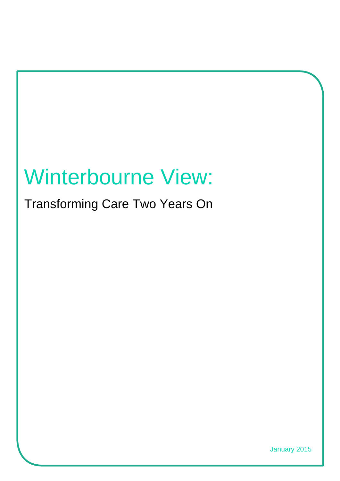# Winterbourne View:

Transforming Care Two Years On

January 2015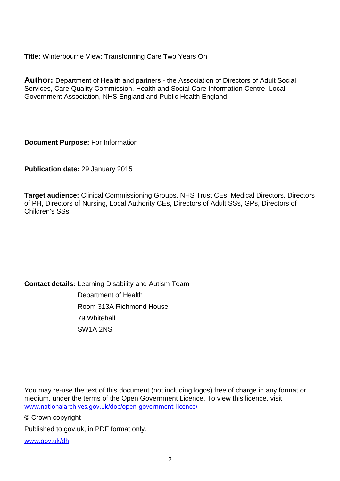**Title:** Winterbourne View: Transforming Care Two Years On

**Author:** Department of Health and partners - the Association of Directors of Adult Social Services, Care Quality Commission, Health and Social Care Information Centre, Local Government Association, NHS England and Public Health England

**Document Purpose:** For Information

**Publication date:** 29 January 2015

**Target audience:** Clinical Commissioning Groups, NHS Trust CEs, Medical Directors, Directors of PH, Directors of Nursing, Local Authority CEs, Directors of Adult SSs, GPs, Directors of Children's SSs

**Contact details:** Learning Disability and Autism Team Department of Health Room 313A Richmond House 79 Whitehall SW1A 2NS

You may re-use the text of this document (not including logos) free of charge in any format or medium, under the terms of the Open Government Licence. To view this licence, visit [www.nationalarchives.gov.uk/doc/open-government-licence/](http://www.nationalarchives.gov.uk/doc/open-government-licence/)

© Crown copyright

<span id="page-1-0"></span>Published to gov.uk, in PDF format only.

[www.gov.uk/dh](http://www.gov.uk/dh)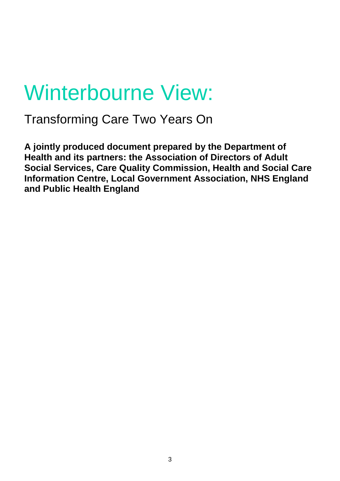# Winterbourne View:

Transforming Care Two Years On

**A jointly produced document prepared by the Department of Health and its partners: the Association of Directors of Adult Social Services, Care Quality Commission, Health and Social Care Information Centre, Local Government Association, NHS England and Public Health England**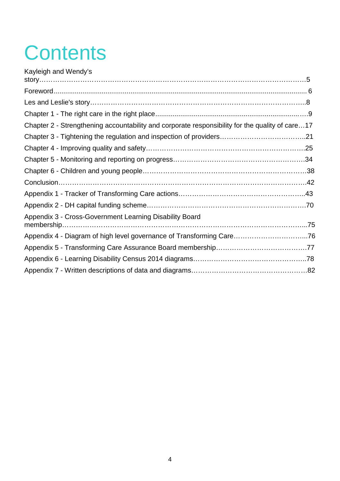# **Contents**

| Kayleigh and Wendy's                                                                            |  |
|-------------------------------------------------------------------------------------------------|--|
|                                                                                                 |  |
|                                                                                                 |  |
|                                                                                                 |  |
|                                                                                                 |  |
| Chapter 2 - Strengthening accountability and corporate responsibility for the quality of care17 |  |
|                                                                                                 |  |
|                                                                                                 |  |
|                                                                                                 |  |
|                                                                                                 |  |
|                                                                                                 |  |
|                                                                                                 |  |
|                                                                                                 |  |
| Appendix 3 - Cross-Government Learning Disability Board                                         |  |
| Appendix 4 - Diagram of high level governance of Transforming Care76                            |  |
|                                                                                                 |  |
|                                                                                                 |  |
|                                                                                                 |  |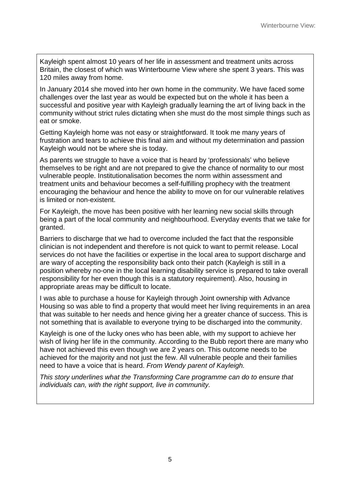Kayleigh spent almost 10 years of her life in assessment and treatment units across Britain, the closest of which was Winterbourne View where she spent 3 years. This was 120 miles away from home.

In January 2014 she moved into her own home in the community. We have faced some challenges over the last year as would be expected but on the whole it has been a successful and positive year with Kayleigh gradually learning the art of living back in the community without strict rules dictating when she must do the most simple things such as eat or smoke.

Getting Kayleigh home was not easy or straightforward. It took me many years of frustration and tears to achieve this final aim and without my determination and passion Kayleigh would not be where she is today.

As parents we struggle to have a voice that is heard by 'professionals' who believe themselves to be right and are not prepared to give the chance of normality to our most vulnerable people. Institutionalisation becomes the norm within assessment and treatment units and behaviour becomes a self-fulfilling prophecy with the treatment encouraging the behaviour and hence the ability to move on for our vulnerable relatives is limited or non-existent.

For Kayleigh, the move has been positive with her learning new social skills through being a part of the local community and neighbourhood. Everyday events that we take for granted.

Barriers to discharge that we had to overcome included the fact that the responsible clinician is not independent and therefore is not quick to want to permit release. Local services do not have the facilities or expertise in the local area to support discharge and are wary of accepting the responsibility back onto their patch (Kayleigh is still in a position whereby no-one in the local learning disability service is prepared to take overall responsibility for her even though this is a statutory requirement). Also, housing in appropriate areas may be difficult to locate.

I was able to purchase a house for Kayleigh through Joint ownership with Advance Housing so was able to find a property that would meet her living requirements in an area that was suitable to her needs and hence giving her a greater chance of success. This is not something that is available to everyone trying to be discharged into the community.

Kayleigh is one of the lucky ones who has been able, with my support to achieve her wish of living her life in the community. According to the Bubb report there are many who have not achieved this even though we are 2 years on. This outcome needs to be achieved for the majority and not just the few. All vulnerable people and their families need to have a voice that is heard. *From Wendy parent of Kayleigh.*

*This story underlines what the Transforming Care programme can do to ensure that individuals can, with the right support, live in community.*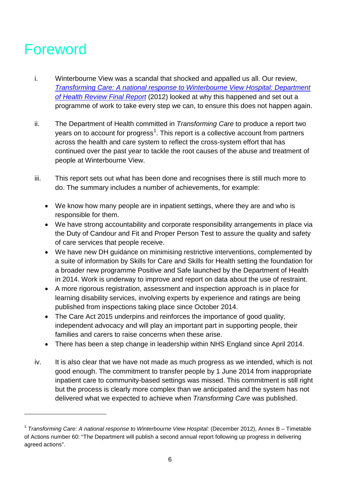# Foreword

- i. Winterbourne View was a scandal that shocked and appalled us all. Our review, *[Transforming Care: A national response to Winterbourne View Hospital: Department](https://www.gov.uk/government/uploads/system/uploads/attachment_data/file/213215/final-report.pdf)  [of Health Review Final Report](https://www.gov.uk/government/uploads/system/uploads/attachment_data/file/213215/final-report.pdf)* (2012) looked at why this happened and set out a programme of work to take every step we can, to ensure this does not happen again.
- ii. The Department of Health committed in *Transforming Care* to produce a report two years on to account for progress<sup>[1](#page-1-0)</sup>. This report is a collective account from partners across the health and care system to reflect the cross-system effort that has continued over the past year to tackle the root causes of the abuse and treatment of people at Winterbourne View.
- iii. This report sets out what has been done and recognises there is still much more to do. The summary includes a number of achievements, for example:
	- We know how many people are in inpatient settings, where they are and who is responsible for them.
	- We have strong accountability and corporate responsibility arrangements in place via the Duty of Candour and Fit and Proper Person Test to assure the quality and safety of care services that people receive.
	- We have new DH guidance on minimising restrictive interventions, complemented by a suite of information by Skills for Care and Skills for Health setting the foundation for a broader new programme Positive and Safe launched by the Department of Health in 2014. Work is underway to improve and report on data about the use of restraint.
	- A more rigorous registration, assessment and inspection approach is in place for learning disability services, involving experts by experience and ratings are being published from inspections taking place since October 2014.
	- The Care Act 2015 underpins and reinforces the importance of good quality, independent advocacy and will play an important part in supporting people, their families and carers to raise concerns when these arise.
	- There has been a step change in leadership within NHS England since April 2014.
- iv. It is also clear that we have not made as much progress as we intended, which is not good enough. The commitment to transfer people by 1 June 2014 from inappropriate inpatient care to community-based settings was missed. This commitment is still right but the process is clearly more complex than we anticipated and the system has not delivered what we expected to achieve when *Transforming Care* was published.

<span id="page-5-0"></span><sup>1</sup> *Transforming Care: A national response to Winterbourne View Hospital:* (December 2012), Annex B – Timetable of Actions number 60: "The Department will publish a second annual report following up progress in delivering agreed actions".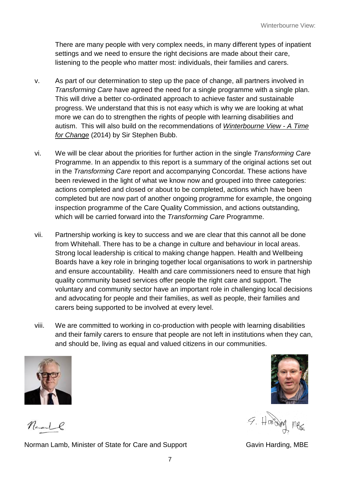There are many people with very complex needs, in many different types of inpatient settings and we need to ensure the right decisions are made about their care, listening to the people who matter most: individuals, their families and carers.

- v. As part of our determination to step up the pace of change, all partners involved in *Transforming Care* have agreed the need for a single programme with a single plan. This will drive a better co-ordinated approach to achieve faster and sustainable progress. We understand that this is not easy which is why we are looking at what more we can do to strengthen the rights of people with learning disabilities and autism. This will also build on the recommendations of *[Winterbourne View - A Time](http://www.england.nhs.uk/wp-content/uploads/2014/11/transforming-commissioning-services.pdf)  [for Change](http://www.england.nhs.uk/wp-content/uploads/2014/11/transforming-commissioning-services.pdf)* (2014) by Sir Stephen Bubb.
- vi. We will be clear about the priorities for further action in the single *Transforming Care* Programme. In an appendix to this report is a summary of the original actions set out in the *Transforming Care* report and accompanying Concordat. These actions have been reviewed in the light of what we know now and grouped into three categories: actions completed and closed or about to be completed, actions which have been completed but are now part of another ongoing programme for example, the ongoing inspection programme of the Care Quality Commission, and actions outstanding, which will be carried forward into the *Transforming Care* Programme.
- vii. Partnership working is key to success and we are clear that this cannot all be done from Whitehall. There has to be a change in culture and behaviour in local areas. Strong local leadership is critical to making change happen. Health and Wellbeing Boards have a key role in bringing together local organisations to work in partnership and ensure accountability. Health and care commissioners need to ensure that high quality community based services offer people the right care and support. The voluntary and community sector have an important role in challenging local decisions and advocating for people and their families, as well as people, their families and carers being supported to be involved at every level.
- viii. We are committed to working in co-production with people with learning disabilities and their family carers to ensure that people are not left in institutions when they can, and should be, living as equal and valued citizens in our communities.



Naall

Norman Lamb, Minister of State for Care and Support Gavin Harding, MBE



9. Horsing mes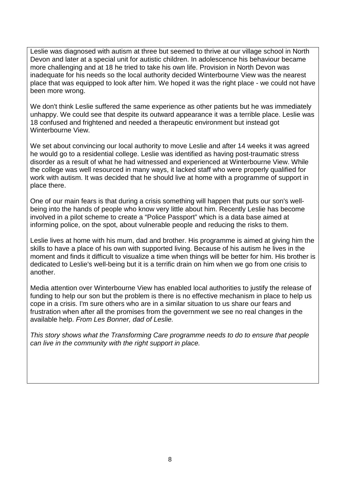Leslie was diagnosed with autism at three but seemed to thrive at our village school in North Devon and later at a special unit for autistic children. In adolescence his behaviour became more challenging and at 18 he tried to take his own life. Provision in North Devon was inadequate for his needs so the local authority decided Winterbourne View was the nearest place that was equipped to look after him. We hoped it was the right place - we could not have been more wrong.

We don't think Leslie suffered the same experience as other patients but he was immediately unhappy. We could see that despite its outward appearance it was a terrible place. Leslie was 18 confused and frightened and needed a therapeutic environment but instead got Winterbourne View.

We set about convincing our local authority to move Leslie and after 14 weeks it was agreed he would go to a residential college. Leslie was identified as having post-traumatic stress disorder as a result of what he had witnessed and experienced at Winterbourne View. While the college was well resourced in many ways, it lacked staff who were properly qualified for work with autism. It was decided that he should live at home with a programme of support in place there.

One of our main fears is that during a crisis something will happen that puts our son's wellbeing into the hands of people who know very little about him. Recently Leslie has become involved in a pilot scheme to create a "Police Passport" which is a data base aimed at informing police, on the spot, about vulnerable people and reducing the risks to them.

Leslie lives at home with his mum, dad and brother. His programme is aimed at giving him the skills to have a place of his own with supported living. Because of his autism he lives in the moment and finds it difficult to visualize a time when things will be better for him. His brother is dedicated to Leslie's well-being but it is a terrific drain on him when we go from one crisis to another.

Media attention over Winterbourne View has enabled local authorities to justify the release of funding to help our son but the problem is there is no effective mechanism in place to help us cope in a crisis. I'm sure others who are in a similar situation to us share our fears and frustration when after all the promises from the government we see no real changes in the available help. *From Les Bonner, dad of Leslie.* 

*This story shows what the Transforming Care programme needs to do to ensure that people can live in the community with the right support in place.*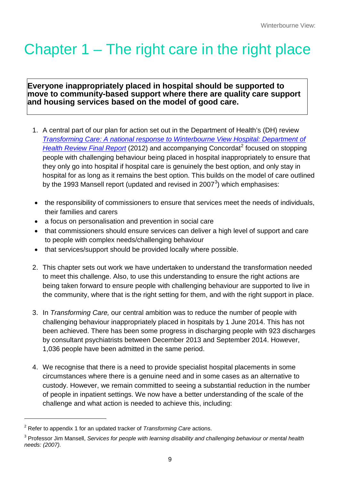# Chapter 1 – The right care in the right place

#### **Everyone inappropriately placed in hospital should be supported to move to community-based support where there are quality care support and housing services based on the model of good care.**

- 1. A central part of our plan for action set out in the Department of Health's (DH) review *[Transforming Care: A national response to Winterbourne View Hospital: Department of](https://www.gov.uk/government/uploads/system/uploads/attachment_data/file/213215/final-report.pdf)  [Health Review Final Report](https://www.gov.uk/government/uploads/system/uploads/attachment_data/file/213215/final-report.pdf)* ([2](#page-5-0)012) and accompanying Concordat<sup>2</sup> focused on stopping people with challenging behaviour being placed in hospital inappropriately to ensure that they only go into hospital if hospital care is genuinely the best option, and only stay in hospital for as long as it remains the best option. This builds on the model of care outlined by the 199[3](#page-8-0) Mansell report (updated and revised in 2007 $^3$ ) which emphasises:
- the responsibility of commissioners to ensure that services meet the needs of individuals, their families and carers
- a focus on personalisation and prevention in social care
- that commissioners should ensure services can deliver a high level of support and care to people with complex needs/challenging behaviour
- that services/support should be provided locally where possible.
- 2. This chapter sets out work we have undertaken to understand the transformation needed to meet this challenge. Also, to use this understanding to ensure the right actions are being taken forward to ensure people with challenging behaviour are supported to live in the community, where that is the right setting for them, and with the right support in place.
- 3. In *Transforming Care,* our central ambition was to reduce the number of people with challenging behaviour inappropriately placed in hospitals by 1 June 2014. This has not been achieved. There has been some progress in discharging people with 923 discharges by consultant psychiatrists between December 2013 and September 2014. However, 1,036 people have been admitted in the same period.
- 4. We recognise that there is a need to provide specialist hospital placements in some circumstances where there is a genuine need and in some cases as an alternative to custody. However, we remain committed to seeing a substantial reduction in the number of people in inpatient settings. We now have a better understanding of the scale of the challenge and what action is needed to achieve this, including:

<sup>2</sup> Refer to appendix 1 for an updated tracker of *Transforming Care* actions.

<span id="page-8-1"></span><span id="page-8-0"></span><sup>3</sup> Professor Jim Mansell, *Services for people with learning disability and challenging behaviour or mental health needs: (2007).*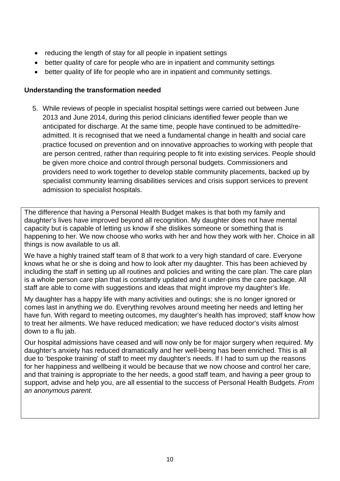- reducing the length of stay for all people in inpatient settings
- better quality of care for people who are in inpatient and community settings
- better quality of life for people who are in inpatient and community settings.

#### **Understanding the transformation needed**

5. While reviews of people in specialist hospital settings were carried out between June 2013 and June 2014, during this period clinicians identified fewer people than we anticipated for discharge. At the same time, people have continued to be admitted/readmitted. It is recognised that we need a fundamental change in health and social care practice focused on prevention and on innovative approaches to working with people that are person centred, rather than requiring people to fit into existing services. People should be given more choice and control through personal budgets. Commissioners and providers need to work together to develop stable community placements, backed up by specialist community learning disabilities services and crisis support services to prevent admission to specialist hospitals.

The difference that having a Personal Health Budget makes is that both my family and daughter's lives have improved beyond all recognition. My daughter does not have mental capacity but is capable of letting us know if she dislikes someone or something that is happening to her. We now choose who works with her and how they work with her. Choice in all things is now available to us all.

We have a highly trained staff team of 8 that work to a very high standard of care. Everyone knows what he or she is doing and how to look after my daughter. This has been achieved by including the staff in setting up all routines and policies and writing the care plan. The care plan is a whole person care plan that is constantly updated and it under-pins the care package. All staff are able to come with suggestions and ideas that might improve my daughter's life.

My daughter has a happy life with many activities and outings; she is no longer ignored or comes last in anything we do. Everything revolves around meeting her needs and letting her have fun. With regard to meeting outcomes, my daughter's health has improved; staff know how to treat her ailments. We have reduced medication; we have reduced doctor's visits almost down to a flu jab.

Our hospital admissions have ceased and will now only be for major surgery when required. My daughter's anxiety has reduced dramatically and her well-being has been enriched. This is all due to 'bespoke training' of staff to meet my daughter's needs. If I had to sum up the reasons for her happiness and wellbeing it would be because that we now choose and control her care, and that training is appropriate to the her needs, a good staff team, and having a peer group to support, advise and help you, are all essential to the success of Personal Health Budgets. *From an anonymous parent.*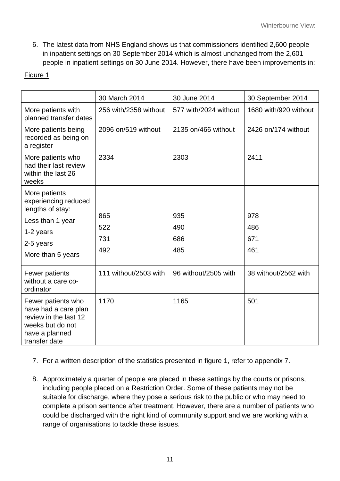6. The latest data from NHS England shows us that commissioners identified 2,600 people in inpatient settings on 30 September 2014 which is almost unchanged from the 2,601 people in inpatient settings on 30 June 2014. However, there have been improvements in:

## Figure 1

|                                                                                                                            | 30 March 2014         | 30 June 2014          | 30 September 2014     |
|----------------------------------------------------------------------------------------------------------------------------|-----------------------|-----------------------|-----------------------|
| More patients with<br>planned transfer dates                                                                               | 256 with/2358 without | 577 with/2024 without | 1680 with/920 without |
| More patients being<br>recorded as being on<br>a register                                                                  | 2096 on/519 without   | 2135 on/466 without   | 2426 on/174 without   |
| More patients who<br>had their last review<br>within the last 26<br>weeks                                                  | 2334                  | 2303                  | 2411                  |
| More patients<br>experiencing reduced<br>lengths of stay:                                                                  |                       |                       |                       |
| Less than 1 year                                                                                                           | 865                   | 935                   | 978                   |
| 1-2 years                                                                                                                  | 522                   | 490                   | 486                   |
| 2-5 years                                                                                                                  | 731                   | 686                   | 671                   |
| More than 5 years                                                                                                          | 492                   | 485                   | 461                   |
| Fewer patients<br>without a care co-<br>ordinator                                                                          | 111 without/2503 with | 96 without/2505 with  | 38 without/2562 with  |
| Fewer patients who<br>have had a care plan<br>review in the last 12<br>weeks but do not<br>have a planned<br>transfer date | 1170                  | 1165                  | 501                   |

- 7. For a written description of the statistics presented in figure 1, refer to appendix 7.
- 8. Approximately a quarter of people are placed in these settings by the courts or prisons, including people placed on a Restriction Order. Some of these patients may not be suitable for discharge, where they pose a serious risk to the public or who may need to complete a prison sentence after treatment. However, there are a number of patients who could be discharged with the right kind of community support and we are working with a range of organisations to tackle these issues.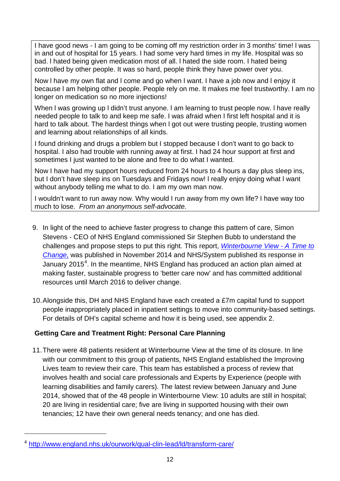I have good news - I am going to be coming off my restriction order in 3 months' time! l was in and out of hospital for 15 years. I had some very hard times in my life. Hospital was so bad. l hated being given medication most of all. l hated the side room. I hated being controlled by other people. It was so hard, people think they have power over you.

Now l have my own flat and l come and go when l want. I have a job now and l enjoy it because l am helping other people. People rely on me. It makes me feel trustworthy. I am no longer on medication so no more injections!

When I was growing up I didn't trust anyone. I am learning to trust people now. I have really needed people to talk to and keep me safe. I was afraid when I first left hospital and it is hard to talk about. The hardest things when l got out were trusting people, trusting women and learning about relationships of all kinds.

I found drinking and drugs a problem but I stopped because I don't want to go back to hospital. I also had trouble with running away at first. I had 24 hour support at first and sometimes I just wanted to be alone and free to do what I wanted.

Now I have had my support hours reduced from 24 hours to 4 hours a day plus sleep ins, but I don't have sleep ins on Tuesdays and Fridays now! l really enjoy doing what l want without anybody telling me what to do. I am my own man now.

I wouldn't want to run away now. Why would I run away from my own life? I have way too much to lose. *From an anonymous self-advocate.*

- 9. In light of the need to achieve faster progress to change this pattern of care, Simon Stevens - CEO of NHS England commissioned Sir Stephen Bubb to understand the challenges and propose steps to put this right. This report, *[Winterbourne View -](http://www.england.nhs.uk/wp-content/uploads/2014/11/transforming-commissioning-services.pdf) A Time to [Change](http://www.england.nhs.uk/wp-content/uploads/2014/11/transforming-commissioning-services.pdf)*, was published in November 2014 and NHS/System published its response in January 2015<sup>[4](#page-8-1)</sup>. In the meantime, NHS England has produced an action plan aimed at making faster, sustainable progress to 'better care now' and has committed additional resources until March 2016 to deliver change.
- 10.Alongside this, DH and NHS England have each created a £7m capital fund to support people inappropriately placed in inpatient settings to move into community-based settings. For details of DH's capital scheme and how it is being used, see appendix 2.

### **Getting Care and Treatment Right: Personal Care Planning**

11.There were 48 patients resident at Winterbourne View at the time of its closure. In line with our commitment to this group of patients, NHS England established the Improving Lives team to review their care. This team has established a process of review that involves health and social care professionals and Experts by Experience (people with learning disabilities and family carers). The latest review between January and June 2014, showed that of the 48 people in Winterbourne View: 10 adults are still in hospital; 20 are living in residential care; five are living in supported housing with their own tenancies; 12 have their own general needs tenancy; and one has died.

<span id="page-11-0"></span><sup>4</sup> <http://www.england.nhs.uk/ourwork/qual-clin-lead/ld/transform-care/>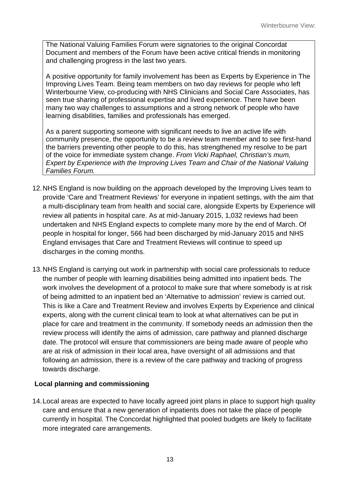The National Valuing Families Forum were signatories to the original Concordat Document and members of the Forum have been active critical friends in monitoring and challenging progress in the last two years.

A positive opportunity for family involvement has been as Experts by Experience in The Improving Lives Team. Being team members on two day reviews for people who left Winterbourne View, co-producing with NHS Clinicians and Social Care Associates, has seen true sharing of professional expertise and lived experience. There have been many two way challenges to assumptions and a strong network of people who have learning disabilities, families and professionals has emerged.

As a parent supporting someone with significant needs to live an active life with community presence, the opportunity to be a review team member and to see first-hand the barriers preventing other people to do this, has strengthened my resolve to be part of the voice for immediate system change. *From Vicki Raphael, Christian's mum, Expert by Experience with the Improving Lives Team and Chair of the National Valuing Families Forum.*

- 12.NHS England is now building on the approach developed by the Improving Lives team to provide 'Care and Treatment Reviews' for everyone in inpatient settings, with the aim that a multi-disciplinary team from health and social care, alongside Experts by Experience will review all patients in hospital care. As at mid-January 2015, 1,032 reviews had been undertaken and NHS England expects to complete many more by the end of March. Of people in hospital for longer, 566 had been discharged by mid-January 2015 and NHS England envisages that Care and Treatment Reviews will continue to speed up discharges in the coming months.
- 13.NHS England is carrying out work in partnership with social care professionals to reduce the number of people with learning disabilities being admitted into inpatient beds. The work involves the development of a protocol to make sure that where somebody is at risk of being admitted to an inpatient bed an 'Alternative to admission' review is carried out. This is like a Care and Treatment Review and involves Experts by Experience and clinical experts, along with the current clinical team to look at what alternatives can be put in place for care and treatment in the community. If somebody needs an admission then the review process will identify the aims of admission, care pathway and planned discharge date. The protocol will ensure that commissioners are being made aware of people who are at risk of admission in their local area, have oversight of all admissions and that following an admission, there is a review of the care pathway and tracking of progress towards discharge.

#### **Local planning and commissioning**

14.Local areas are expected to have locally agreed joint plans in place to support high quality care and ensure that a new generation of inpatients does not take the place of people currently in hospital. The Concordat highlighted that pooled budgets are likely to facilitate more integrated care arrangements.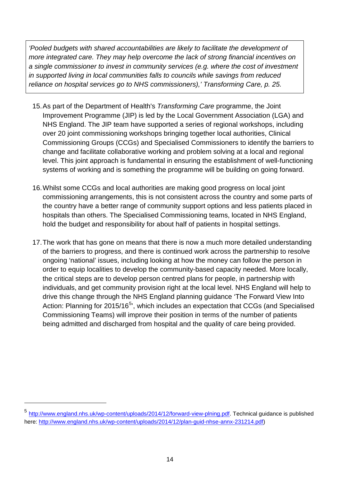*'Pooled budgets with shared accountabilities are likely to facilitate the development of more integrated care. They may help overcome the lack of strong financial incentives on a single commissioner to invest in community services (e.g. where the cost of investment in supported living in local communities falls to councils while savings from reduced reliance on hospital services go to NHS commissioners),' Transforming Care, p. 25.*

- 15.As part of the Department of Health's *Transforming Care* programme, the Joint Improvement Programme (JIP) is led by the Local Government Association (LGA) and NHS England. The JIP team have supported a series of regional workshops, including over 20 joint commissioning workshops bringing together local authorities, Clinical Commissioning Groups (CCGs) and Specialised Commissioners to identify the barriers to change and facilitate collaborative working and problem solving at a local and regional level. This joint approach is fundamental in ensuring the establishment of well-functioning systems of working and is something the programme will be building on going forward.
- 16.Whilst some CCGs and local authorities are making good progress on local joint commissioning arrangements, this is not consistent across the country and some parts of the country have a better range of community support options and less patients placed in hospitals than others. The Specialised Commissioning teams, located in NHS England, hold the budget and responsibility for about half of patients in hospital settings.
- 17.The work that has gone on means that there is now a much more detailed understanding of the barriers to progress, and there is continued work across the partnership to resolve ongoing 'national' issues, including looking at how the money can follow the person in order to equip localities to develop the community-based capacity needed. More locally, the critical steps are to develop person centred plans for people, in partnership with individuals, and get community provision right at the local level. NHS England will help to drive this change through the NHS England planning guidance 'The Forward View Into Action: Planning for 201[5](#page-11-0)/16<sup>5</sup>', which includes an expectation that CCGs (and Specialised Commissioning Teams) will improve their position in terms of the number of patients being admitted and discharged from hospital and the quality of care being provided.

<span id="page-13-0"></span><sup>5</sup> [http://www.england.nhs.uk/wp-content/uploads/2014/12/forward-view-plning.pdf.](http://www.england.nhs.uk/wp-content/uploads/2014/12/forward-view-plning.pdf) Technical guidance is published here: [http://www.england.nhs.uk/wp-content/uploads/2014/12/plan-guid-nhse-annx-231214.pdf\)](http://www.england.nhs.uk/wp-content/uploads/2014/12/plan-guid-nhse-annx-231214.pdf)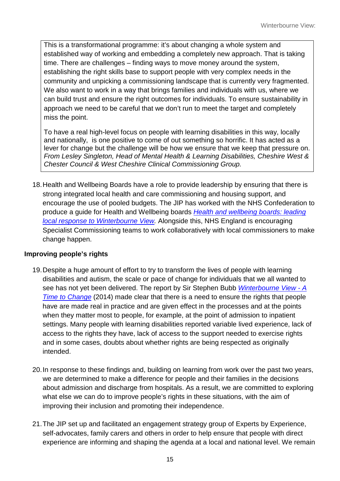This is a transformational programme: it's about changing a whole system and established way of working and embedding a completely new approach. That is taking time. There are challenges – finding ways to move money around the system, establishing the right skills base to support people with very complex needs in the community and unpicking a commissioning landscape that is currently very fragmented. We also want to work in a way that brings families and individuals with us, where we can build trust and ensure the right outcomes for individuals. To ensure sustainability in approach we need to be careful that we don't run to meet the target and completely miss the point.

To have a real high-level focus on people with learning disabilities in this way, locally and nationally, is one positive to come of out something so horrific. It has acted as a lever for change but the challenge will be how we ensure that we keep that pressure on. *From Lesley Singleton, Head of Mental Health & Learning Disabilities, Cheshire West & Chester Council & West Cheshire Clinical Commissioning Group.*

18.Health and Wellbeing Boards have a role to provide leadership by ensuring that there is strong integrated local health and care commissioning and housing support, and encourage the use of pooled budgets. The JIP has worked with the NHS Confederation to produce a guide for Health and Wellbeing boards *[Health and wellbeing boards: leading](http://www.nhsconfed.org/resources/2014/07/health-and-wellbeing-boards-leading-local-response-to-winterbourne-view)  [local response to Winterbourne View.](http://www.nhsconfed.org/resources/2014/07/health-and-wellbeing-boards-leading-local-response-to-winterbourne-view)* Alongside this, NHS England is encouraging Specialist Commissioning teams to work collaboratively with local commissioners to make change happen.

#### **Improving people's rights**

- 19.Despite a huge amount of effort to try to transform the lives of people with learning disabilities and autism, the scale or pace of change for individuals that we all wanted to see has not yet been delivered. The report by Sir Stephen Bubb *[Winterbourne View -](http://www.england.nhs.uk/wp-content/uploads/2014/11/transforming-commissioning-services.pdf) A [Time to Change](http://www.england.nhs.uk/wp-content/uploads/2014/11/transforming-commissioning-services.pdf)* (2014) made clear that there is a need to ensure the rights that people have are made real in practice and are given effect in the processes and at the points when they matter most to people, for example, at the point of admission to inpatient settings. Many people with learning disabilities reported variable lived experience, lack of access to the rights they have, lack of access to the support needed to exercise rights and in some cases, doubts about whether rights are being respected as originally intended.
- 20.In response to these findings and, building on learning from work over the past two years, we are determined to make a difference for people and their families in the decisions about admission and discharge from hospitals. As a result, we are committed to exploring what else we can do to improve people's rights in these situations, with the aim of improving their inclusion and promoting their independence.
- 21.The JIP set up and facilitated an engagement strategy group of Experts by Experience, self-advocates, family carers and others in order to help ensure that people with direct experience are informing and shaping the agenda at a local and national level. We remain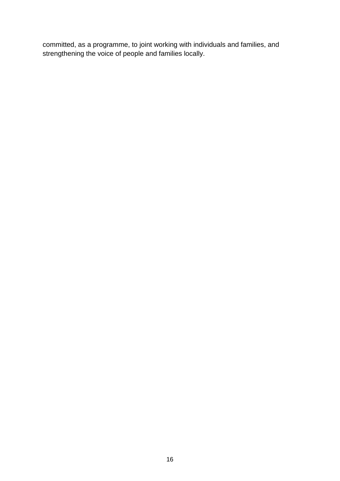committed, as a programme, to joint working with individuals and families, and strengthening the voice of people and families locally.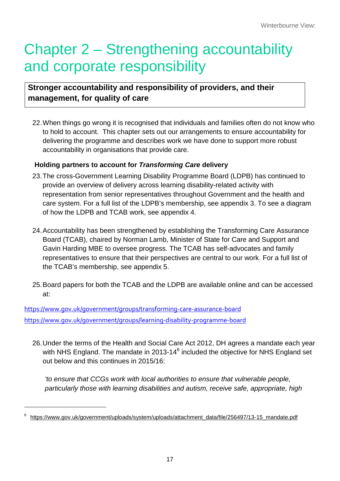# Chapter 2 – Strengthening accountability and corporate responsibility

# **Stronger accountability and responsibility of providers, and their management, for quality of care**

22.When things go wrong it is recognised that individuals and families often do not know who to hold to account. This chapter sets out our arrangements to ensure accountability for delivering the programme and describes work we have done to support more robust accountability in organisations that provide care.

## **Holding partners to account for** *Transforming Care* **delivery**

- 23.The cross-Government Learning Disability Programme Board (LDPB) has continued to provide an overview of delivery across learning disability-related activity with representation from senior representatives throughout Government and the health and care system. For a full list of the LDPB's membership, see appendix 3. To see a diagram of how the LDPB and TCAB work, see appendix 4.
- 24.Accountability has been strengthened by establishing the Transforming Care Assurance Board (TCAB), chaired by Norman Lamb, Minister of State for Care and Support and Gavin Harding MBE to oversee progress. The TCAB has self-advocates and family representatives to ensure that their perspectives are central to our work. For a full list of the TCAB's membership, see appendix 5.
- 25.Board papers for both the TCAB and the LDPB are available online and can be accessed at:

<https://www.gov.uk/government/groups/transforming-care-assurance-board> <https://www.gov.uk/government/groups/learning-disability-programme-board>

<span id="page-16-0"></span> $\overline{a}$ 

26.Under the terms of the Health and Social Care Act 2012, DH agrees a mandate each year with NHS England. The mandate in 2013-14<sup>[6](#page-13-0)</sup> included the objective for NHS England set out below and this continues in 2015/16:

*'to ensure that CCGs work with local authorities to ensure that vulnerable people, particularly those with learning disabilities and autism, receive safe, appropriate, high* 

<sup>6</sup> [https://www.gov.uk/government/uploads/system/uploads/attachment\\_data/file/256497/13-15\\_mandate.pdf](https://www.gov.uk/government/uploads/system/uploads/attachment_data/file/256497/13-15_mandate.pdf)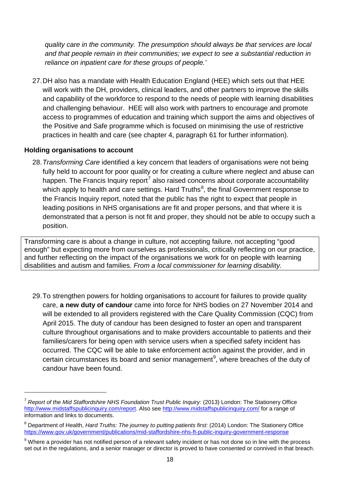*quality care in the community. The presumption should always be that services are local and that people remain in their communities; we expect to see a substantial reduction in reliance on inpatient care for these groups of people.'*

27.DH also has a mandate with Health Education England (HEE) which sets out that HEE will work with the DH, providers, clinical leaders, and other partners to improve the skills and capability of the workforce to respond to the needs of people with learning disabilities and challenging behaviour. HEE will also work with partners to encourage and promote access to programmes of education and training which support the aims and objectives of the Positive and Safe programme which is focused on minimising the use of restrictive practices in health and care (see chapter 4, paragraph 61 for further information).

#### **Holding organisations to account**

 $\overline{a}$ 

28.*Transforming Care* identified a key concern that leaders of organisations were not being fully held to account for poor quality or for creating a culture where neglect and abuse can happen. The Francis Inquiry report<sup>[7](#page-16-0)</sup> also raised concerns about corporate accountability which apply to health and care settings. Hard Truths $^8$  $^8$ , the final Government response to the Francis Inquiry report, noted that the public has the right to expect that people in leading positions in NHS organisations are fit and proper persons, and that where it is demonstrated that a person is not fit and proper, they should not be able to occupy such a position.

Transforming care is about a change in culture, not accepting failure, not accepting "good enough" but expecting more from ourselves as professionals, critically reflecting on our practice, and further reflecting on the impact of the organisations we work for on people with learning disabilities and autism and families. *From a local commissioner for learning disability.*

29.To strengthen powers for holding organisations to account for failures to provide quality care, **a new duty of candour** came into force for NHS bodies on 27 November 2014 and will be extended to all providers registered with the Care Quality Commission (CQC) from April 2015. The duty of candour has been designed to foster an open and transparent culture throughout organisations and to make providers accountable to patients and their families/carers for being open with service users when a specified safety incident has occurred. The CQC will be able to take enforcement action against the provider, and in certain circumstances its board and senior management<sup>[9](#page-17-1)</sup>, where breaches of the duty of candour have been found.

<sup>7</sup> *Report of the Mid Staffordshire NHS Foundation Trust Public Inquiry:* (2013) London: The Stationery Office [http://www.midstaffspublicinquiry.com/report.](http://www.midstaffspublicinquiry.com/report) Also see<http://www.midstaffspublicinquiry.com/> for a range of information and links to documents.

<span id="page-17-2"></span><span id="page-17-0"></span><sup>8</sup> Department of Health, *Hard Truths: The journey to putting patients first:* (2014) London: The Stationery Office <https://www.gov.uk/government/publications/mid-staffordshire-nhs-ft-public-inquiry-government-response>

<span id="page-17-1"></span> $9$  Where a provider has not notified person of a relevant safety incident or has not done so in line with the process set out in the regulations, and a senior manager or director is proved to have consented or connived in that breach.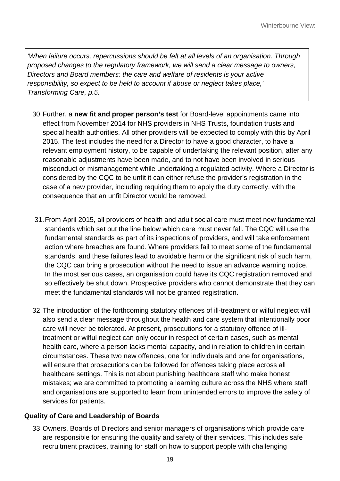*'When failure occurs, repercussions should be felt at all levels of an organisation. Through proposed changes to the regulatory framework, we will send a clear message to owners, Directors and Board members: the care and welfare of residents is your active responsibility, so expect to be held to account if abuse or neglect takes place,' Transforming Care, p.5.*

- 30.Further, a **new fit and proper person's test** for Board-level appointments came into effect from November 2014 for NHS providers in NHS Trusts, foundation trusts and special health authorities. All other providers will be expected to comply with this by April 2015. The test includes the need for a Director to have a good character, to have a relevant employment history, to be capable of undertaking the relevant position, after any reasonable adjustments have been made, and to not have been involved in serious misconduct or mismanagement while undertaking a regulated activity. Where a Director is considered by the CQC to be unfit it can either refuse the provider's registration in the case of a new provider, including requiring them to apply the duty correctly, with the consequence that an unfit Director would be removed.
- 31.From April 2015, all providers of health and adult social care must meet new fundamental standards which set out the line below which care must never fall. The CQC will use the fundamental standards as part of its inspections of providers, and will take enforcement action where breaches are found. Where providers fail to meet some of the fundamental standards, and these failures lead to avoidable harm or the significant risk of such harm, the CQC can bring a prosecution without the need to issue an advance warning notice. In the most serious cases, an organisation could have its CQC registration removed and so effectively be shut down. Prospective providers who cannot demonstrate that they can meet the fundamental standards will not be granted registration.
- 32.The introduction of the forthcoming statutory offences of ill-treatment or wilful neglect will also send a clear message throughout the health and care system that intentionally poor care will never be tolerated. At present, prosecutions for a statutory offence of illtreatment or wilful neglect can only occur in respect of certain cases, such as mental health care, where a person lacks mental capacity, and in relation to children in certain circumstances. These two new offences, one for individuals and one for organisations, will ensure that prosecutions can be followed for offences taking place across all healthcare settings. This is not about punishing healthcare staff who make honest mistakes; we are committed to promoting a learning culture across the NHS where staff and organisations are supported to learn from unintended errors to improve the safety of services for patients.

### **Quality of Care and Leadership of Boards**

33.Owners, Boards of Directors and senior managers of organisations which provide care are responsible for ensuring the quality and safety of their services. This includes safe recruitment practices, training for staff on how to support people with challenging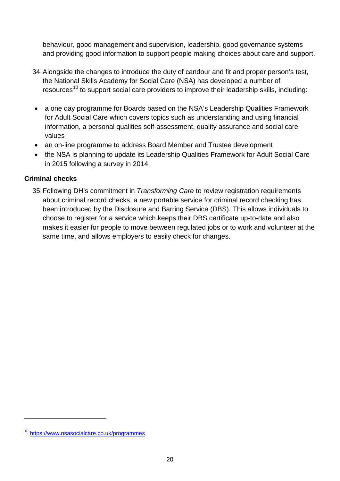behaviour, good management and supervision, leadership, good governance systems and providing good information to support people making choices about care and support.

- 34.Alongside the changes to introduce the duty of candour and fit and proper person's test, the National Skills Academy for Social Care (NSA) has developed a number of resources<sup>[10](#page-17-2)</sup> to support social care providers to improve their leadership skills, including:
- a one day programme for Boards based on the NSA's Leadership Qualities Framework for Adult Social Care which covers topics such as understanding and using financial information, a personal qualities self-assessment, quality assurance and social care values
- an on-line programme to address Board Member and Trustee development
- the NSA is planning to update its Leadership Qualities Framework for Adult Social Care in 2015 following a survey in 2014.

#### **Criminal checks**

35.Following DH's commitment in *Transforming Care* to review registration requirements about criminal record checks, a new portable service for criminal record checking has been introduced by the Disclosure and Barring Service (DBS). This allows individuals to choose to register for a service which keeps their DBS certificate up-to-date and also makes it easier for people to move between regulated jobs or to work and volunteer at the same time, and allows employers to easily check for changes.

<span id="page-19-0"></span><sup>10</sup> <https://www.nsasocialcare.co.uk/programmes>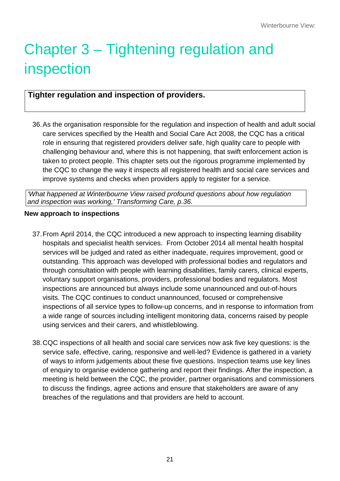# Chapter 3 – Tightening regulation and inspection

# **Tighter regulation and inspection of providers.**

36.As the organisation responsible for the regulation and inspection of health and adult social care services specified by the Health and Social Care Act 2008, the CQC has a critical role in ensuring that registered providers deliver safe, high quality care to people with challenging behaviour and, where this is not happening, that swift enforcement action is taken to protect people. This chapter sets out the rigorous programme implemented by the CQC to change the way it inspects all registered health and social care services and improve systems and checks when providers apply to register for a service.

*'What happened at Winterbourne View raised profound questions about how regulation and inspection was working,' Transforming Care, p.36.*

#### **New approach to inspections**

- 37.From April 2014, the CQC introduced a new approach to inspecting learning disability hospitals and specialist health services. From October 2014 all mental health hospital services will be judged and rated as either inadequate, requires improvement, good or outstanding. This approach was developed with professional bodies and regulators and through consultation with people with learning disabilities, family carers, clinical experts, voluntary support organisations, providers, professional bodies and regulators. Most inspections are announced but always include some unannounced and out-of-hours visits. The CQC continues to conduct unannounced, focused or comprehensive inspections of all service types to follow-up concerns, and in response to information from a wide range of sources including intelligent monitoring data, concerns raised by people using services and their carers, and whistleblowing.
- 38.CQC inspections of all health and social care services now ask five key questions: is the service safe, effective, caring, responsive and well-led? Evidence is gathered in a variety of ways to inform judgements about these five questions. Inspection teams use key lines of enquiry to organise evidence gathering and report their findings. After the inspection, a meeting is held between the CQC, the provider, partner organisations and commissioners to discuss the findings, agree actions and ensure that stakeholders are aware of any breaches of the regulations and that providers are held to account.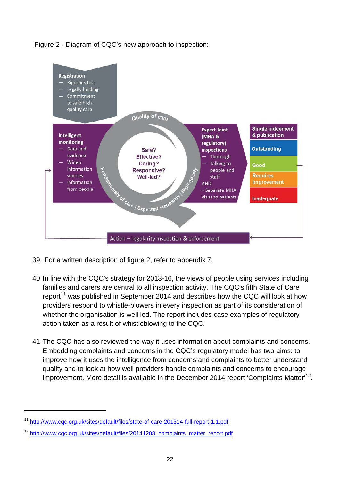#### Figure 2 - Diagram of CQC's new approach to inspection:



- 39. For a written description of figure 2, refer to appendix 7.
- 40.In line with the CQC's strategy for 2013-16, the views of people using services including families and carers are central to all inspection activity. The CQC's fifth State of Care report<sup>[11](#page-19-0)</sup> was published in September 2014 and describes how the CQC will look at how providers respond to whistle-blowers in every inspection as part of its consideration of whether the organisation is well led. The report includes case examples of regulatory action taken as a result of whistleblowing to the CQC.
- 41.The CQC has also reviewed the way it uses information about complaints and concerns. Embedding complaints and concerns in the CQC's regulatory model has two aims: to improve how it uses the intelligence from concerns and complaints to better understand quality and to look at how well providers handle complaints and concerns to encourage improvement. More detail is available in the December 2014 report 'Complaints Matter'<sup>[12](#page-21-0)</sup>.

<sup>11</sup> <http://www.cqc.org.uk/sites/default/files/state-of-care-201314-full-report-1.1.pdf>

<span id="page-21-1"></span><span id="page-21-0"></span><sup>&</sup>lt;sup>12</sup> [http://www.cqc.org.uk/sites/default/files/20141208\\_complaints\\_matter\\_report.pdf](http://www.cqc.org.uk/sites/default/files/20141208_complaints_matter_report.pdf)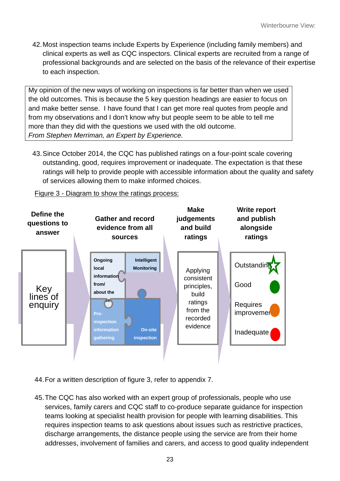42.Most inspection teams include Experts by Experience (including family members) and clinical experts as well as CQC inspectors. Clinical experts are recruited from a range of professional backgrounds and are selected on the basis of the relevance of their expertise to each inspection.

My opinion of the new ways of working on inspections is far better than when we used the old outcomes. This is because the 5 key question headings are easier to focus on and make better sense. I have found that I can get more real quotes from people and from my observations and I don't know why but people seem to be able to tell me more than they did with the questions we used with the old outcome. *From Stephen Merriman, an Expert by Experience.* 

43.Since October 2014, the CQC has published ratings on a four-point scale covering outstanding, good, requires improvement or inadequate. The expectation is that these ratings will help to provide people with accessible information about the quality and safety of services allowing them to make informed choices.

Figure 3 - Diagram to show the ratings process:



44.For a written description of figure 3, refer to appendix 7.

45.The CQC has also worked with an expert group of professionals, people who use services, family carers and CQC staff to co-produce separate guidance for inspection teams looking at specialist health provision for people with learning disabilities. This requires inspection teams to ask questions about issues such as restrictive practices, discharge arrangements, the distance people using the service are from their home addresses, involvement of families and carers, and access to good quality independent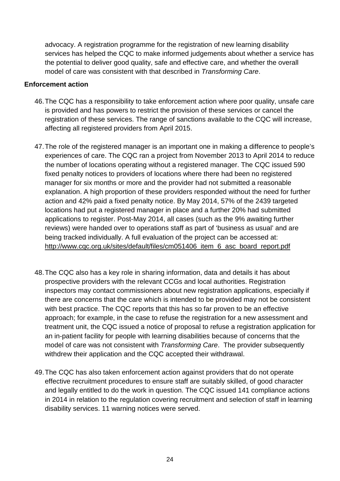advocacy. A registration programme for the registration of new learning disability services has helped the CQC to make informed judgements about whether a service has the potential to deliver good quality, safe and effective care, and whether the overall model of care was consistent with that described in *Transforming Care*.

#### **Enforcement action**

- 46.The CQC has a responsibility to take enforcement action where poor quality, unsafe care is provided and has powers to restrict the provision of these services or cancel the registration of these services. The range of sanctions available to the CQC will increase, affecting all registered providers from April 2015.
- 47.The role of the registered manager is an important one in making a difference to people's experiences of care. The CQC ran a project from November 2013 to April 2014 to reduce the number of locations operating without a registered manager. The CQC issued 590 fixed penalty notices to providers of locations where there had been no registered manager for six months or more and the provider had not submitted a reasonable explanation. A high proportion of these providers responded without the need for further action and 42% paid a fixed penalty notice. By May 2014, 57% of the 2439 targeted locations had put a registered manager in place and a further 20% had submitted applications to register. Post-May 2014, all cases (such as the 9% awaiting further reviews) were handed over to operations staff as part of 'business as usual' and are being tracked individually. A full evaluation of the project can be accessed at: [http://www.cqc.org.uk/sites/default/files/cm051406\\_item\\_6\\_asc\\_board\\_report.pdf](http://www.cqc.org.uk/sites/default/files/cm051406_item_6_asc_board_report.pdf)
- 48.The CQC also has a key role in sharing information, data and details it has about prospective providers with the relevant CCGs and local authorities. Registration inspectors may contact commissioners about new registration applications, especially if there are concerns that the care which is intended to be provided may not be consistent with best practice. The CQC reports that this has so far proven to be an effective approach; for example, in the case to refuse the registration for a new assessment and treatment unit, the CQC issued a notice of proposal to refuse a registration application for an in-patient facility for people with learning disabilities because of concerns that the model of care was not consistent with *Transforming Care*. The provider subsequently withdrew their application and the CQC accepted their withdrawal.
- 49.The CQC has also taken enforcement action against providers that do not operate effective recruitment procedures to ensure staff are suitably skilled, of good character and legally entitled to do the work in question. The CQC issued 141 compliance actions in 2014 in relation to the regulation covering recruitment and selection of staff in learning disability services. 11 warning notices were served.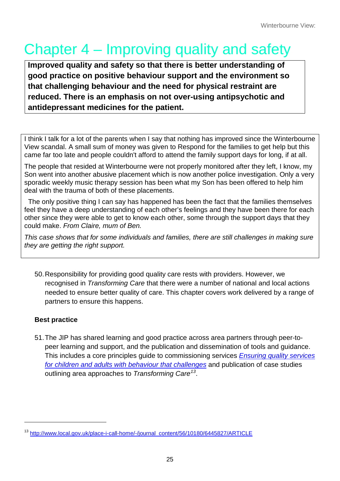# Chapter 4 – Improving quality and safety

**Improved quality and safety so that there is better understanding of good practice on positive behaviour support and the environment so that challenging behaviour and the need for physical restraint are reduced. There is an emphasis on not over-using antipsychotic and antidepressant medicines for the patient.**

I think I talk for a lot of the parents when I say that nothing has improved since the Winterbourne View scandal. A small sum of money was given to Respond for the families to get help but this came far too late and people couldn't afford to attend the family support days for long, if at all.

The people that resided at Winterbourne were not properly monitored after they left, I know, my Son went into another abusive placement which is now another police investigation. Only a very sporadic weekly music therapy session has been what my Son has been offered to help him deal with the trauma of both of these placements.

The only positive thing I can say has happened has been the fact that the families themselves feel they have a deep understanding of each other's feelings and they have been there for each other since they were able to get to know each other, some through the support days that they could make. *From Claire, mum of Ben.*

*This case shows that for some individuals and families, there are still challenges in making sure they are getting the right support.*

50.Responsibility for providing good quality care rests with providers. However, we recognised in *Transforming Care* that there were a number of national and local actions needed to ensure better quality of care. This chapter covers work delivered by a range of partners to ensure this happens.

# **Best practice**

 $\overline{a}$ 

51.The JIP has shared learning and good practice across area partners through peer-topeer learning and support, and the publication and dissemination of tools and guidance. This includes a core principles guide to commissioning services *[Ensuring quality services](http://www.local.gov.uk/documents/10180/12137/L14-105+Ensuring+quality+services/085fff56-ef5c-4883-b1a1-d6810caa925f)  [for children and adults with behaviour that challenges](http://www.local.gov.uk/documents/10180/12137/L14-105+Ensuring+quality+services/085fff56-ef5c-4883-b1a1-d6810caa925f)* and publication of case studies outlining area approaches to *Transforming Care[13](#page-21-1)*.

<span id="page-24-0"></span><sup>&</sup>lt;sup>13</sup> [http://www.local.gov.uk/place-i-call-home/-/journal\\_content/56/10180/6445827/ARTICLE](http://www.local.gov.uk/place-i-call-home/-/journal_content/56/10180/6445827/ARTICLE)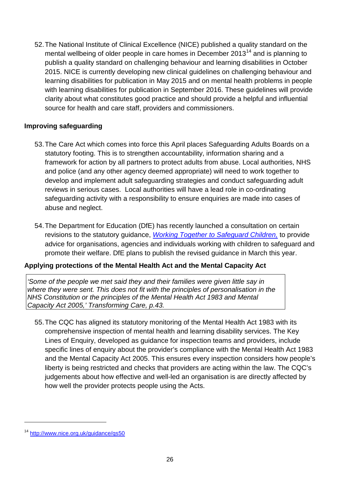52.The National Institute of Clinical Excellence (NICE) published a quality standard on the mental wellbeing of older people in care homes in December  $2013<sup>14</sup>$  $2013<sup>14</sup>$  $2013<sup>14</sup>$  and is planning to publish a quality standard on challenging behaviour and learning disabilities in October 2015. NICE is currently developing new clinical guidelines on challenging behaviour and learning disabilities for publication in May 2015 and on mental health problems in people with learning disabilities for publication in September 2016. These guidelines will provide clarity about what constitutes good practice and should provide a helpful and influential source for health and care staff, providers and commissioners.

#### **Improving safeguarding**

- 53.The Care Act which comes into force this April places Safeguarding Adults Boards on a statutory footing. This is to strengthen accountability, information sharing and a framework for action by all partners to protect adults from abuse. Local authorities, NHS and police (and any other agency deemed appropriate) will need to work together to develop and implement adult safeguarding strategies and conduct safeguarding adult reviews in serious cases. Local authorities will have a lead role in co-ordinating safeguarding activity with a responsibility to ensure enquiries are made into cases of abuse and neglect.
- 54.The Department for Education (DfE) has recently launched a consultation on certain revisions to the statutory guidance, *[Working Together to Safeguard Children,](https://www.gov.uk/government/uploads/system/uploads/attachment_data/file/281368/Working_together_to_safeguard_children.pdf)* to provide advice for organisations, agencies and individuals working with children to safeguard and promote their welfare. DfE plans to publish the revised guidance in March this year.

#### **Applying protections of the Mental Health Act and the Mental Capacity Act**

*'Some of the people we met said they and their families were given little say in where they were sent. This does not fit with the principles of personalisation in the NHS Constitution or the principles of the Mental Health Act 1983 and Mental Capacity Act 2005,' Transforming Care, p.43.*

55.The CQC has aligned its statutory monitoring of the Mental Health Act 1983 with its comprehensive inspection of mental health and learning disability services. The Key Lines of Enquiry, developed as guidance for inspection teams and providers, include specific lines of enquiry about the provider's compliance with the Mental Health Act 1983 and the Mental Capacity Act 2005. This ensures every inspection considers how people's liberty is being restricted and checks that providers are acting within the law. The CQC's judgements about how effective and well-led an organisation is are directly affected by how well the provider protects people using the Acts.

<span id="page-25-0"></span><sup>14</sup> <http://www.nice.org.uk/guidance/qs50>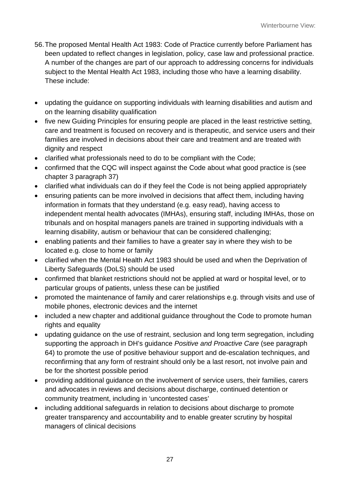- 56.The proposed Mental Health Act 1983: Code of Practice currently before Parliament has been updated to reflect changes in legislation, policy, case law and professional practice. A number of the changes are part of our approach to addressing concerns for individuals subject to the Mental Health Act 1983, including those who have a learning disability. These include:
- updating the guidance on supporting individuals with learning disabilities and autism and on the learning disability qualification
- five new Guiding Principles for ensuring people are placed in the least restrictive setting, care and treatment is focused on recovery and is therapeutic, and service users and their families are involved in decisions about their care and treatment and are treated with dignity and respect
- clarified what professionals need to do to be compliant with the Code;
- confirmed that the CQC will inspect against the Code about what good practice is (see chapter 3 paragraph 37)
- clarified what individuals can do if they feel the Code is not being applied appropriately
- ensuring patients can be more involved in decisions that affect them, including having information in formats that they understand (e.g. easy read), having access to independent mental health advocates (IMHAs), ensuring staff, including IMHAs, those on tribunals and on hospital managers panels are trained in supporting individuals with a learning disability, autism or behaviour that can be considered challenging;
- enabling patients and their families to have a greater say in where they wish to be located e.g. close to home or family
- clarified when the Mental Health Act 1983 should be used and when the Deprivation of Liberty Safeguards (DoLS) should be used
- confirmed that blanket restrictions should not be applied at ward or hospital level, or to particular groups of patients, unless these can be justified
- promoted the maintenance of family and carer relationships e.g. through visits and use of mobile phones, electronic devices and the internet
- included a new chapter and additional quidance throughout the Code to promote human rights and equality
- updating guidance on the use of restraint, seclusion and long term segregation, including supporting the approach in DH's guidance *Positive and Proactive Care* (see paragraph 64) to promote the use of positive behaviour support and de-escalation techniques, and reconfirming that any form of restraint should only be a last resort, not involve pain and be for the shortest possible period
- providing additional guidance on the involvement of service users, their families, carers and advocates in reviews and decisions about discharge, continued detention or community treatment, including in 'uncontested cases'
- including additional safeguards in relation to decisions about discharge to promote greater transparency and accountability and to enable greater scrutiny by hospital managers of clinical decisions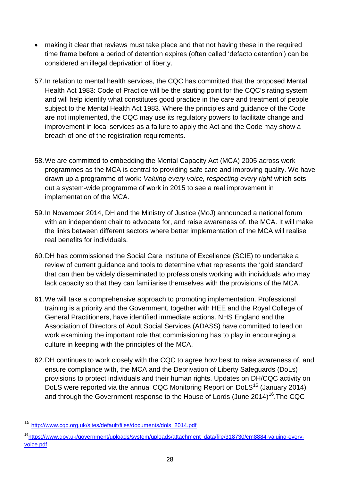- making it clear that reviews must take place and that not having these in the required time frame before a period of detention expires (often called 'defacto detention') can be considered an illegal deprivation of liberty.
- 57.In relation to mental health services, the CQC has committed that the proposed Mental Health Act 1983: Code of Practice will be the starting point for the CQC's rating system and will help identify what constitutes good practice in the care and treatment of people subject to the Mental Health Act 1983. Where the principles and guidance of the Code are not implemented, the CQC may use its regulatory powers to facilitate change and improvement in local services as a failure to apply the Act and the Code may show a breach of one of the registration requirements.
- 58.We are committed to embedding the Mental Capacity Act (MCA) 2005 across work programmes as the MCA is central to providing safe care and improving quality. We have drawn up a programme of work: *Valuing every voice, respecting every right* which sets out a system-wide programme of work in 2015 to see a real improvement in implementation of the MCA.
- 59.In November 2014, DH and the Ministry of Justice (MoJ) announced a national forum with an independent chair to advocate for, and raise awareness of, the MCA. It will make the links between different sectors where better implementation of the MCA will realise real benefits for individuals.
- 60.DH has commissioned the Social Care Institute of Excellence (SCIE) to undertake a review of current guidance and tools to determine what represents the 'gold standard' that can then be widely disseminated to professionals working with individuals who may lack capacity so that they can familiarise themselves with the provisions of the MCA.
- 61.We will take a comprehensive approach to promoting implementation. Professional training is a priority and the Government, together with HEE and the Royal College of General Practitioners, have identified immediate actions. NHS England and the Association of Directors of Adult Social Services (ADASS) have committed to lead on work examining the important role that commissioning has to play in encouraging a culture in keeping with the principles of the MCA.
- 62.DH continues to work closely with the CQC to agree how best to raise awareness of, and ensure compliance with, the MCA and the Deprivation of Liberty Safeguards (DoLs) provisions to protect individuals and their human rights. Updates on DH/CQC activity on DoLS were reported via the annual CQC Monitoring Report on DoLS<sup>[15](#page-25-0)</sup> (January 2014) and through the Government response to the House of Lords (June  $2014$ )<sup>16</sup>. The CQC

<sup>15</sup> [http://www.cqc.org.uk/sites/default/files/documents/dols\\_2014.pdf](http://www.cqc.org.uk/sites/default/files/documents/dols_2014.pdf)

<span id="page-27-1"></span><span id="page-27-0"></span>[<sup>16</sup>https://www.gov.uk/government/uploads/system/uploads/attachment\\_data/file/318730/cm8884-valuing-every](https://www.gov.uk/government/uploads/system/uploads/attachment_data/file/318730/cm8884-valuing-every-voice.pdf)[voice.pdf](https://www.gov.uk/government/uploads/system/uploads/attachment_data/file/318730/cm8884-valuing-every-voice.pdf)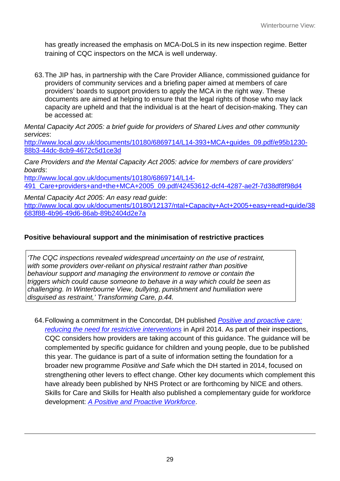has greatly increased the emphasis on MCA-DoLS in its new inspection regime. Better training of CQC inspectors on the MCA is well underway.

63.The JIP has, in partnership with the Care Provider Alliance, commissioned guidance for providers of community services and a briefing paper aimed at members of care providers' boards to support providers to apply the MCA in the right way. These documents are aimed at helping to ensure that the legal rights of those who may lack capacity are upheld and that the individual is at the heart of decision-making. They can be accessed at:

*Mental Capacity Act 2005: a brief guide for providers of Shared Lives and other community services*:

[http://www.local.gov.uk/documents/10180/6869714/L14-393+MCA+guides\\_09.pdf/e95b1230-](http://www.local.gov.uk/documents/10180/6869714/L14-393+MCA+guides_09.pdf/e95b1230-88b3-44dc-8cb9-4672c5d1ce3d) [88b3-44dc-8cb9-4672c5d1ce3d](http://www.local.gov.uk/documents/10180/6869714/L14-393+MCA+guides_09.pdf/e95b1230-88b3-44dc-8cb9-4672c5d1ce3d)

*Care Providers and the Mental Capacity Act 2005: advice for members of care providers' boards*:

[http://www.local.gov.uk/documents/10180/6869714/L14-](http://www.local.gov.uk/documents/10180/6869714/L14-491_Care+providers+and+the+MCA+2005_09.pdf/42453612-dcf4-4287-ae2f-7d38df8f98d4) [491\\_Care+providers+and+the+MCA+2005\\_09.pdf/42453612-dcf4-4287-ae2f-7d38df8f98d4](http://www.local.gov.uk/documents/10180/6869714/L14-491_Care+providers+and+the+MCA+2005_09.pdf/42453612-dcf4-4287-ae2f-7d38df8f98d4)

*Mental Capacity Act 2005: An easy read guide*: [http://www.local.gov.uk/documents/10180/12137/ntal+Capacity+Act+2005+easy+read+guide/38](http://www.local.gov.uk/documents/10180/12137/ntal+Capacity+Act+2005+easy+read+guide/38683f88-4b96-49d6-86ab-89b2404d2e7a) [683f88-4b96-49d6-86ab-89b2404d2e7a](http://www.local.gov.uk/documents/10180/12137/ntal+Capacity+Act+2005+easy+read+guide/38683f88-4b96-49d6-86ab-89b2404d2e7a)

## **Positive behavioural support and the minimisation of restrictive practices**

*'The CQC inspections revealed widespread uncertainty on the use of restraint, with some providers over-reliant on physical restraint rather than positive behaviour support and managing the environment to remove or contain the triggers which could cause someone to behave in a way which could be seen as challenging. In Winterbourne View, bullying, punishment and humiliation were disguised as restraint,' Transforming Care, p.44.*

64.Following a commitment in the Concordat, DH published *[Positive and proactive care:](https://www.gov.uk/government/uploads/system/uploads/attachment_data/file/300293/JRA_DoH_Guidance_on_RP_web_accessible.pdf)  [reducing the need for restrictive interventions](https://www.gov.uk/government/uploads/system/uploads/attachment_data/file/300293/JRA_DoH_Guidance_on_RP_web_accessible.pdf)* in April 2014. As part of their inspections, CQC considers how providers are taking account of this guidance. The guidance will be complemented by specific guidance for children and young people, due to be published this year. The guidance is part of a suite of information setting the foundation for a broader new programme *Positive and Safe* which the DH started in 2014, focused on strengthening other levers to effect change. Other key documents which complement this have already been published by NHS Protect or are forthcoming by NICE and others. Skills for Care and Skills for Health also published a complementary guide for workforce development: *[A Positive and Proactive Workforce](http://www.skillsforhealth.org.uk/about-us/news/restrictive-practice-guide-/)*.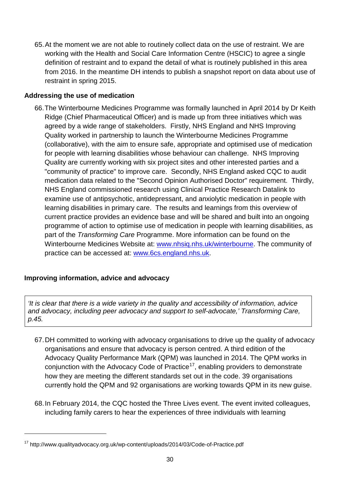65.At the moment we are not able to routinely collect data on the use of restraint. We are working with the Health and Social Care Information Centre (HSCIC) to agree a single definition of restraint and to expand the detail of what is routinely published in this area from 2016. In the meantime DH intends to publish a snapshot report on data about use of restraint in spring 2015.

#### **Addressing the use of medication**

66.The Winterbourne Medicines Programme was formally launched in April 2014 by Dr Keith Ridge (Chief Pharmaceutical Officer) and is made up from three initiatives which was agreed by a wide range of stakeholders. Firstly, NHS England and NHS Improving Quality worked in partnership to launch the Winterbourne Medicines Programme (collaborative), with the aim to ensure safe, appropriate and optimised use of medication for people with learning disabilities whose behaviour can challenge. NHS Improving Quality are currently working with six project sites and other interested parties and a "community of practice" to improve care. Secondly, NHS England asked CQC to audit medication data related to the "Second Opinion Authorised Doctor" requirement. Thirdly, NHS England commissioned research using Clinical Practice Research Datalink to examine use of antipsychotic, antidepressant, and anxiolytic medication in people with learning disabilities in primary care. The results and learnings from this overview of current practice provides an evidence base and will be shared and built into an ongoing programme of action to optimise use of medication in people with learning disabilities, as part of the *Transforming Care* Programme. More information can be found on the Winterbourne Medicines Website at: [www.nhsiq.nhs.uk/winterbourne.](http://www.nhsiq.nhs.uk/winterbourne) The community of practice can be accessed at: [www.6cs.england.nhs.uk.](http://www.6cs.england.nhs.uk/)

### **Improving information, advice and advocacy**

 $\overline{a}$ 

*'It is clear that there is a wide variety in the quality and accessibility of information, advice and advocacy, including peer advocacy and support to self-advocate,' Transforming Care, p.45.*

- 67.DH committed to working with advocacy organisations to drive up the quality of advocacy organisations and ensure that advocacy is person centred. A third edition of the Advocacy Quality Performance Mark (QPM) was launched in 2014. The QPM works in conjunction with the Advocacy Code of Practice<sup>17</sup>, enabling providers to demonstrate how they are meeting the different standards set out in the code. 39 organisations currently hold the QPM and 92 organisations are working towards QPM in its new guise.
- <span id="page-29-0"></span>68.In February 2014, the CQC hosted the Three Lives event. The event invited colleagues, including family carers to hear the experiences of three individuals with learning

<sup>17</sup> http://www.qualityadvocacy.org.uk/wp-content/uploads/2014/03/Code-of-Practice.pdf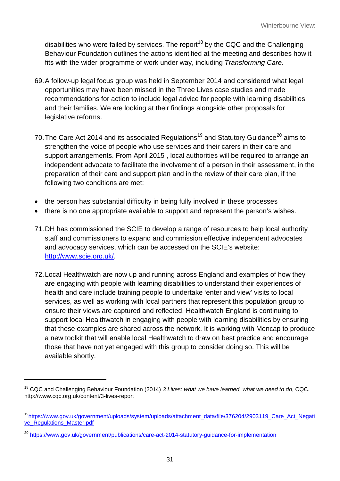disabilities who were failed by services. The report<sup>[18](#page-29-0)</sup> by the CQC and the Challenging Behaviour Foundation outlines the actions identified at the meeting and describes how it fits with the wider programme of work under way, including *Transforming Care*.

- 69.A follow-up legal focus group was held in September 2014 and considered what legal opportunities may have been missed in the Three Lives case studies and made recommendations for action to include legal advice for people with learning disabilities and their families. We are looking at their findings alongside other proposals for legislative reforms.
- 70. The Care Act 2014 and its associated Regulations<sup>[19](#page-30-0)</sup> and Statutory Guidance<sup>[20](#page-30-1)</sup> aims to strengthen the voice of people who use services and their carers in their care and support arrangements. From April 2015 , local authorities will be required to arrange an independent advocate to facilitate the involvement of a person in their assessment, in the preparation of their care and support plan and in the review of their care plan, if the following two conditions are met:
- the person has substantial difficulty in being fully involved in these processes
- there is no one appropriate available to support and represent the person's wishes.
- 71.DH has commissioned the SCIE to develop a range of resources to help local authority staff and commissioners to expand and commission effective independent advocates and advocacy services, which can be accessed on the SCIE's website: [http://www.scie.org.uk/.](http://www.scie.org.uk/)
- 72.Local Healthwatch are now up and running across England and examples of how they are engaging with people with learning disabilities to understand their experiences of health and care include training people to undertake 'enter and view' visits to local services, as well as working with local partners that represent this population group to ensure their views are captured and reflected. Healthwatch England is continuing to support local Healthwatch in engaging with people with learning disabilities by ensuring that these examples are shared across the network. It is working with Mencap to produce a new toolkit that will enable local Healthwatch to draw on best practice and encourage those that have not yet engaged with this group to consider doing so. This will be available shortly.

<sup>18</sup> CQC and Challenging Behaviour Foundation (2014) *3 Lives: what we have learned, what we need to do*, CQC. <http://www.cqc.org.uk/content/3-lives-report>

<span id="page-30-2"></span><span id="page-30-0"></span><sup>&</sup>lt;sup>19</sup>https://www.gov.uk/government/uploads/system/uploads/attachment\_data/file/376204/2903119\_Care\_Act\_Negati [ve\\_Regulations\\_Master.pdf](https://www.gov.uk/government/uploads/system/uploads/attachment_data/file/376204/2903119_Care_Act_Negative_Regulations_Master.pdf)

<span id="page-30-1"></span><sup>&</sup>lt;sup>20</sup> <https://www.gov.uk/government/publications/care-act-2014-statutory-guidance-for-implementation>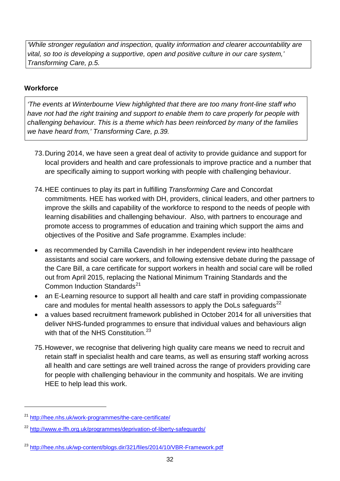*'While stronger regulation and inspection, quality information and clearer accountability are vital, so too is developing a supportive, open and positive culture in our care system,' Transforming Care, p.5.*

#### **Workforce**

*'The events at Winterbourne View highlighted that there are too many front-line staff who have not had the right training and support to enable them to care properly for people with challenging behaviour. This is a theme which has been reinforced by many of the families we have heard from,' Transforming Care, p.39.*

- 73.During 2014, we have seen a great deal of activity to provide guidance and support for local providers and health and care professionals to improve practice and a number that are specifically aiming to support working with people with challenging behaviour.
- 74.HEE continues to play its part in fulfilling *Transforming Care* and Concordat commitments. HEE has worked with DH, providers, clinical leaders, and other partners to improve the skills and capability of the workforce to respond to the needs of people with learning disabilities and challenging behaviour. Also, with partners to encourage and promote access to programmes of education and training which support the aims and objectives of the Positive and Safe programme. Examples include:
- as recommended by Camilla Cavendish in her independent review into healthcare assistants and social care workers, and following extensive debate during the passage of the Care Bill, a care certificate for support workers in health and social care will be rolled out from April 2015, replacing the National Minimum Training Standards and the Common Induction Standards<sup>21</sup>
- an E-Learning resource to support all health and care staff in providing compassionate care and modules for mental health assessors to apply the DoLs safeguards $^{22}$  $^{22}$  $^{22}$
- a values based recruitment framework published in October 2014 for all universities that deliver NHS-funded programmes to ensure that individual values and behaviours align with that of the NHS Constitution.<sup>[23](#page-31-1)</sup>
- 75.However, we recognise that delivering high quality care means we need to recruit and retain staff in specialist health and care teams, as well as ensuring staff working across all health and care settings are well trained across the range of providers providing care for people with challenging behaviour in the community and hospitals. We are inviting HEE to help lead this work.

<span id="page-31-2"></span><sup>21</sup> <http://hee.nhs.uk/work-programmes/the-care-certificate/>

<span id="page-31-0"></span><sup>&</sup>lt;sup>22</sup> <http://www.e-lfh.org.uk/programmes/deprivation-of-liberty-safeguards/>

<span id="page-31-1"></span><sup>23</sup> <http://hee.nhs.uk/wp-content/blogs.dir/321/files/2014/10/VBR-Framework.pdf>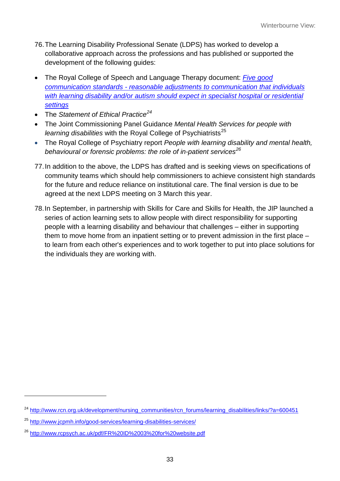- 76.The Learning Disability Professional Senate (LDPS) has worked to develop a collaborative approach across the professions and has published or supported the development of the following guides:
- The Royal College of Speech and Language Therapy document: *[Five good](http://www.rcslt.org/news/docs/good_comm_standards)  communication standards - [reasonable adjustments to communication that individuals](http://www.rcslt.org/news/docs/good_comm_standards)*  with learning disability and/or autism should expect in specialist hospital or residential *[settings](http://www.rcslt.org/news/docs/good_comm_standards)*
- The *Statement of Ethical Practice[24](#page-31-2)*
- The Joint Commissioning Panel Guidance *Mental Health Services for people with learning disabilities* with the Royal College of Psychiatrists<sup>[25](#page-32-0)</sup>
- The Royal College of Psychiatry report *People with learning disability and mental health, behavioural or forensic problems: the role of in-patient services[26](#page-32-1)*
- 77.In addition to the above, the LDPS has drafted and is seeking views on specifications of community teams which should help commissioners to achieve consistent high standards for the future and reduce reliance on institutional care. The final version is due to be agreed at the next LDPS meeting on 3 March this year.
- 78.In September, in partnership with Skills for Care and Skills for Health, the JIP launched a series of action learning sets to allow people with direct responsibility for supporting people with a learning disability and behaviour that challenges – either in supporting them to move home from an inpatient setting or to prevent admission in the first place – to learn from each other's experiences and to work together to put into place solutions for the individuals they are working with.

<sup>&</sup>lt;sup>24</sup> [http://www.rcn.org.uk/development/nursing\\_communities/rcn\\_forums/learning\\_disabilities/links/?a=600451](http://www.rcn.org.uk/development/nursing_communities/rcn_forums/learning_disabilities/links/?a=600451)

<span id="page-32-2"></span><span id="page-32-0"></span><sup>25</sup> <http://www.jcpmh.info/good-services/learning-disabilities-services/>

<span id="page-32-1"></span><sup>26</sup> <http://www.rcpsych.ac.uk/pdf/FR%20ID%2003%20for%20website.pdf>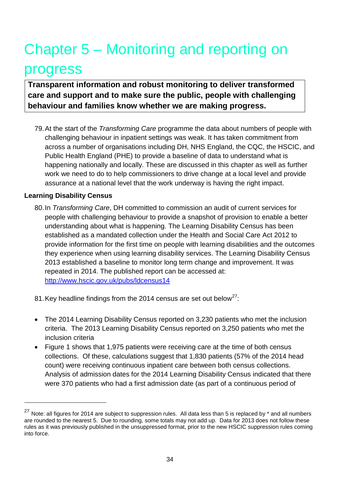# Chapter 5 – Monitoring and reporting on progress

**Transparent information and robust monitoring to deliver transformed care and support and to make sure the public, people with challenging behaviour and families know whether we are making progress.**

79.At the start of the *Transforming Care* programme the data about numbers of people with challenging behaviour in inpatient settings was weak. It has taken commitment from across a number of organisations including DH, NHS England, the CQC, the HSCIC, and Public Health England (PHE) to provide a baseline of data to understand what is happening nationally and locally. These are discussed in this chapter as well as further work we need to do to help commissioners to drive change at a local level and provide assurance at a national level that the work underway is having the right impact.

#### **Learning Disability Census**

 $\overline{a}$ 

80.In *Transforming Care*, DH committed to commission an audit of current services for people with challenging behaviour to provide a snapshot of provision to enable a better understanding about what is happening. The Learning Disability Census has been established as a mandated collection under the Health and Social Care Act 2012 to provide information for the first time on people with learning disabilities and the outcomes they experience when using learning disability services. The Learning Disability Census 2013 established a baseline to monitor long term change and improvement. It was repeated in 2014. The published report can be accessed at: <http://www.hscic.gov.uk/pubs/ldcensus14>

81. Key headline findings from the 2014 census are set out below<sup>[27](#page-32-2)</sup>:

- The 2014 Learning Disability Census reported on 3,230 patients who met the inclusion criteria. The 2013 Learning Disability Census reported on 3,250 patients who met the inclusion criteria
- Figure 1 shows that 1,975 patients were receiving care at the time of both census collections. Of these, calculations suggest that 1,830 patients (57% of the 2014 head count) were receiving continuous inpatient care between both census collections. Analysis of admission dates for the 2014 Learning Disability Census indicated that there were 370 patients who had a first admission date (as part of a continuous period of

<sup>&</sup>lt;sup>27</sup> Note: all figures for 2014 are subject to suppression rules. All data less than 5 is replaced by  $*$  and all numbers are rounded to the nearest 5. Due to rounding, some totals may not add up. Data for 2013 does not follow these rules as it was previously published in the unsuppressed format, prior to the new HSCIC suppression rules coming into force.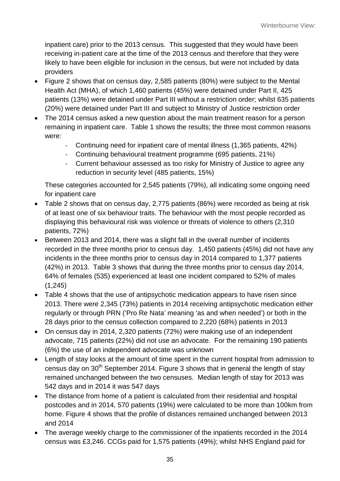inpatient care) prior to the 2013 census. This suggested that they would have been receiving in-patient care at the time of the 2013 census and therefore that they were likely to have been eligible for inclusion in the census, but were not included by data providers

- Figure 2 shows that on census day, 2,585 patients (80%) were subject to the Mental Health Act (MHA), of which 1,460 patients (45%) were detained under Part II, 425 patients (13%) were detained under Part III without a restriction order; whilst 635 patients (20%) were detained under Part III and subject to Ministry of Justice restriction order
- The 2014 census asked a new question about the main treatment reason for a person remaining in inpatient care. Table 1 shows the results; the three most common reasons were:
	- Continuing need for inpatient care of mental illness (1,365 patients, 42%)
	- Continuing behavioural treatment programme (695 patients, 21%)
	- Current behaviour assessed as too risky for Ministry of Justice to agree any reduction in security level (485 patients, 15%)

These categories accounted for 2,545 patients (79%), all indicating some ongoing need for inpatient care

- Table 2 shows that on census day, 2,775 patients (86%) were recorded as being at risk of at least one of six behaviour traits. The behaviour with the most people recorded as displaying this behavioural risk was violence or threats of violence to others (2,310 patients, 72%)
- Between 2013 and 2014, there was a slight fall in the overall number of incidents recorded in the three months prior to census day. 1,450 patients (45%) did not have any incidents in the three months prior to census day in 2014 compared to 1,377 patients (42%) in 2013. Table 3 shows that during the three months prior to census day 2014, 64% of females (535) experienced at least one incident compared to 52% of males (1,245)
- Table 4 shows that the use of antipsychotic medication appears to have risen since 2013. There were 2,345 (73%) patients in 2014 receiving antipsychotic medication either regularly or through PRN ('Pro Re Nata' meaning 'as and when needed') or both in the 28 days prior to the census collection compared to 2,220 (68%) patients in 2013
- On census day in 2014, 2,320 patients (72%) were making use of an independent advocate, 715 patients (22%) did not use an advocate. For the remaining 190 patients (6%) the use of an independent advocate was unknown
- Length of stay looks at the amount of time spent in the current hospital from admission to census day on  $30<sup>th</sup>$  September 2014. Figure 3 shows that in general the length of stay remained unchanged between the two censuses. Median length of stay for 2013 was 542 days and in 2014 it was 547 days
- The distance from home of a patient is calculated from their residential and hospital postcodes and in 2014, 570 patients (19%) were calculated to be more than 100km from home. Figure 4 shows that the profile of distances remained unchanged between 2013 and 2014
- The average weekly charge to the commissioner of the inpatients recorded in the 2014 census was £3,246. CCGs paid for 1,575 patients (49%); whilst NHS England paid for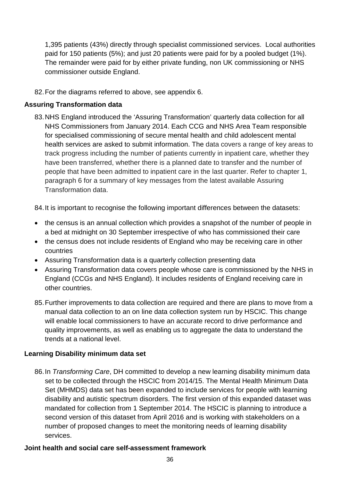1,395 patients (43%) directly through specialist commissioned services. Local authorities paid for 150 patients (5%); and just 20 patients were paid for by a pooled budget (1%). The remainder were paid for by either private funding, non UK commissioning or NHS commissioner outside England.

82.For the diagrams referred to above, see appendix 6.

## **Assuring Transformation data**

83.NHS England introduced the 'Assuring Transformation' quarterly data collection for all NHS Commissioners from January 2014. Each CCG and NHS Area Team responsible for specialised commissioning of secure mental health and child adolescent mental health services are asked to submit information. The data covers a range of key areas to track progress including the number of patients currently in inpatient care, whether they have been transferred, whether there is a planned date to transfer and the number of people that have been admitted to inpatient care in the last quarter. Refer to chapter 1, paragraph 6 for a summary of key messages from the latest available Assuring Transformation data.

84.It is important to recognise the following important differences between the datasets:

- the census is an annual collection which provides a snapshot of the number of people in a bed at midnight on 30 September irrespective of who has commissioned their care
- the census does not include residents of England who may be receiving care in other countries
- Assuring Transformation data is a quarterly collection presenting data
- Assuring Transformation data covers people whose care is commissioned by the NHS in England (CCGs and NHS England). It includes residents of England receiving care in other countries.
- 85.Further improvements to data collection are required and there are plans to move from a manual data collection to an on line data collection system run by HSCIC. This change will enable local commissioners to have an accurate record to drive performance and quality improvements, as well as enabling us to aggregate the data to understand the trends at a national level.

### **Learning Disability minimum data set**

86.In *Transforming Care*, DH committed to develop a new learning disability minimum data set to be collected through the HSCIC from 2014/15. The Mental Health Minimum Data Set (MHMDS) data set has been expanded to include services for people with learning disability and autistic spectrum disorders. The first version of this expanded dataset was mandated for collection from 1 September 2014. The HSCIC is planning to introduce a second version of this dataset from April 2016 and is working with stakeholders on a number of proposed changes to meet the monitoring needs of learning disability services.

### **Joint health and social care self-assessment framework**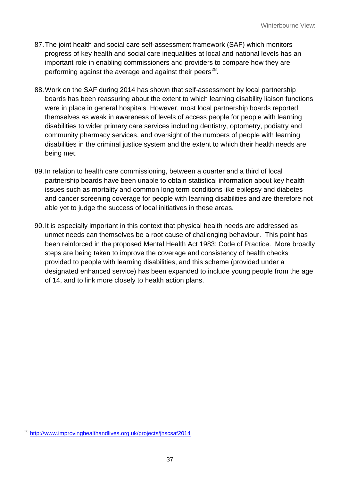- 87.The joint health and social care self-assessment framework (SAF) which monitors progress of key health and social care inequalities at local and national levels has an important role in enabling commissioners and providers to compare how they are performing against the average and against their peers<sup>28</sup>.
- 88.Work on the SAF during 2014 has shown that self-assessment by local partnership boards has been reassuring about the extent to which learning disability liaison functions were in place in general hospitals. However, most local partnership boards reported themselves as weak in awareness of levels of access people for people with learning disabilities to wider primary care services including dentistry, optometry, podiatry and community pharmacy services, and oversight of the numbers of people with learning disabilities in the criminal justice system and the extent to which their health needs are being met.
- 89.In relation to health care commissioning, between a quarter and a third of local partnership boards have been unable to obtain statistical information about key health issues such as mortality and common long term conditions like epilepsy and diabetes and cancer screening coverage for people with learning disabilities and are therefore not able yet to judge the success of local initiatives in these areas.
- 90.It is especially important in this context that physical health needs are addressed as unmet needs can themselves be a root cause of challenging behaviour. This point has been reinforced in the proposed Mental Health Act 1983: Code of Practice. More broadly steps are being taken to improve the coverage and consistency of health checks provided to people with learning disabilities, and this scheme (provided under a designated enhanced service) has been expanded to include young people from the age of 14, and to link more closely to health action plans.

<span id="page-36-0"></span> $\overline{a}$ 

<sup>28</sup> <http://www.improvinghealthandlives.org.uk/projects/jhscsaf2014>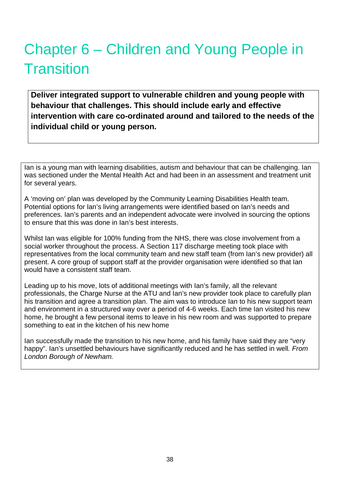# Chapter 6 – Children and Young People in **Transition**

**Deliver integrated support to vulnerable children and young people with behaviour that challenges. This should include early and effective intervention with care co-ordinated around and tailored to the needs of the individual child or young person.**

Ian is a young man with learning disabilities, autism and behaviour that can be challenging. Ian was sectioned under the Mental Health Act and had been in an assessment and treatment unit for several years.

A 'moving on' plan was developed by the Community Learning Disabilities Health team. Potential options for Ian's living arrangements were identified based on Ian's needs and preferences. Ian's parents and an independent advocate were involved in sourcing the options to ensure that this was done in Ian's best interests.

Whilst Ian was eligible for 100% funding from the NHS, there was close involvement from a social worker throughout the process. A Section 117 discharge meeting took place with representatives from the local community team and new staff team (from Ian's new provider) all present. A core group of support staff at the provider organisation were identified so that Ian would have a consistent staff team.

Leading up to his move, lots of additional meetings with Ian's family, all the relevant professionals, the Charge Nurse at the ATU and Ian's new provider took place to carefully plan his transition and agree a transition plan. The aim was to introduce Ian to his new support team and environment in a structured way over a period of 4-6 weeks. Each time Ian visited his new home, he brought a few personal items to leave in his new room and was supported to prepare something to eat in the kitchen of his new home

Ian successfully made the transition to his new home, and his family have said they are "very happy". Ian's unsettled behaviours have significantly reduced and he has settled in well*. From London Borough of Newham.*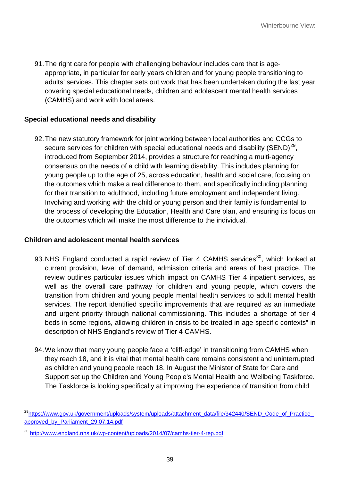91.The right care for people with challenging behaviour includes care that is ageappropriate, in particular for early years children and for young people transitioning to adults' services. This chapter sets out work that has been undertaken during the last year covering special educational needs, children and adolescent mental health services (CAMHS) and work with local areas.

## **Special educational needs and disability**

92.The new statutory framework for joint working between local authorities and CCGs to secure services for children with special educational needs and disability (SEND)<sup>29</sup>, introduced from September 2014, provides a structure for reaching a multi-agency consensus on the needs of a child with learning disability. This includes planning for young people up to the age of 25, across education, health and social care, focusing on the outcomes which make a real difference to them, and specifically including planning for their transition to adulthood, including future employment and independent living. Involving and working with the child or young person and their family is fundamental to the process of developing the Education, Health and Care plan, and ensuring its focus on the outcomes which will make the most difference to the individual.

#### **Children and adolescent mental health services**

- 93.NHS England conducted a rapid review of Tier 4 CAMHS services<sup>30</sup>, which looked at current provision, level of demand, admission criteria and areas of best practice. The review outlines particular issues which impact on CAMHS Tier 4 inpatient services, as well as the overall care pathway for children and young people, which covers the transition from children and young people mental health services to adult mental health services. The report identified specific improvements that are required as an immediate and urgent priority through national commissioning. This includes a shortage of tier 4 beds in some regions, allowing children in crisis to be treated in age specific contexts" in description of NHS England's review of Tier 4 CAMHS.
- 94.We know that many young people face a 'cliff-edge' in transitioning from CAMHS when they reach 18, and it is vital that mental health care remains consistent and uninterrupted as children and young people reach 18. In August the Minister of State for Care and Support set up the Children and Young People's Mental Health and Wellbeing Taskforce. The Taskforce is looking specifically at improving the experience of transition from child

 $\overline{a}$ 

<sup>&</sup>lt;sup>29</sup>https://www.gov.uk/government/uploads/system/uploads/attachment\_data/file/342440/SEND\_Code\_of\_Practice [approved\\_by\\_Parliament\\_29.07.14.pdf](https://www.gov.uk/government/uploads/system/uploads/attachment_data/file/342440/SEND_Code_of_Practice_approved_by_Parliament_29.07.14.pdf)

<span id="page-38-1"></span><span id="page-38-0"></span><sup>30</sup> <http://www.england.nhs.uk/wp-content/uploads/2014/07/camhs-tier-4-rep.pdf>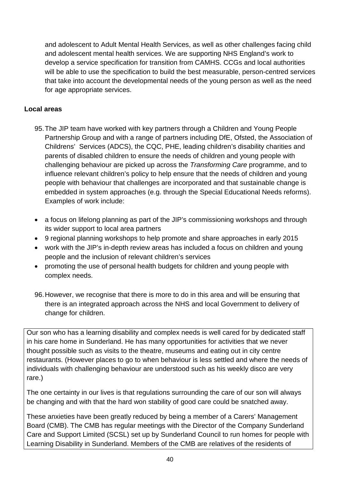and adolescent to Adult Mental Health Services, as well as other challenges facing child and adolescent mental health services. We are supporting NHS England's work to develop a service specification for transition from CAMHS. CCGs and local authorities will be able to use the specification to build the best measurable, person-centred services that take into account the developmental needs of the young person as well as the need for age appropriate services.

## **Local areas**

- 95.The JIP team have worked with key partners through a Children and Young People Partnership Group and with a range of partners including DfE, Ofsted, the Association of Childrens' Services (ADCS), the CQC, PHE, leading children's disability charities and parents of disabled children to ensure the needs of children and young people with challenging behaviour are picked up across the *Transforming Care* programme, and to influence relevant children's policy to help ensure that the needs of children and young people with behaviour that challenges are incorporated and that sustainable change is embedded in system approaches (e.g. through the Special Educational Needs reforms). Examples of work include:
- a focus on lifelong planning as part of the JIP's commissioning workshops and through its wider support to local area partners
- 9 regional planning workshops to help promote and share approaches in early 2015
- work with the JIP's in-depth review areas has included a focus on children and young people and the inclusion of relevant children's services
- promoting the use of personal health budgets for children and young people with complex needs.
- 96.However, we recognise that there is more to do in this area and will be ensuring that there is an integrated approach across the NHS and local Government to delivery of change for children.

Our son who has a learning disability and complex needs is well cared for by dedicated staff in his care home in Sunderland. He has many opportunities for activities that we never thought possible such as visits to the theatre, museums and eating out in city centre restaurants. (However places to go to when behaviour is less settled and where the needs of individuals with challenging behaviour are understood such as his weekly disco are very rare.)

The one certainty in our lives is that regulations surrounding the care of our son will always be changing and with that the hard won stability of good care could be snatched away.

These anxieties have been greatly reduced by being a member of a Carers' Management Board (CMB). The CMB has regular meetings with the Director of the Company Sunderland Care and Support Limited (SCSL) set up by Sunderland Council to run homes for people with Learning Disability in Sunderland. Members of the CMB are relatives of the residents of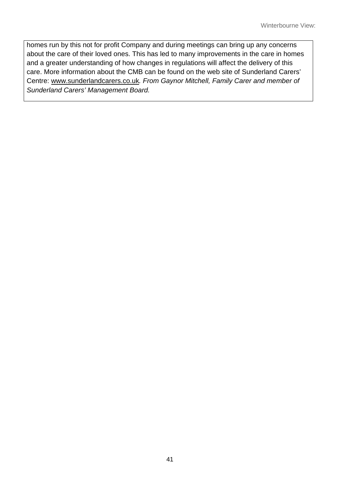homes run by this not for profit Company and during meetings can bring up any concerns about the care of their loved ones. This has led to many improvements in the care in homes and a greater understanding of how changes in regulations will affect the delivery of this care. More information about the CMB can be found on the web site of Sunderland Carers' Centre: [www.sunderlandcarers.co.uk](http://www.sunderlandcarers.co.uk/)*. From Gaynor Mitchell, Family Carer and member of Sunderland Carers' Management Board.*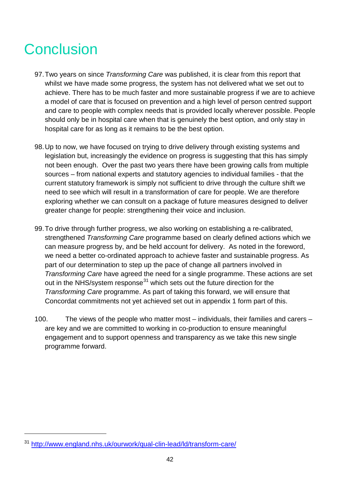# **Conclusion**

- 97.Two years on since *Transforming Care* was published, it is clear from this report that whilst we have made some progress, the system has not delivered what we set out to achieve. There has to be much faster and more sustainable progress if we are to achieve a model of care that is focused on prevention and a high level of person centred support and care to people with complex needs that is provided locally wherever possible. People should only be in hospital care when that is genuinely the best option, and only stay in hospital care for as long as it remains to be the best option.
- 98.Up to now, we have focused on trying to drive delivery through existing systems and legislation but, increasingly the evidence on progress is suggesting that this has simply not been enough. Over the past two years there have been growing calls from multiple sources – from national experts and statutory agencies to individual families - that the current statutory framework is simply not sufficient to drive through the culture shift we need to see which will result in a transformation of care for people. We are therefore exploring whether we can consult on a package of future measures designed to deliver greater change for people: strengthening their voice and inclusion.
- 99.To drive through further progress, we also working on establishing a re-calibrated, strengthened *Transforming Care* programme based on clearly defined actions which we can measure progress by, and be held account for delivery. As noted in the foreword, we need a better co-ordinated approach to achieve faster and sustainable progress. As part of our determination to step up the pace of change all partners involved in *Transforming Care* have agreed the need for a single programme. These actions are set out in the NHS/system response<sup>[31](#page-38-1)</sup> which sets out the future direction for the *Transforming Care* programme. As part of taking this forward, we will ensure that Concordat commitments not yet achieved set out in appendix 1 form part of this.
- 100. The views of the people who matter most individuals, their families and carers are key and we are committed to working in co-production to ensure meaningful engagement and to support openness and transparency as we take this new single programme forward.

 $\overline{a}$ 

<sup>31</sup> <http://www.england.nhs.uk/ourwork/qual-clin-lead/ld/transform-care/>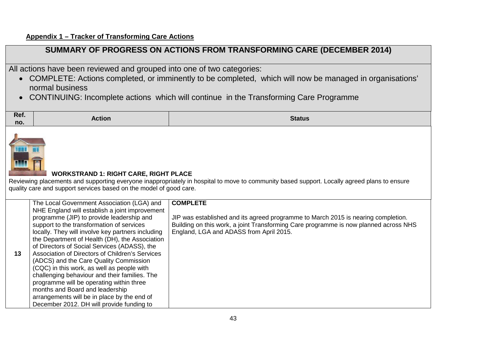# **SUMMARY OF PROGRESS ON ACTIONS FROM TRANSFORMING CARE (DECEMBER 2014)**

All actions have been reviewed and grouped into one of two categories:

- COMPLETE: Actions completed, or imminently to be completed, which will now be managed in organisations' normal business
- CONTINUING: Incomplete actions which will continue in the Transforming Care Programme

| Ref. | <b>Action</b> | <b>Status</b> |
|------|---------------|---------------|
| no.  |               |               |



# **WORKSTRAND 1: RIGHT CARE, RIGHT PLACE**

Reviewing placements and supporting everyone inappropriately in hospital to move to community based support. Locally agreed plans to ensure quality care and support services based on the model of good care.

|    | The Local Government Association (LGA) and        | <b>COMPLETE</b>                                                                      |
|----|---------------------------------------------------|--------------------------------------------------------------------------------------|
|    | NHE England will establish a joint improvement    |                                                                                      |
|    | programme (JIP) to provide leadership and         | JIP was established and its agreed programme to March 2015 is nearing completion.    |
|    | support to the transformation of services         | Building on this work, a joint Transforming Care programme is now planned across NHS |
|    | locally. They will involve key partners including | England, LGA and ADASS from April 2015.                                              |
|    | the Department of Health (DH), the Association    |                                                                                      |
|    | of Directors of Social Services (ADASS), the      |                                                                                      |
| 13 | Association of Directors of Children's Services   |                                                                                      |
|    | (ADCS) and the Care Quality Commission            |                                                                                      |
|    | (CQC) in this work, as well as people with        |                                                                                      |
|    | challenging behaviour and their families. The     |                                                                                      |
|    | programme will be operating within three          |                                                                                      |
|    | months and Board and leadership                   |                                                                                      |
|    | arrangements will be in place by the end of       |                                                                                      |
|    | December 2012. DH will provide funding to         |                                                                                      |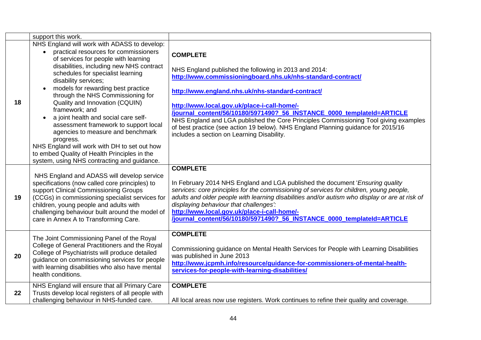|    | support this work.                                                                                                                                                                                                                                                                                                                                                                                                                                                                                              |                                                                                                                                                                                                                                                                                                                                                                                                                                                                                                                                                 |
|----|-----------------------------------------------------------------------------------------------------------------------------------------------------------------------------------------------------------------------------------------------------------------------------------------------------------------------------------------------------------------------------------------------------------------------------------------------------------------------------------------------------------------|-------------------------------------------------------------------------------------------------------------------------------------------------------------------------------------------------------------------------------------------------------------------------------------------------------------------------------------------------------------------------------------------------------------------------------------------------------------------------------------------------------------------------------------------------|
|    | NHS England will work with ADASS to develop:<br>practical resources for commissioners                                                                                                                                                                                                                                                                                                                                                                                                                           |                                                                                                                                                                                                                                                                                                                                                                                                                                                                                                                                                 |
| 18 | of services for people with learning<br>disabilities, including new NHS contract<br>schedules for specialist learning<br>disability services;<br>models for rewarding best practice<br>through the NHS Commissioning for<br>Quality and Innovation (CQUIN)<br>framework; and<br>a joint health and social care self-<br>assessment framework to support local<br>agencies to measure and benchmark<br>progress.<br>NHS England will work with DH to set out how<br>to embed Quality of Health Principles in the | <b>COMPLETE</b><br>NHS England published the following in 2013 and 2014:<br>http://www.commissioningboard.nhs.uk/nhs-standard-contract/<br>http://www.england.nhs.uk/nhs-standard-contract/<br>http://www.local.gov.uk/place-i-call-home/-<br>/journal content/56/10180/5971490? 56 INSTANCE 0000 templateId=ARTICLE<br>NHS England and LGA published the Core Principles Commissioning Tool giving examples<br>of best practice (see action 19 below). NHS England Planning guidance for 2015/16<br>includes a section on Learning Disability. |
|    | system, using NHS contracting and guidance.                                                                                                                                                                                                                                                                                                                                                                                                                                                                     |                                                                                                                                                                                                                                                                                                                                                                                                                                                                                                                                                 |
| 19 | NHS England and ADASS will develop service<br>specifications (now called core principles) to<br>support Clinical Commissioning Groups<br>(CCGs) in commissioning specialist services for<br>children, young people and adults with<br>challenging behaviour built around the model of<br>care in Annex A to Transforming Care.                                                                                                                                                                                  | <b>COMPLETE</b><br>In February 2014 NHS England and LGA published the document 'Ensuring quality'<br>services: core principles for the commissioning of services for children, young people,<br>adults and older people with learning disabilities and/or autism who display or are at risk of<br>displaying behaviour that challenges":<br>http://www.local.gov.uk/place-i-call-home/-<br>/journal_content/56/10180/5971490?_56_INSTANCE_0000_templateId=ARTICLE                                                                               |
|    | The Joint Commissioning Panel of the Royal                                                                                                                                                                                                                                                                                                                                                                                                                                                                      | <b>COMPLETE</b>                                                                                                                                                                                                                                                                                                                                                                                                                                                                                                                                 |
| 20 | College of General Practitioners and the Royal<br>College of Psychiatrists will produce detailed<br>guidance on commissioning services for people<br>with learning disabilities who also have mental<br>health conditions.                                                                                                                                                                                                                                                                                      | Commissioning guidance on Mental Health Services for People with Learning Disabilities<br>was published in June 2013<br>http://www.jcpmh.info/resource/guidance-for-commissioners-of-mental-health-<br>services-for-people-with-learning-disabilities/                                                                                                                                                                                                                                                                                          |
| 22 | NHS England will ensure that all Primary Care<br>Trusts develop local registers of all people with<br>challenging behaviour in NHS-funded care.                                                                                                                                                                                                                                                                                                                                                                 | <b>COMPLETE</b><br>All local areas now use registers. Work continues to refine their quality and coverage.                                                                                                                                                                                                                                                                                                                                                                                                                                      |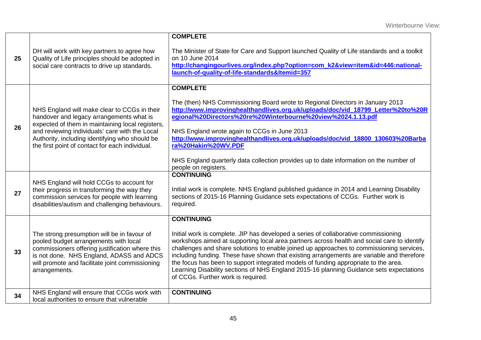| 25 | DH will work with key partners to agree how<br>Quality of Life principles should be adopted in<br>social care contracts to drive up standards.                                                                                                                                                      | <b>COMPLETE</b><br>The Minister of State for Care and Support launched Quality of Life standards and a toolkit<br>on 10 June 2014<br>http://changingourlives.org/index.php?option=com k2&view=item&id=446:national-<br>launch-of-quality-of-life-standards&Itemid=357                                                                                                                                                                                                                                                                                                                                                    |
|----|-----------------------------------------------------------------------------------------------------------------------------------------------------------------------------------------------------------------------------------------------------------------------------------------------------|--------------------------------------------------------------------------------------------------------------------------------------------------------------------------------------------------------------------------------------------------------------------------------------------------------------------------------------------------------------------------------------------------------------------------------------------------------------------------------------------------------------------------------------------------------------------------------------------------------------------------|
| 26 | NHS England will make clear to CCGs in their<br>handover and legacy arrangements what is<br>expected of them in maintaining local registers,<br>and reviewing individuals' care with the Local<br>Authority, including identifying who should be<br>the first point of contact for each individual. | <b>COMPLETE</b><br>The (then) NHS Commissioning Board wrote to Regional Directors in January 2013<br>http://www.improvinghealthandlives.org.uk/uploads/doc/vid_18799_Letter%20to%20R<br>egional%20Directors%20re%20Winterbourne%20view%2024.1.13.pdf<br>NHS England wrote again to CCGs in June 2013<br>http://www.improvinghealthandlives.org.uk/uploads/doc/vid_18800_130603%20Barba<br>ra%20Hakin%20WV.PDF<br>NHS England quarterly data collection provides up to date information on the number of<br>people on registers.                                                                                          |
| 27 | NHS England will hold CCGs to account for<br>their progress in transforming the way they<br>commission services for people with learning<br>disabilities/autism and challenging behaviours.                                                                                                         | <b>CONTINUING</b><br>Initial work is complete. NHS England published guidance in 2014 and Learning Disability<br>sections of 2015-16 Planning Guidance sets expectations of CCGs. Further work is<br>required.                                                                                                                                                                                                                                                                                                                                                                                                           |
| 33 | The strong presumption will be in favour of<br>pooled budget arrangements with local<br>commissioners offering justification where this<br>is not done. NHS England, ADASS and ADCS<br>will promote and facilitate joint commissioning<br>arrangements.                                             | <b>CONTINUING</b><br>Initial work is complete. JIP has developed a series of collaborative commissioning<br>workshops aimed at supporting local area partners across health and social care to identify<br>challenges and share solutions to enable joined up approaches to commissioning services,<br>including funding. These have shown that existing arrangements are variable and therefore<br>the focus has been to support integrated models of funding appropriate to the area.<br>Learning Disability sections of NHS England 2015-16 planning Guidance sets expectations<br>of CCGs. Further work is required. |
| 34 | NHS England will ensure that CCGs work with<br>local authorities to ensure that vulnerable                                                                                                                                                                                                          | <b>CONTINUING</b>                                                                                                                                                                                                                                                                                                                                                                                                                                                                                                                                                                                                        |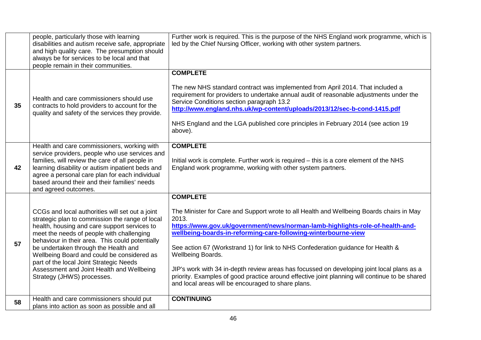|    | people, particularly those with learning<br>disabilities and autism receive safe, appropriate<br>and high quality care. The presumption should<br>always be for services to be local and that<br>people remain in their communities.                                                                                                                                                                                                                           | Further work is required. This is the purpose of the NHS England work programme, which is<br>led by the Chief Nursing Officer, working with other system partners.                                                                                                                                                                                                                                                                                                                                                                                                                                                                     |
|----|----------------------------------------------------------------------------------------------------------------------------------------------------------------------------------------------------------------------------------------------------------------------------------------------------------------------------------------------------------------------------------------------------------------------------------------------------------------|----------------------------------------------------------------------------------------------------------------------------------------------------------------------------------------------------------------------------------------------------------------------------------------------------------------------------------------------------------------------------------------------------------------------------------------------------------------------------------------------------------------------------------------------------------------------------------------------------------------------------------------|
| 35 | Health and care commissioners should use<br>contracts to hold providers to account for the<br>quality and safety of the services they provide.                                                                                                                                                                                                                                                                                                                 | <b>COMPLETE</b><br>The new NHS standard contract was implemented from April 2014. That included a<br>requirement for providers to undertake annual audit of reasonable adjustments under the<br>Service Conditions section paragraph 13.2<br>http://www.england.nhs.uk/wp-content/uploads/2013/12/sec-b-cond-1415.pdf<br>NHS England and the LGA published core principles in February 2014 (see action 19<br>above).                                                                                                                                                                                                                  |
| 42 | Health and care commissioners, working with<br>service providers, people who use services and<br>families, will review the care of all people in<br>learning disability or autism inpatient beds and<br>agree a personal care plan for each individual<br>based around their and their families' needs<br>and agreed outcomes.                                                                                                                                 | <b>COMPLETE</b><br>Initial work is complete. Further work is required – this is a core element of the NHS<br>England work programme, working with other system partners.                                                                                                                                                                                                                                                                                                                                                                                                                                                               |
| 57 | CCGs and local authorities will set out a joint<br>strategic plan to commission the range of local<br>health, housing and care support services to<br>meet the needs of people with challenging<br>behaviour in their area. This could potentially<br>be undertaken through the Health and<br>Wellbeing Board and could be considered as<br>part of the local Joint Strategic Needs<br>Assessment and Joint Health and Wellbeing<br>Strategy (JHWS) processes. | <b>COMPLETE</b><br>The Minister for Care and Support wrote to all Health and Wellbeing Boards chairs in May<br>2013.<br>https://www.gov.uk/government/news/norman-lamb-highlights-role-of-health-and-<br>wellbeing-boards-in-reforming-care-following-winterbourne-view<br>See action 67 (Workstrand 1) for link to NHS Confederation guidance for Health &<br>Wellbeing Boards.<br>JIP's work with 34 in-depth review areas has focussed on developing joint local plans as a<br>priority. Examples of good practice around effective joint planning will continue to be shared<br>and local areas will be encouraged to share plans. |
| 58 | Health and care commissioners should put<br>plans into action as soon as possible and all                                                                                                                                                                                                                                                                                                                                                                      | <b>CONTINUING</b>                                                                                                                                                                                                                                                                                                                                                                                                                                                                                                                                                                                                                      |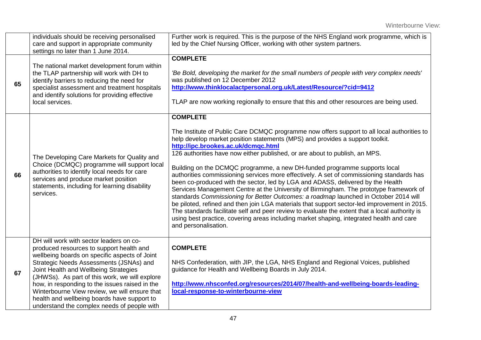|    | individuals should be receiving personalised<br>care and support in appropriate community<br>settings no later than 1 June 2014.                                                                                                                                                                                                                                                                                                                                            | Further work is required. This is the purpose of the NHS England work programme, which is<br>led by the Chief Nursing Officer, working with other system partners.                                                                                                                                                                                                                                                                                                                                                                                                                                                                                                                                                                                                                                                                                                                                                                                                                                                                                                                         |
|----|-----------------------------------------------------------------------------------------------------------------------------------------------------------------------------------------------------------------------------------------------------------------------------------------------------------------------------------------------------------------------------------------------------------------------------------------------------------------------------|--------------------------------------------------------------------------------------------------------------------------------------------------------------------------------------------------------------------------------------------------------------------------------------------------------------------------------------------------------------------------------------------------------------------------------------------------------------------------------------------------------------------------------------------------------------------------------------------------------------------------------------------------------------------------------------------------------------------------------------------------------------------------------------------------------------------------------------------------------------------------------------------------------------------------------------------------------------------------------------------------------------------------------------------------------------------------------------------|
| 65 | The national market development forum within<br>the TLAP partnership will work with DH to<br>identify barriers to reducing the need for<br>specialist assessment and treatment hospitals<br>and identify solutions for providing effective<br>local services.                                                                                                                                                                                                               | <b>COMPLETE</b><br>'Be Bold, developing the market for the small numbers of people with very complex needs'<br>was published on 12 December 2012<br>http://www.thinklocalactpersonal.org.uk/Latest/Resource/?cid=9412<br>TLAP are now working regionally to ensure that this and other resources are being used.                                                                                                                                                                                                                                                                                                                                                                                                                                                                                                                                                                                                                                                                                                                                                                           |
| 66 | The Developing Care Markets for Quality and<br>Choice (DCMQC) programme will support local<br>authorities to identify local needs for care<br>services and produce market position<br>statements, including for learning disability<br>services.                                                                                                                                                                                                                            | <b>COMPLETE</b><br>The Institute of Public Care DCMQC programme now offers support to all local authorities to<br>help develop market position statements (MPS) and provides a support toolkit.<br>http://ipc.brookes.ac.uk/dcmqc.html<br>126 authorities have now either published, or are about to publish, an MPS.<br>Building on the DCMQC programme, a new DH-funded programme supports local<br>authorities commissioning services more effectively. A set of commissioning standards has<br>been co-produced with the sector, led by LGA and ADASS, delivered by the Health<br>Services Management Centre at the University of Birmingham. The prototype framework of<br>standards Commissioning for Better Outcomes: a roadmap launched in October 2014 will<br>be piloted, refined and then join LGA materials that support sector-led improvement in 2015.<br>The standards facilitate self and peer review to evaluate the extent that a local authority is<br>using best practice, covering areas including market shaping, integrated health and care<br>and personalisation. |
| 67 | DH will work with sector leaders on co-<br>produced resources to support health and<br>wellbeing boards on specific aspects of Joint<br>Strategic Needs Assessments (JSNAs) and<br>Joint Health and Wellbeing Strategies<br>(JHWSs). As part of this work, we will explore<br>how, in responding to the issues raised in the<br>Winterbourne View review, we will ensure that<br>health and wellbeing boards have support to<br>understand the complex needs of people with | <b>COMPLETE</b><br>NHS Confederation, with JIP, the LGA, NHS England and Regional Voices, published<br>guidance for Health and Wellbeing Boards in July 2014.<br>http://www.nhsconfed.org/resources/2014/07/health-and-wellbeing-boards-leading-<br>local-response-to-winterbourne-view                                                                                                                                                                                                                                                                                                                                                                                                                                                                                                                                                                                                                                                                                                                                                                                                    |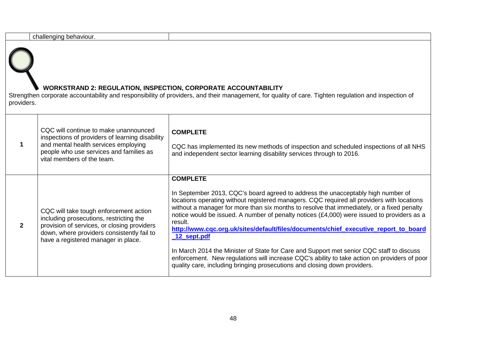|              | challenging behaviour.                                                                                                                                                                                                |                                                                                                                                                                                                                                                                                                                                                                                                                                                                                                                                                                                                                                                                                                                                                                                         |
|--------------|-----------------------------------------------------------------------------------------------------------------------------------------------------------------------------------------------------------------------|-----------------------------------------------------------------------------------------------------------------------------------------------------------------------------------------------------------------------------------------------------------------------------------------------------------------------------------------------------------------------------------------------------------------------------------------------------------------------------------------------------------------------------------------------------------------------------------------------------------------------------------------------------------------------------------------------------------------------------------------------------------------------------------------|
| providers.   | <b>WORKSTRAND 2: REGULATION, INSPECTION, CORPORATE ACCOUNTABILITY</b>                                                                                                                                                 | Strengthen corporate accountability and responsibility of providers, and their management, for quality of care. Tighten regulation and inspection of                                                                                                                                                                                                                                                                                                                                                                                                                                                                                                                                                                                                                                    |
|              | CQC will continue to make unannounced<br>inspections of providers of learning disability<br>and mental health services employing<br>people who use services and families as<br>vital members of the team.             | <b>COMPLETE</b><br>CQC has implemented its new methods of inspection and scheduled inspections of all NHS<br>and independent sector learning disability services through to 2016.                                                                                                                                                                                                                                                                                                                                                                                                                                                                                                                                                                                                       |
| $\mathbf{2}$ | CQC will take tough enforcement action<br>including prosecutions, restricting the<br>provision of services, or closing providers<br>down, where providers consistently fail to<br>have a registered manager in place. | <b>COMPLETE</b><br>In September 2013, CQC's board agreed to address the unacceptably high number of<br>locations operating without registered managers. CQC required all providers with locations<br>without a manager for more than six months to resolve that immediately, or a fixed penalty<br>notice would be issued. A number of penalty notices (£4,000) were issued to providers as a<br>result.<br>http://www.cqc.org.uk/sites/default/files/documents/chief_executive_report_to_board<br>12 sept.pdf<br>In March 2014 the Minister of State for Care and Support met senior CQC staff to discuss<br>enforcement. New regulations will increase CQC's ability to take action on providers of poor<br>quality care, including bringing prosecutions and closing down providers. |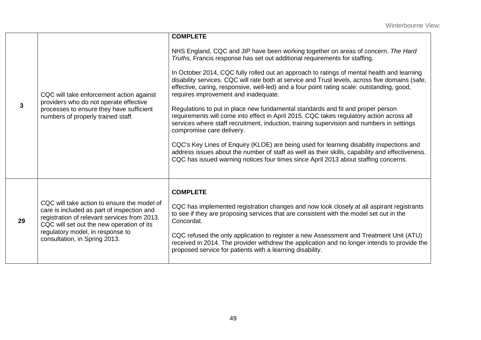|    |                                                                                                                                                                                                                                                             | <b>COMPLETE</b>                                                                                                                                                                                                                                                                                                                                                                                                                                                                                                                                                                                                                                                                                                                                                                                                                                                                                                                                                                                                                                                                                       |
|----|-------------------------------------------------------------------------------------------------------------------------------------------------------------------------------------------------------------------------------------------------------------|-------------------------------------------------------------------------------------------------------------------------------------------------------------------------------------------------------------------------------------------------------------------------------------------------------------------------------------------------------------------------------------------------------------------------------------------------------------------------------------------------------------------------------------------------------------------------------------------------------------------------------------------------------------------------------------------------------------------------------------------------------------------------------------------------------------------------------------------------------------------------------------------------------------------------------------------------------------------------------------------------------------------------------------------------------------------------------------------------------|
| 3  | CQC will take enforcement action against<br>providers who do not operate effective<br>processes to ensure they have sufficient<br>numbers of properly trained staff.                                                                                        | NHS England, CQC and JIP have been working together on areas of concern. The Hard<br>Truths, Francis response has set out additional requirements for staffing.<br>In October 2014, CQC fully rolled out an approach to ratings of mental health and learning<br>disability services. CQC will rate both at service and Trust levels, across five domains (safe,<br>effective, caring, responsive, well-led) and a four point rating scale: outstanding, good,<br>requires improvement and inadequate.<br>Regulations to put in place new fundamental standards and fit and proper person<br>requirements will come into effect in April 2015. CQC takes regulatory action across all<br>services where staff recruitment, induction, training supervision and numbers in settings<br>compromise care delivery.<br>CQC's Key Lines of Enquiry (KLOE) are being used for learning disability inspections and<br>address issues about the number of staff as well as their skills, capability and effectiveness.<br>CQC has issued warning notices four times since April 2013 about staffing concerns. |
| 29 | CQC will take action to ensure the model of<br>care is included as part of inspection and<br>registration of relevant services from 2013.<br>CQC will set out the new operation of its<br>regulatory model, in response to<br>consultation, in Spring 2013. | <b>COMPLETE</b><br>CQC has implemented registration changes and now look closely at all aspirant registrants<br>to see if they are proposing services that are consistent with the model set out in the<br>Concordat.<br>CQC refused the only application to register a new Assessment and Treatment Unit (ATU)<br>received in 2014. The provider withdrew the application and no longer intends to provide the<br>proposed service for patients with a learning disability.                                                                                                                                                                                                                                                                                                                                                                                                                                                                                                                                                                                                                          |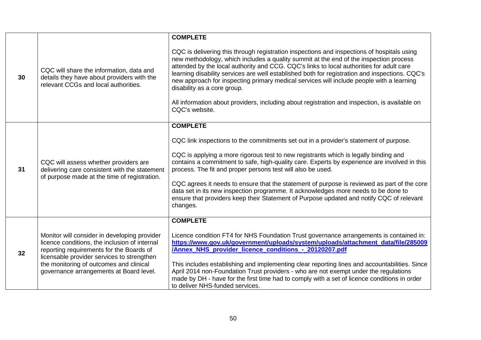|    |                                                                                                                                                                                                                                                                               | <b>COMPLETE</b>                                                                                                                                                                                                                                                                                                                                                                                                                                                                                                                                                                                                                 |
|----|-------------------------------------------------------------------------------------------------------------------------------------------------------------------------------------------------------------------------------------------------------------------------------|---------------------------------------------------------------------------------------------------------------------------------------------------------------------------------------------------------------------------------------------------------------------------------------------------------------------------------------------------------------------------------------------------------------------------------------------------------------------------------------------------------------------------------------------------------------------------------------------------------------------------------|
| 30 | CQC will share the information, data and<br>details they have about providers with the<br>relevant CCGs and local authorities.                                                                                                                                                | CQC is delivering this through registration inspections and inspections of hospitals using<br>new methodology, which includes a quality summit at the end of the inspection process<br>attended by the local authority and CCG. CQC's links to local authorities for adult care<br>learning disability services are well established both for registration and inspections. CQC's<br>new approach for inspecting primary medical services will include people with a learning<br>disability as a core group.<br>All information about providers, including about registration and inspection, is available on<br>CQC's website. |
|    |                                                                                                                                                                                                                                                                               | <b>COMPLETE</b>                                                                                                                                                                                                                                                                                                                                                                                                                                                                                                                                                                                                                 |
|    |                                                                                                                                                                                                                                                                               | CQC link inspections to the commitments set out in a provider's statement of purpose.                                                                                                                                                                                                                                                                                                                                                                                                                                                                                                                                           |
| 31 | CQC will assess whether providers are<br>delivering care consistent with the statement<br>of purpose made at the time of registration.                                                                                                                                        | CQC is applying a more rigorous test to new registrants which is legally binding and<br>contains a commitment to safe, high-quality care. Experts by experience are involved in this<br>process. The fit and proper persons test will also be used.                                                                                                                                                                                                                                                                                                                                                                             |
|    |                                                                                                                                                                                                                                                                               | CQC agrees it needs to ensure that the statement of purpose is reviewed as part of the core<br>data set in its new inspection programme. It acknowledges more needs to be done to<br>ensure that providers keep their Statement of Purpose updated and notify CQC of relevant<br>changes.                                                                                                                                                                                                                                                                                                                                       |
|    |                                                                                                                                                                                                                                                                               | <b>COMPLETE</b>                                                                                                                                                                                                                                                                                                                                                                                                                                                                                                                                                                                                                 |
| 32 | Monitor will consider in developing provider<br>licence conditions, the inclusion of internal<br>reporting requirements for the Boards of<br>licensable provider services to strengthen<br>the monitoring of outcomes and clinical<br>governance arrangements at Board level. | Licence condition FT4 for NHS Foundation Trust governance arrangements is contained in:<br>https://www.gov.uk/government/uploads/system/uploads/attachment_data/file/285009<br><b>Annex NHS provider licence conditions - 20120207.pdf</b><br>This includes establishing and implementing clear reporting lines and accountabilities. Since<br>April 2014 non-Foundation Trust providers - who are not exempt under the regulations                                                                                                                                                                                             |
|    |                                                                                                                                                                                                                                                                               | made by DH - have for the first time had to comply with a set of licence conditions in order<br>to deliver NHS-funded services.                                                                                                                                                                                                                                                                                                                                                                                                                                                                                                 |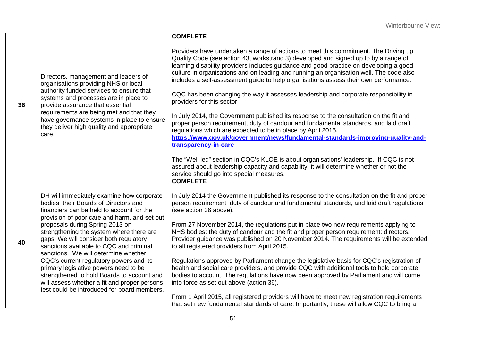|    |                                                                                                                                                                                                                                                                                                                                                                                                                                                                                                                                                                                                                              | <b>COMPLETE</b>                                                                                                                                                                                                                                                                                                                                                                                                                                                                                                                                                                                                                                                                                                                                                                                                                                                                                                                                                                                                                                                                                                                                                             |
|----|------------------------------------------------------------------------------------------------------------------------------------------------------------------------------------------------------------------------------------------------------------------------------------------------------------------------------------------------------------------------------------------------------------------------------------------------------------------------------------------------------------------------------------------------------------------------------------------------------------------------------|-----------------------------------------------------------------------------------------------------------------------------------------------------------------------------------------------------------------------------------------------------------------------------------------------------------------------------------------------------------------------------------------------------------------------------------------------------------------------------------------------------------------------------------------------------------------------------------------------------------------------------------------------------------------------------------------------------------------------------------------------------------------------------------------------------------------------------------------------------------------------------------------------------------------------------------------------------------------------------------------------------------------------------------------------------------------------------------------------------------------------------------------------------------------------------|
| 36 | Directors, management and leaders of<br>organisations providing NHS or local<br>authority funded services to ensure that<br>systems and processes are in place to<br>provide assurance that essential<br>requirements are being met and that they<br>have governance systems in place to ensure<br>they deliver high quality and appropriate<br>care.                                                                                                                                                                                                                                                                        | Providers have undertaken a range of actions to meet this commitment. The Driving up<br>Quality Code (see action 43, workstrand 3) developed and signed up to by a range of<br>learning disability providers includes guidance and good practice on developing a good<br>culture in organisations and on leading and running an organisation well. The code also<br>includes a self-assessment guide to help organisations assess their own performance.<br>CQC has been changing the way it assesses leadership and corporate responsibility in<br>providers for this sector.<br>In July 2014, the Government published its response to the consultation on the fit and<br>proper person requirement, duty of candour and fundamental standards, and laid draft<br>regulations which are expected to be in place by April 2015.<br>https://www.gov.uk/government/news/fundamental-standards-improving-quality-and-<br>transparency-in-care<br>The "Well led" section in CQC's KLOE is about organisations' leadership. If CQC is not<br>assured about leadership capacity and capability, it will determine whether or not the<br>service should go into special measures. |
| 40 | DH will immediately examine how corporate<br>bodies, their Boards of Directors and<br>financiers can be held to account for the<br>provision of poor care and harm, and set out<br>proposals during Spring 2013 on<br>strengthening the system where there are<br>gaps. We will consider both regulatory<br>sanctions available to CQC and criminal<br>sanctions. We will determine whether<br>CQC's current regulatory powers and its<br>primary legislative powers need to be<br>strengthened to hold Boards to account and<br>will assess whether a fit and proper persons<br>test could be introduced for board members. | <b>COMPLETE</b><br>In July 2014 the Government published its response to the consultation on the fit and proper<br>person requirement, duty of candour and fundamental standards, and laid draft regulations<br>(see action 36 above).<br>From 27 November 2014, the regulations put in place two new requirements applying to<br>NHS bodies: the duty of candour and the fit and proper person requirement: directors.<br>Provider guidance was published on 20 November 2014. The requirements will be extended<br>to all registered providers from April 2015.<br>Regulations approved by Parliament change the legislative basis for CQC's registration of<br>health and social care providers, and provide CQC with additional tools to hold corporate<br>bodies to account. The regulations have now been approved by Parliament and will come<br>into force as set out above (action 36).<br>From 1 April 2015, all registered providers will have to meet new registration requirements<br>that set new fundamental standards of care. Importantly, these will allow CQC to bring a                                                                                 |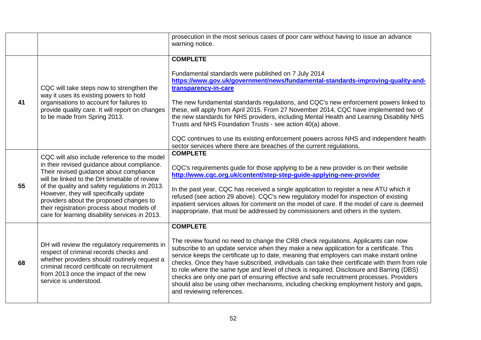|    |                                                                                                                                                                                                                                                                                                                                                                                                                               | prosecution in the most serious cases of poor care without having to issue an advance<br>warning notice.                                                                                                                                                                                                                                                                                                                                                                                                                                                                                                                                                                                                   |
|----|-------------------------------------------------------------------------------------------------------------------------------------------------------------------------------------------------------------------------------------------------------------------------------------------------------------------------------------------------------------------------------------------------------------------------------|------------------------------------------------------------------------------------------------------------------------------------------------------------------------------------------------------------------------------------------------------------------------------------------------------------------------------------------------------------------------------------------------------------------------------------------------------------------------------------------------------------------------------------------------------------------------------------------------------------------------------------------------------------------------------------------------------------|
| 41 | CQC will take steps now to strengthen the<br>way it uses its existing powers to hold<br>organisations to account for failures to<br>provide quality care. It will report on changes<br>to be made from Spring 2013.                                                                                                                                                                                                           | <b>COMPLETE</b><br>Fundamental standards were published on 7 July 2014<br>https://www.gov.uk/government/news/fundamental-standards-improving-quality-and-<br>transparency-in-care<br>The new fundamental standards regulations, and CQC's new enforcement powers linked to<br>these, will apply from April 2015. From 27 November 2014, CQC have implemented two of<br>the new standards for NHS providers, including Mental Health and Learning Disability NHS<br>Trusts and NHS Foundation Trusts - see action 40(a) above.<br>CQC continues to use its existing enforcement powers across NHS and independent health<br>sector services where there are breaches of the current regulations.            |
| 55 | CQC will also include reference to the model<br>in their revised guidance about compliance.<br>Their revised guidance about compliance<br>will be linked to the DH timetable of review<br>of the quality and safety regulations in 2013.<br>However, they will specifically update<br>providers about the proposed changes to<br>their registration process about models of<br>care for learning disability services in 2013. | <b>COMPLETE</b><br>CQC's requirements guide for those applying to be a new provider is on their website<br>http://www.cqc.org.uk/content/step-step-guide-applying-new-provider<br>In the past year, CQC has received a single application to register a new ATU which it<br>refused (see action 29 above). CQC's new regulatory model for inspection of existing<br>inpatient services allows for comment on the model of care. If the model of care is deemed<br>inappropriate, that must be addressed by commissioners and others in the system.                                                                                                                                                         |
| 68 | DH will review the regulatory requirements in<br>respect of criminal records checks and<br>whether providers should routinely request a<br>criminal record certificate on recruitment<br>from 2013 once the impact of the new<br>service is understood.                                                                                                                                                                       | <b>COMPLETE</b><br>The review found no need to change the CRB check regulations. Applicants can now<br>subscribe to an update service when they make a new application for a certificate. This<br>service keeps the certificate up to date, meaning that employers can make instant online<br>checks. Once they have subscribed, individuals can take their certificate with them from role<br>to role where the same type and level of check is required. Disclosure and Barring (DBS)<br>checks are only one part of ensuring effective and safe recruitment processes. Providers<br>should also be using other mechanisms, including checking employment history and gaps,<br>and reviewing references. |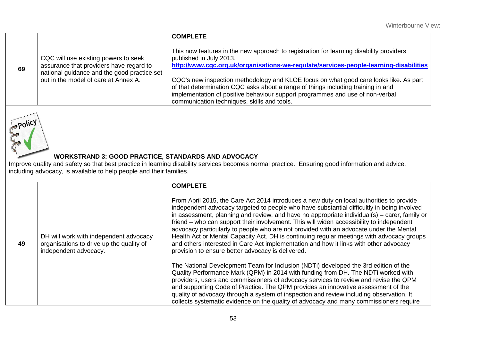| This now features in the new approach to registration for learning disability providers<br>CQC will use existing powers to seek<br>published in July 2013.<br>assurance that providers have regard to<br>69<br>national guidance and the good practice set<br>out in the model of care at Annex A.<br>CQC's new inspection methodology and KLOE focus on what good care looks like. As part<br>of that determination CQC asks about a range of things including training in and<br>implementation of positive behaviour support programmes and use of non-verbal |  | <b>COMPLETE</b>                                                                       |
|------------------------------------------------------------------------------------------------------------------------------------------------------------------------------------------------------------------------------------------------------------------------------------------------------------------------------------------------------------------------------------------------------------------------------------------------------------------------------------------------------------------------------------------------------------------|--|---------------------------------------------------------------------------------------|
| communication techniques, skills and tools.                                                                                                                                                                                                                                                                                                                                                                                                                                                                                                                      |  | http://www.cqc.org.uk/organisations-we-regulate/services-people-learning-disabilities |



## **WORKSTRAND 3: GOOD PRACTICE, STANDARDS AND ADVOCACY**

Improve quality and safety so that best practice in learning disability services becomes normal practice. Ensuring good information and advice, including advocacy, is available to help people and their families.

|    |                                                                                                             | <b>COMPLETE</b>                                                                                                                                                                                                                                                                                                                                                                                                                                                                                                                                                                                                                                                                                                         |
|----|-------------------------------------------------------------------------------------------------------------|-------------------------------------------------------------------------------------------------------------------------------------------------------------------------------------------------------------------------------------------------------------------------------------------------------------------------------------------------------------------------------------------------------------------------------------------------------------------------------------------------------------------------------------------------------------------------------------------------------------------------------------------------------------------------------------------------------------------------|
| 49 | DH will work with independent advocacy<br>organisations to drive up the quality of<br>independent advocacy. | From April 2015, the Care Act 2014 introduces a new duty on local authorities to provide<br>independent advocacy targeted to people who have substantial difficultly in being involved<br>in assessment, planning and review, and have no appropriate individual(s) – carer, family or<br>friend – who can support their involvement. This will widen accessibility to independent<br>advocacy particularly to people who are not provided with an advocate under the Mental<br>Health Act or Mental Capacity Act. DH is continuing regular meetings with advocacy groups<br>and others interested in Care Act implementation and how it links with other advocacy<br>provision to ensure better advocacy is delivered. |
|    |                                                                                                             | The National Development Team for Inclusion (NDTi) developed the 3rd edition of the<br>Quality Performance Mark (QPM) in 2014 with funding from DH. The NDTi worked with<br>providers, users and commissioners of advocacy services to review and revise the QPM<br>and supporting Code of Practice. The QPM provides an innovative assessment of the<br>quality of advocacy through a system of inspection and review including observation. It<br>collects systematic evidence on the quality of advocacy and many commissioners require                                                                                                                                                                              |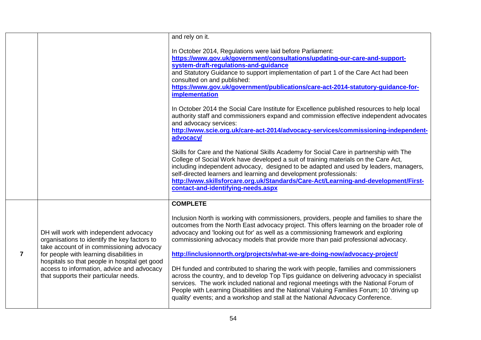|                |                                                                                                                                                                                                                                                                                                                         | and rely on it.                                                                                                                                                                                                                                                                                                                                                                                                                                                                                                                                                                                                                                                                                                                                                                                                                                                                                               |
|----------------|-------------------------------------------------------------------------------------------------------------------------------------------------------------------------------------------------------------------------------------------------------------------------------------------------------------------------|---------------------------------------------------------------------------------------------------------------------------------------------------------------------------------------------------------------------------------------------------------------------------------------------------------------------------------------------------------------------------------------------------------------------------------------------------------------------------------------------------------------------------------------------------------------------------------------------------------------------------------------------------------------------------------------------------------------------------------------------------------------------------------------------------------------------------------------------------------------------------------------------------------------|
|                |                                                                                                                                                                                                                                                                                                                         | In October 2014, Regulations were laid before Parliament:<br>https://www.gov.uk/government/consultations/updating-our-care-and-support-<br>system-draft-regulations-and-guidance<br>and Statutory Guidance to support implementation of part 1 of the Care Act had been<br>consulted on and published:<br>https://www.gov.uk/government/publications/care-act-2014-statutory-guidance-for-<br>implementation                                                                                                                                                                                                                                                                                                                                                                                                                                                                                                  |
|                |                                                                                                                                                                                                                                                                                                                         | In October 2014 the Social Care Institute for Excellence published resources to help local<br>authority staff and commissioners expand and commission effective independent advocates<br>and advocacy services:<br>http://www.scie.org.uk/care-act-2014/advocacy-services/commissioning-independent-<br>advocacy/                                                                                                                                                                                                                                                                                                                                                                                                                                                                                                                                                                                             |
|                |                                                                                                                                                                                                                                                                                                                         | Skills for Care and the National Skills Academy for Social Care in partnership with The<br>College of Social Work have developed a suit of training materials on the Care Act,<br>including independent advocacy, designed to be adapted and used by leaders, managers,<br>self-directed learners and learning and development professionals:<br>http://www.skillsforcare.org.uk/Standards/Care-Act/Learning-and-development/First-<br>contact-and-identifying-needs.aspx                                                                                                                                                                                                                                                                                                                                                                                                                                     |
|                |                                                                                                                                                                                                                                                                                                                         | <b>COMPLETE</b>                                                                                                                                                                                                                                                                                                                                                                                                                                                                                                                                                                                                                                                                                                                                                                                                                                                                                               |
| $\overline{7}$ | DH will work with independent advocacy<br>organisations to identify the key factors to<br>take account of in commissioning advocacy<br>for people with learning disabilities in<br>hospitals so that people in hospital get good<br>access to information, advice and advocacy<br>that supports their particular needs. | Inclusion North is working with commissioners, providers, people and families to share the<br>outcomes from the North East advocacy project. This offers learning on the broader role of<br>advocacy and 'looking out for' as well as a commissioning framework and exploring<br>commissioning advocacy models that provide more than paid professional advocacy.<br>http://inclusionnorth.org/projects/what-we-are-doing-now/advocacy-project/<br>DH funded and contributed to sharing the work with people, families and commissioners<br>across the country, and to develop Top Tips guidance on delivering advocacy in specialist<br>services. The work included national and regional meetings with the National Forum of<br>People with Learning Disabilities and the National Valuing Families Forum; 10 'driving up<br>quality' events; and a workshop and stall at the National Advocacy Conference. |
|                |                                                                                                                                                                                                                                                                                                                         |                                                                                                                                                                                                                                                                                                                                                                                                                                                                                                                                                                                                                                                                                                                                                                                                                                                                                                               |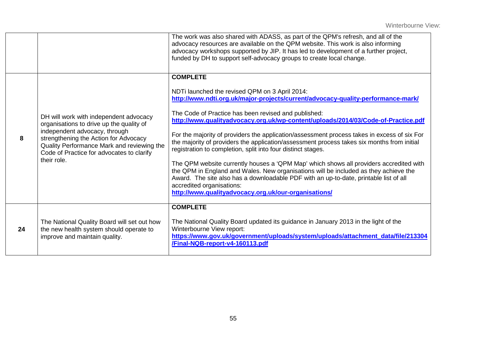|    |                                                                                                                                                                                                                                                                        | The work was also shared with ADASS, as part of the QPM's refresh, and all of the<br>advocacy resources are available on the QPM website. This work is also informing<br>advocacy workshops supported by JIP. It has led to development of a further project,<br>funded by DH to support self-advocacy groups to create local change.                                                                                                                                                                                                                                                                                                                                                                                                                                                                                                                                                                                           |
|----|------------------------------------------------------------------------------------------------------------------------------------------------------------------------------------------------------------------------------------------------------------------------|---------------------------------------------------------------------------------------------------------------------------------------------------------------------------------------------------------------------------------------------------------------------------------------------------------------------------------------------------------------------------------------------------------------------------------------------------------------------------------------------------------------------------------------------------------------------------------------------------------------------------------------------------------------------------------------------------------------------------------------------------------------------------------------------------------------------------------------------------------------------------------------------------------------------------------|
| 8  | DH will work with independent advocacy<br>organisations to drive up the quality of<br>independent advocacy, through<br>strengthening the Action for Advocacy<br>Quality Performance Mark and reviewing the<br>Code of Practice for advocates to clarify<br>their role. | <b>COMPLETE</b><br>NDTi launched the revised QPM on 3 April 2014:<br>http://www.ndti.org.uk/major-projects/current/advocacy-quality-performance-mark/<br>The Code of Practice has been revised and published:<br>http://www.qualityadvocacy.org.uk/wp-content/uploads/2014/03/Code-of-Practice.pdf<br>For the majority of providers the application/assessment process takes in excess of six For<br>the majority of providers the application/assessment process takes six months from initial<br>registration to completion, split into four distinct stages.<br>The QPM website currently houses a 'QPM Map' which shows all providers accredited with<br>the QPM in England and Wales. New organisations will be included as they achieve the<br>Award. The site also has a downloadable PDF with an up-to-date, printable list of all<br>accredited organisations:<br>http://www.qualityadvocacy.org.uk/our-organisations/ |
| 24 | The National Quality Board will set out how<br>the new health system should operate to<br>improve and maintain quality.                                                                                                                                                | <b>COMPLETE</b><br>The National Quality Board updated its guidance in January 2013 in the light of the<br>Winterbourne View report:<br>https://www.gov.uk/government/uploads/system/uploads/attachment_data/file/213304<br>/Final-NQB-report-v4-160113.pdf                                                                                                                                                                                                                                                                                                                                                                                                                                                                                                                                                                                                                                                                      |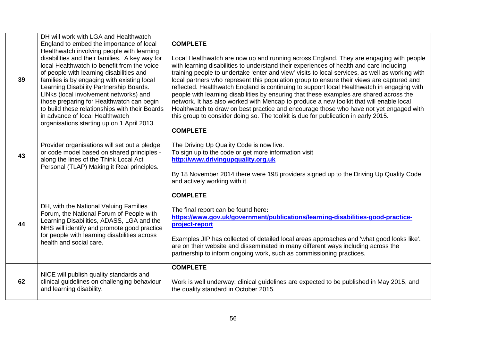| 39 | DH will work with LGA and Healthwatch<br>England to embed the importance of local<br>Healthwatch involving people with learning<br>disabilities and their families. A key way for<br>local Healthwatch to benefit from the voice<br>of people with learning disabilities and<br>families is by engaging with existing local<br>Learning Disability Partnership Boards.<br>LINks (local involvement networks) and<br>those preparing for Healthwatch can begin<br>to build these relationships with their Boards<br>in advance of local Healthwatch<br>organisations starting up on 1 April 2013. | <b>COMPLETE</b><br>Local Healthwatch are now up and running across England. They are engaging with people<br>with learning disabilities to understand their experiences of health and care including<br>training people to undertake 'enter and view' visits to local services, as well as working with<br>local partners who represent this population group to ensure their views are captured and<br>reflected. Healthwatch England is continuing to support local Healthwatch in engaging with<br>people with learning disabilities by ensuring that these examples are shared across the<br>network. It has also worked with Mencap to produce a new toolkit that will enable local<br>Healthwatch to draw on best practice and encourage those who have not yet engaged with<br>this group to consider doing so. The toolkit is due for publication in early 2015. |
|----|--------------------------------------------------------------------------------------------------------------------------------------------------------------------------------------------------------------------------------------------------------------------------------------------------------------------------------------------------------------------------------------------------------------------------------------------------------------------------------------------------------------------------------------------------------------------------------------------------|--------------------------------------------------------------------------------------------------------------------------------------------------------------------------------------------------------------------------------------------------------------------------------------------------------------------------------------------------------------------------------------------------------------------------------------------------------------------------------------------------------------------------------------------------------------------------------------------------------------------------------------------------------------------------------------------------------------------------------------------------------------------------------------------------------------------------------------------------------------------------|
| 43 | Provider organisations will set out a pledge<br>or code model based on shared principles -<br>along the lines of the Think Local Act<br>Personal (TLAP) Making it Real principles.                                                                                                                                                                                                                                                                                                                                                                                                               | <b>COMPLETE</b><br>The Driving Up Quality Code is now live.<br>To sign up to the code or get more information visit<br>http://www.drivingupquality.org.uk<br>By 18 November 2014 there were 198 providers signed up to the Driving Up Quality Code<br>and actively working with it.                                                                                                                                                                                                                                                                                                                                                                                                                                                                                                                                                                                      |
| 44 | DH, with the National Valuing Families<br>Forum, the National Forum of People with<br>Learning Disabilities, ADASS, LGA and the<br>NHS will identify and promote good practice<br>for people with learning disabilities across<br>health and social care.                                                                                                                                                                                                                                                                                                                                        | <b>COMPLETE</b><br>The final report can be found here:<br>https://www.gov.uk/government/publications/learning-disabilities-good-practice-<br>project-report<br>Examples JIP has collected of detailed local areas approaches and 'what good looks like'.<br>are on their website and disseminated in many different ways including across the<br>partnership to inform ongoing work, such as commissioning practices.                                                                                                                                                                                                                                                                                                                                                                                                                                                    |
| 62 | NICE will publish quality standards and<br>clinical guidelines on challenging behaviour<br>and learning disability.                                                                                                                                                                                                                                                                                                                                                                                                                                                                              | <b>COMPLETE</b><br>Work is well underway: clinical guidelines are expected to be published in May 2015, and<br>the quality standard in October 2015.                                                                                                                                                                                                                                                                                                                                                                                                                                                                                                                                                                                                                                                                                                                     |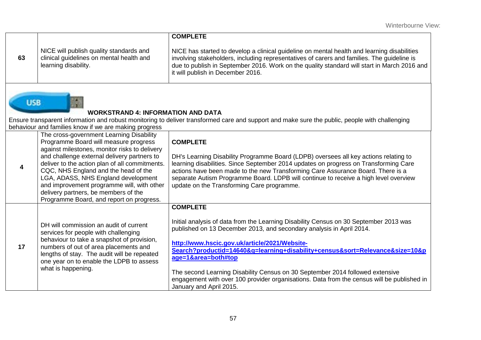|    |                                                                                                             | <b>COMPLETE</b>                                                                                                                                                                                                                                                                                                               |
|----|-------------------------------------------------------------------------------------------------------------|-------------------------------------------------------------------------------------------------------------------------------------------------------------------------------------------------------------------------------------------------------------------------------------------------------------------------------|
| 63 | NICE will publish quality standards and<br>clinical guidelines on mental health and<br>learning disability. | NICE has started to develop a clinical guideline on mental health and learning disabilities<br>involving stakeholders, including representatives of carers and families. The guideline is<br>due to publish in September 2016. Work on the quality standard will start in March 2016 and<br>it will publish in December 2016. |

# **WORKSTRAND 4: INFORMATION AND DATA**

**USB** 

Ensure transparent information and robust monitoring to deliver transformed care and support and make sure the public, people with challenging behaviour and families know if we are making progress

|    | The cross-government Learning Disability<br>Programme Board will measure progress<br>against milestones, monitor risks to delivery<br>and challenge external delivery partners to<br>deliver to the action plan of all commitments.<br>CQC, NHS England and the head of the<br>LGA, ADASS, NHS England development<br>and improvement programme will, with other<br>delivery partners, be members of the<br>Programme Board, and report on progress. | <b>COMPLETE</b><br>DH's Learning Disability Programme Board (LDPB) oversees all key actions relating to<br>learning disabilities. Since September 2014 updates on progress on Transforming Care<br>actions have been made to the new Transforming Care Assurance Board. There is a<br>separate Autism Programme Board. LDPB will continue to receive a high level overview<br>update on the Transforming Care programme.                                                                                                                           |
|----|------------------------------------------------------------------------------------------------------------------------------------------------------------------------------------------------------------------------------------------------------------------------------------------------------------------------------------------------------------------------------------------------------------------------------------------------------|----------------------------------------------------------------------------------------------------------------------------------------------------------------------------------------------------------------------------------------------------------------------------------------------------------------------------------------------------------------------------------------------------------------------------------------------------------------------------------------------------------------------------------------------------|
| 17 | DH will commission an audit of current<br>services for people with challenging<br>behaviour to take a snapshot of provision,<br>numbers of out of area placements and<br>lengths of stay. The audit will be repeated<br>one year on to enable the LDPB to assess<br>what is happening.                                                                                                                                                               | <b>COMPLETE</b><br>Initial analysis of data from the Learning Disability Census on 30 September 2013 was<br>published on 13 December 2013, and secondary analysis in April 2014.<br>http://www.hscic.gov.uk/article/2021/Website-<br>Search?productid=14640&q=learning+disability+census&sort=Relevance&size=10&p<br>age=1&area=both#top<br>The second Learning Disability Census on 30 September 2014 followed extensive<br>engagement with over 100 provider organisations. Data from the census will be published in<br>January and April 2015. |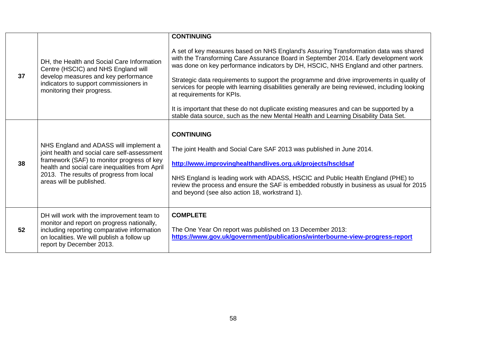| 37 | DH, the Health and Social Care Information<br>Centre (HSCIC) and NHS England will<br>develop measures and key performance<br>indicators to support commissioners in<br>monitoring their progress.                                                              | <b>CONTINUING</b><br>A set of key measures based on NHS England's Assuring Transformation data was shared<br>with the Transforming Care Assurance Board in September 2014. Early development work<br>was done on key performance indicators by DH, HSCIC, NHS England and other partners.<br>Strategic data requirements to support the programme and drive improvements in quality of<br>services for people with learning disabilities generally are being reviewed, including looking<br>at requirements for KPIs.<br>It is important that these do not duplicate existing measures and can be supported by a<br>stable data source, such as the new Mental Health and Learning Disability Data Set. |
|----|----------------------------------------------------------------------------------------------------------------------------------------------------------------------------------------------------------------------------------------------------------------|---------------------------------------------------------------------------------------------------------------------------------------------------------------------------------------------------------------------------------------------------------------------------------------------------------------------------------------------------------------------------------------------------------------------------------------------------------------------------------------------------------------------------------------------------------------------------------------------------------------------------------------------------------------------------------------------------------|
| 38 | NHS England and ADASS will implement a<br>joint health and social care self-assessment<br>framework (SAF) to monitor progress of key<br>health and social care inequalities from April<br>2013. The results of progress from local<br>areas will be published. | <b>CONTINUING</b><br>The joint Health and Social Care SAF 2013 was published in June 2014.<br>http://www.improvinghealthandlives.org.uk/projects/hscldsaf<br>NHS England is leading work with ADASS, HSCIC and Public Health England (PHE) to<br>review the process and ensure the SAF is embedded robustly in business as usual for 2015<br>and beyond (see also action 18, workstrand 1).                                                                                                                                                                                                                                                                                                             |
| 52 | DH will work with the improvement team to<br>monitor and report on progress nationally,<br>including reporting comparative information<br>on localities. We will publish a follow up<br>report by December 2013.                                               | <b>COMPLETE</b><br>The One Year On report was published on 13 December 2013:<br>https://www.gov.uk/government/publications/winterbourne-view-progress-report                                                                                                                                                                                                                                                                                                                                                                                                                                                                                                                                            |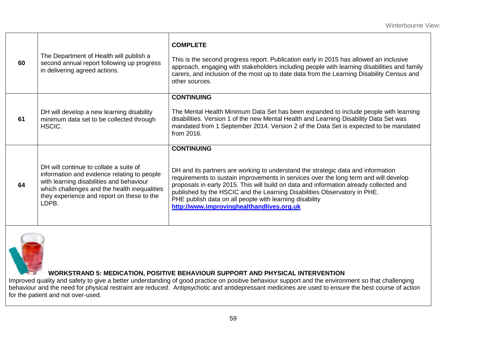| 60 | The Department of Health will publish a<br>second annual report following up progress<br>in delivering agreed actions.                                                                                                                   | <b>COMPLETE</b><br>This is the second progress report. Publication early in 2015 has allowed an inclusive<br>approach, engaging with stakeholders including people with learning disabilities and family<br>carers, and inclusion of the most up to date data from the Learning Disability Census and<br>other sources.                                                                                                                                                     |
|----|------------------------------------------------------------------------------------------------------------------------------------------------------------------------------------------------------------------------------------------|-----------------------------------------------------------------------------------------------------------------------------------------------------------------------------------------------------------------------------------------------------------------------------------------------------------------------------------------------------------------------------------------------------------------------------------------------------------------------------|
| 61 | DH will develop a new learning disability<br>minimum data set to be collected through<br>HSCIC.                                                                                                                                          | <b>CONTINUING</b><br>The Mental Health Minimum Data Set has been expanded to include people with learning<br>disabilities. Version 1 of the new Mental Health and Learning Disability Data Set was<br>mandated from 1 September 2014. Version 2 of the Data Set is expected to be mandated<br>from 2016.                                                                                                                                                                    |
| 64 | DH will continue to collate a suite of<br>information and evidence relating to people<br>with learning disabilities and behaviour<br>which challenges and the health inequalities<br>they experience and report on these to the<br>LDPB. | <b>CONTINUING</b><br>DH and its partners are working to understand the strategic data and information<br>requirements to sustain improvements in services over the long term and will develop<br>proposals in early 2015. This will build on data and information already collected and<br>published by the HSCIC and the Learning Disabilities Observatory in PHE.<br>PHE publish data on all people with learning disability<br>http://www.improvinghealthandlives.org.uk |



#### **WORKSTRAND 5: MEDICATION, POSITIVE BEHAVIOUR SUPPORT AND PHYSICAL INTERVENTION**

Improved quality and safety to give a better understanding of good practice on positive behaviour support and the environment so that challenging behaviour and the need for physical restraint are reduced. Antipsychotic and antidepressant medicines are used to ensure the best course of action for the patient and not over-used.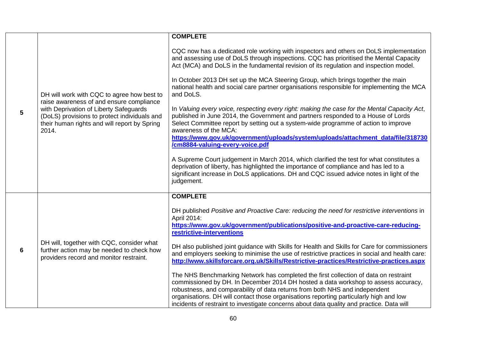|                |                                                                                                                                                                                                                                           | <b>COMPLETE</b>                                                                                                                                                                                                                                                                                                                                                                                                                                                                                                                                                                                                                                                                                                                                                                                                                                                                                                                                                                                                                                                                                                                                                                                       |
|----------------|-------------------------------------------------------------------------------------------------------------------------------------------------------------------------------------------------------------------------------------------|-------------------------------------------------------------------------------------------------------------------------------------------------------------------------------------------------------------------------------------------------------------------------------------------------------------------------------------------------------------------------------------------------------------------------------------------------------------------------------------------------------------------------------------------------------------------------------------------------------------------------------------------------------------------------------------------------------------------------------------------------------------------------------------------------------------------------------------------------------------------------------------------------------------------------------------------------------------------------------------------------------------------------------------------------------------------------------------------------------------------------------------------------------------------------------------------------------|
| $5\phantom{1}$ | DH will work with CQC to agree how best to<br>raise awareness of and ensure compliance<br>with Deprivation of Liberty Safeguards<br>(DoLS) provisions to protect individuals and<br>their human rights and will report by Spring<br>2014. | CQC now has a dedicated role working with inspectors and others on DoLS implementation<br>and assessing use of DoLS through inspections. CQC has prioritised the Mental Capacity<br>Act (MCA) and DoLS in the fundamental revision of its regulation and inspection model.<br>In October 2013 DH set up the MCA Steering Group, which brings together the main<br>national health and social care partner organisations responsible for implementing the MCA<br>and DoLS.<br>In Valuing every voice, respecting every right: making the case for the Mental Capacity Act,<br>published in June 2014, the Government and partners responded to a House of Lords<br>Select Committee report by setting out a system-wide programme of action to improve<br>awareness of the MCA:<br>https://www.gov.uk/government/uploads/system/uploads/attachment_data/file/318730<br>/cm8884-valuing-every-voice.pdf<br>A Supreme Court judgement in March 2014, which clarified the test for what constitutes a<br>deprivation of liberty, has highlighted the importance of compliance and has led to a<br>significant increase in DoLS applications. DH and CQC issued advice notes in light of the<br>judgement. |
| 6              | DH will, together with CQC, consider what<br>further action may be needed to check how<br>providers record and monitor restraint.                                                                                                         | <b>COMPLETE</b><br>DH published Positive and Proactive Care: reducing the need for restrictive interventions in<br>April 2014:<br>https://www.gov.uk/government/publications/positive-and-proactive-care-reducing-<br>restrictive-interventions<br>DH also published joint guidance with Skills for Health and Skills for Care for commissioners<br>and employers seeking to minimise the use of restrictive practices in social and health care:<br>http://www.skillsforcare.org.uk/Skills/Restrictive-practices/Restrictive-practices.aspx<br>The NHS Benchmarking Network has completed the first collection of data on restraint<br>commissioned by DH. In December 2014 DH hosted a data workshop to assess accuracy,<br>robustness, and comparability of data returns from both NHS and independent<br>organisations. DH will contact those organisations reporting particularly high and low<br>incidents of restraint to investigate concerns about data quality and practice. Data will                                                                                                                                                                                                      |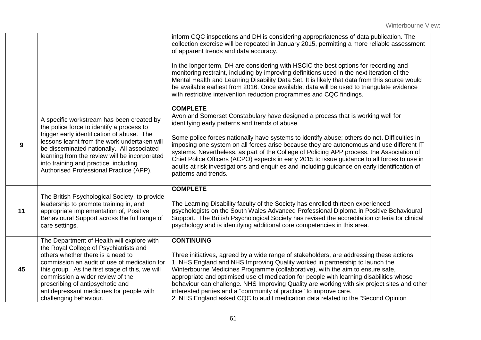|    |                                                                                                                                                                                                                                                                                                                                                                            | inform CQC inspections and DH is considering appropriateness of data publication. The<br>collection exercise will be repeated in January 2015, permitting a more reliable assessment<br>of apparent trends and data accuracy.<br>In the longer term, DH are considering with HSCIC the best options for recording and<br>monitoring restraint, including by improving definitions used in the next iteration of the<br>Mental Health and Learning Disability Data Set. It is likely that data from this source would<br>be available earliest from 2016. Once available, data will be used to triangulate evidence<br>with restrictive intervention reduction programmes and CQC findings. |
|----|----------------------------------------------------------------------------------------------------------------------------------------------------------------------------------------------------------------------------------------------------------------------------------------------------------------------------------------------------------------------------|--------------------------------------------------------------------------------------------------------------------------------------------------------------------------------------------------------------------------------------------------------------------------------------------------------------------------------------------------------------------------------------------------------------------------------------------------------------------------------------------------------------------------------------------------------------------------------------------------------------------------------------------------------------------------------------------|
| 9  | A specific workstream has been created by<br>the police force to identify a process to<br>trigger early identification of abuse. The<br>lessons learnt from the work undertaken will<br>be disseminated nationally. All associated<br>learning from the review will be incorporated<br>into training and practice, including<br>Authorised Professional Practice (APP).    | <b>COMPLETE</b><br>Avon and Somerset Constabulary have designed a process that is working well for<br>identifying early patterns and trends of abuse.<br>Some police forces nationally have systems to identify abuse; others do not. Difficulties in<br>imposing one system on all forces arise because they are autonomous and use different IT<br>systems. Nevertheless, as part of the College of Policing APP process, the Association of<br>Chief Police Officers (ACPO) expects in early 2015 to issue guidance to all forces to use in<br>adults at risk investigations and enquiries and including guidance on early identification of<br>patterns and trends.                    |
| 11 | The British Psychological Society, to provide<br>leadership to promote training in, and<br>appropriate implementation of, Positive<br>Behavioural Support across the full range of<br>care settings.                                                                                                                                                                       | <b>COMPLETE</b><br>The Learning Disability faculty of the Society has enrolled thirteen experienced<br>psychologists on the South Wales Advanced Professional Diploma in Positive Behavioural<br>Support. The British Psychological Society has revised the accreditation criteria for clinical<br>psychology and is identifying additional core competencies in this area.                                                                                                                                                                                                                                                                                                                |
| 45 | The Department of Health will explore with<br>the Royal College of Psychiatrists and<br>others whether there is a need to<br>commission an audit of use of medication for<br>this group. As the first stage of this, we will<br>commission a wider review of the<br>prescribing of antipsychotic and<br>antidepressant medicines for people with<br>challenging behaviour. | <b>CONTINUING</b><br>Three initiatives, agreed by a wide range of stakeholders, are addressing these actions:<br>1. NHS England and NHS Improving Quality worked in partnership to launch the<br>Winterbourne Medicines Programme (collaborative), with the aim to ensure safe,<br>appropriate and optimised use of medication for people with learning disabilities whose<br>behaviour can challenge. NHS Improving Quality are working with six project sites and other<br>interested parties and a "community of practice" to improve care.<br>2. NHS England asked CQC to audit medication data related to the "Second Opinion"                                                        |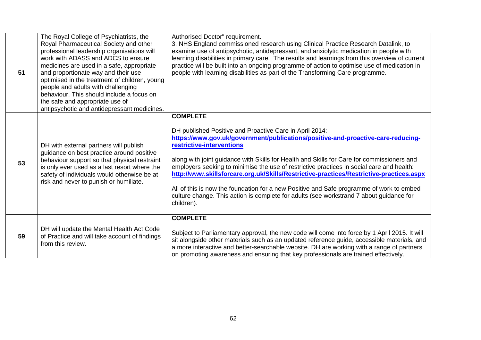| 51 | The Royal College of Psychiatrists, the<br>Royal Pharmaceutical Society and other<br>professional leadership organisations will<br>work with ADASS and ADCS to ensure<br>medicines are used in a safe, appropriate<br>and proportionate way and their use<br>optimised in the treatment of children, young<br>people and adults with challenging<br>behaviour. This should include a focus on<br>the safe and appropriate use of<br>antipsychotic and antidepressant medicines. | Authorised Doctor" requirement.<br>3. NHS England commissioned research using Clinical Practice Research Datalink, to<br>examine use of antipsychotic, antidepressant, and anxiolytic medication in people with<br>learning disabilities in primary care. The results and learnings from this overview of current<br>practice will be built into an ongoing programme of action to optimise use of medication in<br>people with learning disabilities as part of the Transforming Care programme.                                                                                                                                                                                      |
|----|---------------------------------------------------------------------------------------------------------------------------------------------------------------------------------------------------------------------------------------------------------------------------------------------------------------------------------------------------------------------------------------------------------------------------------------------------------------------------------|----------------------------------------------------------------------------------------------------------------------------------------------------------------------------------------------------------------------------------------------------------------------------------------------------------------------------------------------------------------------------------------------------------------------------------------------------------------------------------------------------------------------------------------------------------------------------------------------------------------------------------------------------------------------------------------|
| 53 | DH with external partners will publish<br>guidance on best practice around positive<br>behaviour support so that physical restraint<br>is only ever used as a last resort where the<br>safety of individuals would otherwise be at<br>risk and never to punish or humiliate.                                                                                                                                                                                                    | <b>COMPLETE</b><br>DH published Positive and Proactive Care in April 2014:<br>https://www.gov.uk/government/publications/positive-and-proactive-care-reducing-<br>restrictive-interventions<br>along with joint guidance with Skills for Health and Skills for Care for commissioners and<br>employers seeking to minimise the use of restrictive practices in social care and health:<br>http://www.skillsforcare.org.uk/Skills/Restrictive-practices/Restrictive-practices.aspx<br>All of this is now the foundation for a new Positive and Safe programme of work to embed<br>culture change. This action is complete for adults (see workstrand 7 about guidance for<br>children). |
| 59 | DH will update the Mental Health Act Code<br>of Practice and will take account of findings<br>from this review.                                                                                                                                                                                                                                                                                                                                                                 | <b>COMPLETE</b><br>Subject to Parliamentary approval, the new code will come into force by 1 April 2015. It will<br>sit alongside other materials such as an updated reference guide, accessible materials, and<br>a more interactive and better-searchable website. DH are working with a range of partners<br>on promoting awareness and ensuring that key professionals are trained effectively.                                                                                                                                                                                                                                                                                    |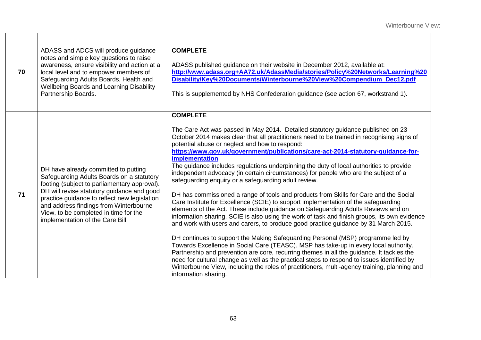| 70 | ADASS and ADCS will produce guidance<br>notes and simple key questions to raise<br>awareness, ensure visibility and action at a<br>local level and to empower members of<br>Safeguarding Adults Boards, Health and<br><b>Wellbeing Boards and Learning Disability</b><br>Partnership Boards.                                                           | <b>COMPLETE</b><br>ADASS published guidance on their website in December 2012, available at:<br>http://www.adass.org+AA72.uk/AdassMedia/stories/Policy%20Networks/Learning%20<br>Disability/Key%20Documents/Winterbourne%20View%20Compendium_Dec12.pdf<br>This is supplemented by NHS Confederation guidance (see action 67, workstrand 1).                                                                                                                                                                                                                                                                                                                                                                                                                                                                                                                                                                                                                                                                                                                                                                                                                                                                                                                                                                                                                                                                                                                                                                                                                         |
|----|--------------------------------------------------------------------------------------------------------------------------------------------------------------------------------------------------------------------------------------------------------------------------------------------------------------------------------------------------------|---------------------------------------------------------------------------------------------------------------------------------------------------------------------------------------------------------------------------------------------------------------------------------------------------------------------------------------------------------------------------------------------------------------------------------------------------------------------------------------------------------------------------------------------------------------------------------------------------------------------------------------------------------------------------------------------------------------------------------------------------------------------------------------------------------------------------------------------------------------------------------------------------------------------------------------------------------------------------------------------------------------------------------------------------------------------------------------------------------------------------------------------------------------------------------------------------------------------------------------------------------------------------------------------------------------------------------------------------------------------------------------------------------------------------------------------------------------------------------------------------------------------------------------------------------------------|
| 71 | DH have already committed to putting<br>Safeguarding Adults Boards on a statutory<br>footing (subject to parliamentary approval).<br>DH will revise statutory guidance and good<br>practice guidance to reflect new legislation<br>and address findings from Winterbourne<br>View, to be completed in time for the<br>implementation of the Care Bill. | <b>COMPLETE</b><br>The Care Act was passed in May 2014. Detailed statutory guidance published on 23<br>October 2014 makes clear that all practitioners need to be trained in recognising signs of<br>potential abuse or neglect and how to respond:<br>https://www.gov.uk/government/publications/care-act-2014-statutory-guidance-for-<br><b>implementation</b><br>The guidance includes regulations underpinning the duty of local authorities to provide<br>independent advocacy (in certain circumstances) for people who are the subject of a<br>safeguarding enquiry or a safeguarding adult review.<br>DH has commissioned a range of tools and products from Skills for Care and the Social<br>Care Institute for Excellence (SCIE) to support implementation of the safeguarding<br>elements of the Act. These include guidance on Safeguarding Adults Reviews and on<br>information sharing. SCIE is also using the work of task and finish groups, its own evidence<br>and work with users and carers, to produce good practice guidance by 31 March 2015.<br>DH continues to support the Making Safeguarding Personal (MSP) programme led by<br>Towards Excellence in Social Care (TEASC). MSP has take-up in every local authority.<br>Partnership and prevention are core, recurring themes in all the guidance. It tackles the<br>need for cultural change as well as the practical steps to respond to issues identified by<br>Winterbourne View, including the roles of practitioners, multi-agency training, planning and<br>information sharing. |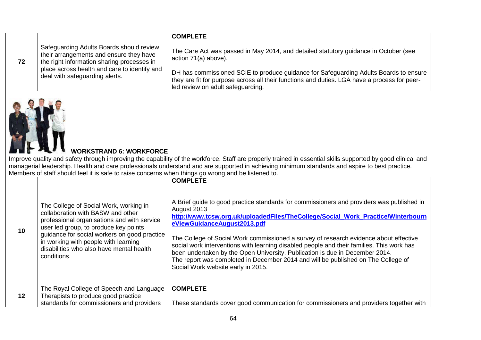|    |                                                                                                                                   | <b>COMPLETE</b>                                                                                                                                                                                                            |
|----|-----------------------------------------------------------------------------------------------------------------------------------|----------------------------------------------------------------------------------------------------------------------------------------------------------------------------------------------------------------------------|
| 72 | Safeguarding Adults Boards should review<br>their arrangements and ensure they have<br>the right information sharing processes in | The Care Act was passed in May 2014, and detailed statutory guidance in October (see<br>action 71(a) above).                                                                                                               |
|    | place across health and care to identify and<br>deal with safeguarding alerts.                                                    | DH has commissioned SCIE to produce guidance for Safeguarding Adults Boards to ensure<br>they are fit for purpose across all their functions and duties. LGA have a process for peer-<br>led review on adult safeguarding. |



## **WORKSTRAND 6: WORKFORCE**

Improve quality and safety through improving the capability of the workforce. Staff are properly trained in essential skills supported by good clinical and managerial leadership. Health and care professionals understand and are supported in achieving minimum standards and aspire to best practice. Members of staff should feel it is safe to raise concerns when things go wrong and be listened to.

|         |                                                                                                                                                                                                                                                                                                                        | <b>COMPLETE</b>                                                                                                                                                                                                                                                                                                                                                                                                                                                                                                                                                                                                              |
|---------|------------------------------------------------------------------------------------------------------------------------------------------------------------------------------------------------------------------------------------------------------------------------------------------------------------------------|------------------------------------------------------------------------------------------------------------------------------------------------------------------------------------------------------------------------------------------------------------------------------------------------------------------------------------------------------------------------------------------------------------------------------------------------------------------------------------------------------------------------------------------------------------------------------------------------------------------------------|
| 10      | The College of Social Work, working in<br>collaboration with BASW and other<br>professional organisations and with service<br>user led group, to produce key points<br>guidance for social workers on good practice<br>in working with people with learning<br>disabilities who also have mental health<br>conditions. | A Brief quide to good practice standards for commissioners and providers was published in<br>August 2013<br>http://www.tcsw.org.uk/uploadedFiles/TheCollege/Social_Work_Practice/Winterbourn<br>eViewGuidanceAugust2013.pdf<br>The College of Social Work commissioned a survey of research evidence about effective<br>social work interventions with learning disabled people and their families. This work has<br>been undertaken by the Open University. Publication is due in December 2014.<br>The report was completed in December 2014 and will be published on The College of<br>Social Work website early in 2015. |
| $12 \,$ | The Royal College of Speech and Language<br>Therapists to produce good practice                                                                                                                                                                                                                                        | <b>COMPLETE</b>                                                                                                                                                                                                                                                                                                                                                                                                                                                                                                                                                                                                              |
|         | standards for commissioners and providers                                                                                                                                                                                                                                                                              | These standards cover good communication for commissioners and providers together with                                                                                                                                                                                                                                                                                                                                                                                                                                                                                                                                       |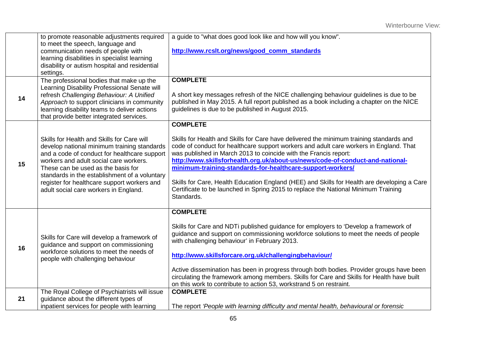|    | to promote reasonable adjustments required<br>to meet the speech, language and                                                                                        | a guide to "what does good look like and how will you know".                                                                                                                          |
|----|-----------------------------------------------------------------------------------------------------------------------------------------------------------------------|---------------------------------------------------------------------------------------------------------------------------------------------------------------------------------------|
|    | communication needs of people with                                                                                                                                    | http://www.rcslt.org/news/good_comm_standards                                                                                                                                         |
|    | learning disabilities in specialist learning                                                                                                                          |                                                                                                                                                                                       |
|    | disability or autism hospital and residential<br>settings.                                                                                                            |                                                                                                                                                                                       |
|    | The professional bodies that make up the                                                                                                                              | <b>COMPLETE</b>                                                                                                                                                                       |
|    | Learning Disability Professional Senate will                                                                                                                          |                                                                                                                                                                                       |
| 14 | refresh Challenging Behaviour: A Unified                                                                                                                              | A short key messages refresh of the NICE challenging behaviour guidelines is due to be                                                                                                |
|    | Approach to support clinicians in community<br>learning disability teams to deliver actions                                                                           | published in May 2015. A full report published as a book including a chapter on the NICE<br>guidelines is due to be published in August 2015.                                         |
|    | that provide better integrated services.                                                                                                                              |                                                                                                                                                                                       |
|    |                                                                                                                                                                       | <b>COMPLETE</b>                                                                                                                                                                       |
|    | Skills for Health and Skills for Care will                                                                                                                            | Skills for Health and Skills for Care have delivered the minimum training standards and                                                                                               |
|    | develop national minimum training standards                                                                                                                           | code of conduct for healthcare support workers and adult care workers in England. That                                                                                                |
|    | and a code of conduct for healthcare support                                                                                                                          | was published in March 2013 to coincide with the Francis report:<br>http://www.skillsforhealth.org.uk/about-us/news/code-of-conduct-and-national-                                     |
| 15 | workers and adult social care workers.<br>These can be used as the basis for<br>standards in the establishment of a voluntary                                         | minimum-training-standards-for-healthcare-support-workers/                                                                                                                            |
|    |                                                                                                                                                                       |                                                                                                                                                                                       |
|    | register for healthcare support workers and<br>adult social care workers in England.                                                                                  | Skills for Care, Health Education England (HEE) and Skills for Health are developing a Care<br>Certificate to be launched in Spring 2015 to replace the National Minimum Training     |
|    |                                                                                                                                                                       | Standards.                                                                                                                                                                            |
|    |                                                                                                                                                                       |                                                                                                                                                                                       |
|    |                                                                                                                                                                       | <b>COMPLETE</b>                                                                                                                                                                       |
|    |                                                                                                                                                                       | Skills for Care and NDTi published guidance for employers to 'Develop a framework of                                                                                                  |
|    | Skills for Care will develop a framework of<br>guidance and support on commissioning<br>workforce solutions to meet the needs of<br>people with challenging behaviour | guidance and support on commissioning workforce solutions to meet the needs of people                                                                                                 |
| 16 |                                                                                                                                                                       | with challenging behaviour' in February 2013.                                                                                                                                         |
|    |                                                                                                                                                                       | http://www.skillsforcare.org.uk/challengingbehaviour/                                                                                                                                 |
|    |                                                                                                                                                                       |                                                                                                                                                                                       |
|    |                                                                                                                                                                       | Active dissemination has been in progress through both bodies. Provider groups have been<br>circulating the framework among members. Skills for Care and Skills for Health have built |
|    |                                                                                                                                                                       | on this work to contribute to action 53, workstrand 5 on restraint.                                                                                                                   |
|    | The Royal College of Psychiatrists will issue                                                                                                                         | <b>COMPLETE</b>                                                                                                                                                                       |
| 21 | guidance about the different types of<br>inpatient services for people with learning                                                                                  | The report 'People with learning difficulty and mental health, behavioural or forensic                                                                                                |
|    |                                                                                                                                                                       |                                                                                                                                                                                       |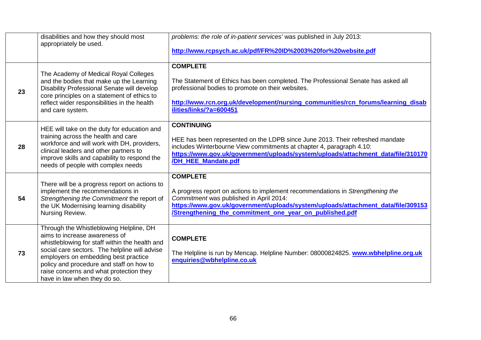|    | disabilities and how they should most<br>appropriately be used.                                                                                                                                                                                                                                                                            | problems: the role of in-patient services' was published in July 2013:<br>http://www.rcpsych.ac.uk/pdf/FR%20ID%2003%20for%20website.pdf                                                                                                                                                     |
|----|--------------------------------------------------------------------------------------------------------------------------------------------------------------------------------------------------------------------------------------------------------------------------------------------------------------------------------------------|---------------------------------------------------------------------------------------------------------------------------------------------------------------------------------------------------------------------------------------------------------------------------------------------|
| 23 | The Academy of Medical Royal Colleges<br>and the bodies that make up the Learning<br>Disability Professional Senate will develop<br>core principles on a statement of ethics to<br>reflect wider responsibilities in the health<br>and care system.                                                                                        | <b>COMPLETE</b><br>The Statement of Ethics has been completed. The Professional Senate has asked all<br>professional bodies to promote on their websites.<br>http://www.rcn.org.uk/development/nursing_communities/rcn_forums/learning_disab<br>ilities/links/?a=600451                     |
| 28 | HEE will take on the duty for education and<br>training across the health and care<br>workforce and will work with DH, providers,<br>clinical leaders and other partners to<br>improve skills and capability to respond the<br>needs of people with complex needs                                                                          | <b>CONTINUING</b><br>HEE has been represented on the LDPB since June 2013. Their refreshed mandate<br>includes Winterbourne View commitments at chapter 4, paragraph 4.10:<br>https://www.gov.uk/government/uploads/system/uploads/attachment_data/file/310170<br>/DH_HEE_Mandate.pdf       |
| 54 | There will be a progress report on actions to<br>implement the recommendations in<br>Strengthening the Commitment the report of<br>the UK Modernising learning disability<br>Nursing Review.                                                                                                                                               | <b>COMPLETE</b><br>A progress report on actions to implement recommendations in Strengthening the<br>Commitment was published in April 2014:<br>https://www.gov.uk/government/uploads/system/uploads/attachment_data/file/309153<br>/Strengthening_the_commitment_one_year_on_published.pdf |
| 73 | Through the Whistleblowing Helpline, DH<br>aims to increase awareness of<br>whistleblowing for staff within the health and<br>social care sectors. The helpline will advise<br>employers on embedding best practice<br>policy and procedure and staff on how to<br>raise concerns and what protection they<br>have in law when they do so. | <b>COMPLETE</b><br>The Helpline is run by Mencap. Helpline Number: 08000824825. www.wbhelpline.org.uk<br>enquiries@wbhelpline.co.uk                                                                                                                                                         |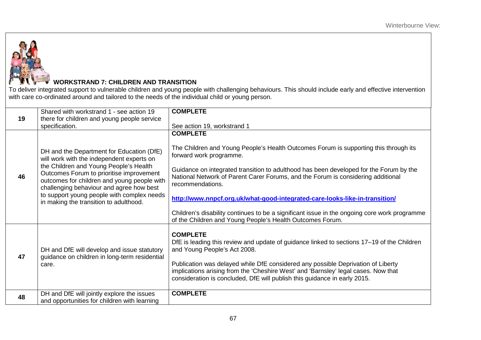

# **WORKSTRAND 7: CHILDREN AND TRANSITION**

To deliver integrated support to vulnerable children and young people with challenging behaviours. This should include early and effective intervention with care co-ordinated around and tailored to the needs of the individual child or young person.

| 19 | Shared with workstrand 1 - see action 19<br>there for children and young people service                                                                                                                                                                                                                                                                         | <b>COMPLETE</b>                                                                                                                                                                                                                                                                                                                                                                                                                                                                                                                                                                  |
|----|-----------------------------------------------------------------------------------------------------------------------------------------------------------------------------------------------------------------------------------------------------------------------------------------------------------------------------------------------------------------|----------------------------------------------------------------------------------------------------------------------------------------------------------------------------------------------------------------------------------------------------------------------------------------------------------------------------------------------------------------------------------------------------------------------------------------------------------------------------------------------------------------------------------------------------------------------------------|
|    | specification.                                                                                                                                                                                                                                                                                                                                                  | See action 19, workstrand 1                                                                                                                                                                                                                                                                                                                                                                                                                                                                                                                                                      |
| 46 | DH and the Department for Education (DfE)<br>will work with the independent experts on<br>the Children and Young People's Health<br>Outcomes Forum to prioritise improvement<br>outcomes for children and young people with<br>challenging behaviour and agree how best<br>to support young people with complex needs<br>in making the transition to adulthood. | <b>COMPLETE</b><br>The Children and Young People's Health Outcomes Forum is supporting this through its<br>forward work programme.<br>Guidance on integrated transition to adulthood has been developed for the Forum by the<br>National Network of Parent Carer Forums, and the Forum is considering additional<br>recommendations.<br>http://www.nnpcf.org.uk/what-good-integrated-care-looks-like-in-transition/<br>Children's disability continues to be a significant issue in the ongoing core work programme<br>of the Children and Young People's Health Outcomes Forum. |
| 47 | DH and DfE will develop and issue statutory<br>guidance on children in long-term residential<br>care.                                                                                                                                                                                                                                                           | <b>COMPLETE</b><br>DfE is leading this review and update of guidance linked to sections 17-19 of the Children<br>and Young People's Act 2008.<br>Publication was delayed while DfE considered any possible Deprivation of Liberty<br>implications arising from the 'Cheshire West' and 'Barnsley' legal cases. Now that<br>consideration is concluded, DfE will publish this guidance in early 2015.                                                                                                                                                                             |
| 48 | DH and DfE will jointly explore the issues<br>and opportunities for children with learning                                                                                                                                                                                                                                                                      | <b>COMPLETE</b>                                                                                                                                                                                                                                                                                                                                                                                                                                                                                                                                                                  |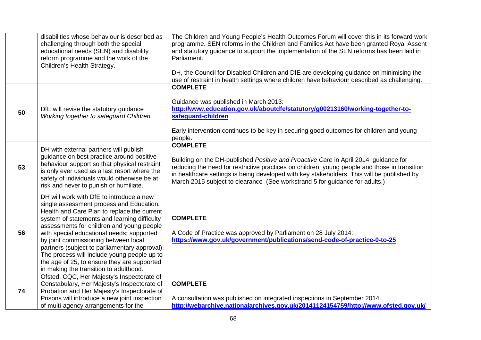|    | disabilities whose behaviour is described as<br>challenging through both the special<br>educational needs (SEN) and disability<br>reform programme and the work of the<br>Children's Health Strategy.                                                                                                                                                                                                                                                                                                          | The Children and Young People's Health Outcomes Forum will cover this in its forward work<br>programme. SEN reforms in the Children and Families Act have been granted Royal Assent<br>and statutory guidance to support the implementation of the SEN reforms has been laid in<br>Parliament.<br>DH, the Council for Disabled Children and DfE are developing guidance on minimising the<br>use of restraint in health settings where children have behaviour described as challenging. |
|----|----------------------------------------------------------------------------------------------------------------------------------------------------------------------------------------------------------------------------------------------------------------------------------------------------------------------------------------------------------------------------------------------------------------------------------------------------------------------------------------------------------------|------------------------------------------------------------------------------------------------------------------------------------------------------------------------------------------------------------------------------------------------------------------------------------------------------------------------------------------------------------------------------------------------------------------------------------------------------------------------------------------|
| 50 | DfE will revise the statutory guidance<br>Working together to safeguard Children.                                                                                                                                                                                                                                                                                                                                                                                                                              | <b>COMPLETE</b><br>Guidance was published in March 2013:<br>http://www.education.gov.uk/aboutdfe/statutory/g00213160/working-together-to-<br>safeguard-children<br>Early intervention continues to be key in securing good outcomes for children and young<br>people.                                                                                                                                                                                                                    |
| 53 | DH with external partners will publish<br>guidance on best practice around positive<br>behaviour support so that physical restraint<br>is only ever used as a last resort where the<br>safety of individuals would otherwise be at<br>risk and never to punish or humiliate.                                                                                                                                                                                                                                   | <b>COMPLETE</b><br>Building on the DH-published Positive and Proactive Care in April 2014, guidance for<br>reducing the need for restrictive practices on children, young people and those in transition<br>in healthcare settings is being developed with key stakeholders. This will be published by<br>March 2015 subject to clearance–(See workstrand 5 for guidance for adults.)                                                                                                    |
| 56 | DH will work with DfE to introduce a new<br>single assessment process and Education,<br>Health and Care Plan to replace the current<br>system of statements and learning difficulty<br>assessments for children and young people<br>with special educational needs; supported<br>by joint commissioning between local<br>partners (subject to parliamentary approval).<br>The process will include young people up to<br>the age of 25, to ensure they are supported<br>in making the transition to adulthood. | <b>COMPLETE</b><br>A Code of Practice was approved by Parliament on 28 July 2014:<br>https://www.gov.uk/government/publications/send-code-of-practice-0-to-25                                                                                                                                                                                                                                                                                                                            |
| 74 | Ofsted, CQC, Her Majesty's Inspectorate of<br>Constabulary, Her Majesty's Inspectorate of<br>Probation and Her Majesty's Inspectorate of<br>Prisons will introduce a new joint inspection<br>of multi-agency arrangements for the                                                                                                                                                                                                                                                                              | <b>COMPLETE</b><br>A consultation was published on integrated inspections in September 2014:<br>http://webarchive.nationalarchives.gov.uk/20141124154759/http://www.ofsted.gov.uk/                                                                                                                                                                                                                                                                                                       |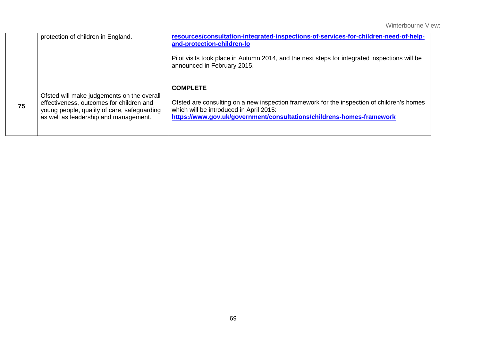|    | protection of children in England.                                                                                                                                             | resources/consultation-integrated-inspections-of-services-for-children-need-of-help-<br>and-protection-children-lo<br>Pilot visits took place in Autumn 2014, and the next steps for integrated inspections will be<br>announced in February 2015. |
|----|--------------------------------------------------------------------------------------------------------------------------------------------------------------------------------|----------------------------------------------------------------------------------------------------------------------------------------------------------------------------------------------------------------------------------------------------|
| 75 | Ofsted will make judgements on the overall<br>effectiveness, outcomes for children and<br>young people, quality of care, safeguarding<br>as well as leadership and management. | <b>COMPLETE</b><br>Ofsted are consulting on a new inspection framework for the inspection of children's homes<br>which will be introduced in April 2015:<br>https://www.gov.uk/government/consultations/childrens-homes-framework                  |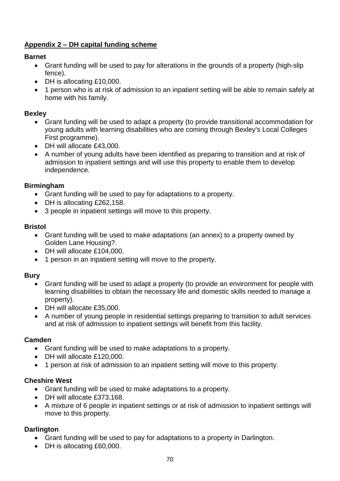## **Appendix 2 – DH capital funding scheme**

## **Barnet**

- Grant funding will be used to pay for alterations in the grounds of a property (high-slip fence).
- DH is allocating £10,000.
- 1 person who is at risk of admission to an inpatient setting will be able to remain safely at home with his family.

#### **Bexley**

- Grant funding will be used to adapt a property (to provide transitional accommodation for young adults with learning disabilities who are coming through Bexley's Local Colleges First programme).
- DH will allocate £43,000.
- A number of young adults have been identified as preparing to transition and at risk of admission to inpatient settings and will use this property to enable them to develop independence.

#### **Birmingham**

- Grant funding will be used to pay for adaptations to a property.
- DH is allocating £262,158.
- 3 people in inpatient settings will move to this property.

#### **Bristol**

- Grant funding will be used to make adaptations (an annex) to a property owned by Golden Lane Housing?.
- DH will allocate £104,000.
- 1 person in an inpatient setting will move to the property.

#### **Bury**

- Grant funding will be used to adapt a property (to provide an environment for people with learning disabilities to obtain the necessary life and domestic skills needed to manage a property).
- DH will allocate £35,000.
- A number of young people in residential settings preparing to transition to adult services and at risk of admission to inpatient settings will benefit from this facility.

#### **Camden**

- Grant funding will be used to make adaptations to a property.
- DH will allocate £120,000.
- 1 person at risk of admission to an inpatient setting will move to this property.

#### **Cheshire West**

- Grant funding will be used to make adaptations to a property.
- DH will allocate £373,168.
- A mixture of 6 people in inpatient settings or at risk of admission to inpatient settings will move to this property.

#### **Darlington**

- Grant funding will be used to pay for adaptations to a property in Darlington.
- DH is allocating £60,000.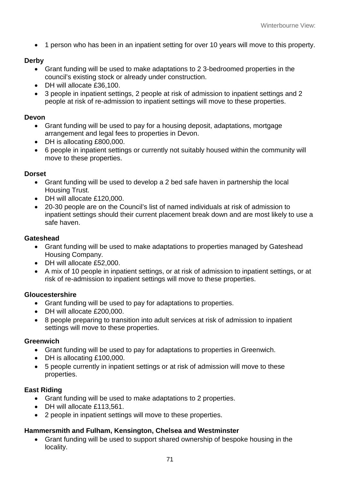• 1 person who has been in an inpatient setting for over 10 years will move to this property.

#### **Derby**

- Grant funding will be used to make adaptations to 2 3-bedroomed properties in the council's existing stock or already under construction.
- DH will allocate £36,100.
- 3 people in inpatient settings, 2 people at risk of admission to inpatient settings and 2 people at risk of re-admission to inpatient settings will move to these properties.

#### **Devon**

- Grant funding will be used to pay for a housing deposit, adaptations, mortgage arrangement and legal fees to properties in Devon.
- DH is allocating £800,000.
- 6 people in inpatient settings or currently not suitably housed within the community will move to these properties.

#### **Dorset**

- Grant funding will be used to develop a 2 bed safe haven in partnership the local Housing Trust.
- DH will allocate £120,000.
- 20-30 people are on the Council's list of named individuals at risk of admission to inpatient settings should their current placement break down and are most likely to use a safe haven.

#### **Gateshead**

- Grant funding will be used to make adaptations to properties managed by Gateshead Housing Company.
- DH will allocate £52,000.
- A mix of 10 people in inpatient settings, or at risk of admission to inpatient settings, or at risk of re-admission to inpatient settings will move to these properties.

#### **Gloucestershire**

- Grant funding will be used to pay for adaptations to properties.
- DH will allocate £200,000.
- 8 people preparing to transition into adult services at risk of admission to inpatient settings will move to these properties.

#### **Greenwich**

- Grant funding will be used to pay for adaptations to properties in Greenwich.
- DH is allocating £100,000.
- 5 people currently in inpatient settings or at risk of admission will move to these properties.

#### **East Riding**

- Grant funding will be used to make adaptations to 2 properties.
- DH will allocate £113,561.
- 2 people in inpatient settings will move to these properties.

#### **Hammersmith and Fulham, Kensington, Chelsea and Westminster**

• Grant funding will be used to support shared ownership of bespoke housing in the locality.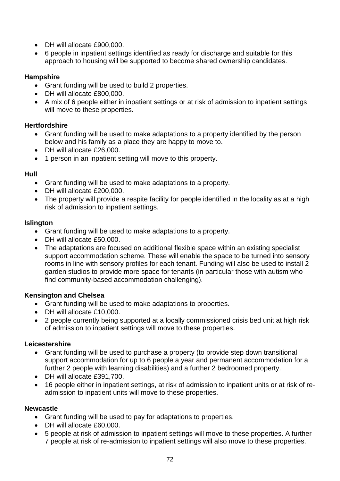- DH will allocate £900,000.
- 6 people in inpatient settings identified as ready for discharge and suitable for this approach to housing will be supported to become shared ownership candidates.

## **Hampshire**

- Grant funding will be used to build 2 properties.
- DH will allocate £800,000.
- A mix of 6 people either in inpatient settings or at risk of admission to inpatient settings will move to these properties.

## **Hertfordshire**

- Grant funding will be used to make adaptations to a property identified by the person below and his family as a place they are happy to move to.
- DH will allocate £26,000.
- 1 person in an inpatient setting will move to this property.

## **Hull**

- Grant funding will be used to make adaptations to a property.
- DH will allocate £200,000.
- The property will provide a respite facility for people identified in the locality as at a high risk of admission to inpatient settings.

## **Islington**

- Grant funding will be used to make adaptations to a property.
- DH will allocate £50,000.
- The adaptations are focused on additional flexible space within an existing specialist support accommodation scheme. These will enable the space to be turned into sensory rooms in line with sensory profiles for each tenant. Funding will also be used to install 2 garden studios to provide more space for tenants (in particular those with autism who find community-based accommodation challenging).

#### **Kensington and Chelsea**

- Grant funding will be used to make adaptations to properties.
- DH will allocate £10,000.
- 2 people currently being supported at a locally commissioned crisis bed unit at high risk of admission to inpatient settings will move to these properties.

#### **Leicestershire**

- Grant funding will be used to purchase a property (to provide step down transitional support accommodation for up to 6 people a year and permanent accommodation for a further 2 people with learning disabilities) and a further 2 bedroomed property.
- DH will allocate £391,700.
- 16 people either in inpatient settings, at risk of admission to inpatient units or at risk of readmission to inpatient units will move to these properties.

#### **Newcastle**

- Grant funding will be used to pay for adaptations to properties.
- DH will allocate £60,000.
- 5 people at risk of admission to inpatient settings will move to these properties. A further 7 people at risk of re-admission to inpatient settings will also move to these properties.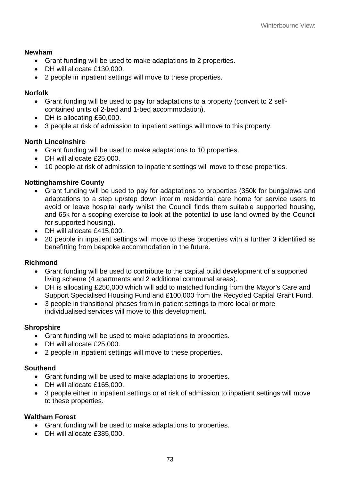## **Newham**

- Grant funding will be used to make adaptations to 2 properties.
- DH will allocate £130,000.
- 2 people in inpatient settings will move to these properties.

### **Norfolk**

- Grant funding will be used to pay for adaptations to a property (convert to 2 selfcontained units of 2-bed and 1-bed accommodation).
- DH is allocating £50,000.
- 3 people at risk of admission to inpatient settings will move to this property.

## **North Lincolnshire**

- Grant funding will be used to make adaptations to 10 properties.
- DH will allocate £25,000.
- 10 people at risk of admission to inpatient settings will move to these properties.

# **Nottinghamshire County**

- Grant funding will be used to pay for adaptations to properties (350k for bungalows and adaptations to a step up/step down interim residential care home for service users to avoid or leave hospital early whilst the Council finds them suitable supported housing, and 65k for a scoping exercise to look at the potential to use land owned by the Council for supported housing).
- DH will allocate £415,000.
- 20 people in inpatient settings will move to these properties with a further 3 identified as benefitting from bespoke accommodation in the future.

## **Richmond**

- Grant funding will be used to contribute to the capital build development of a supported living scheme (4 apartments and 2 additional communal areas).
- DH is allocating £250,000 which will add to matched funding from the Mayor's Care and Support Specialised Housing Fund and £100,000 from the Recycled Capital Grant Fund.
- 3 people in transitional phases from in-patient settings to more local or more individualised services will move to this development.

## **Shropshire**

- Grant funding will be used to make adaptations to properties.
- DH will allocate £25,000.
- 2 people in inpatient settings will move to these properties.

## **Southend**

- Grant funding will be used to make adaptations to properties.
- DH will allocate £165,000.
- 3 people either in inpatient settings or at risk of admission to inpatient settings will move to these properties.

## **Waltham Forest**

- Grant funding will be used to make adaptations to properties.
- DH will allocate £385,000.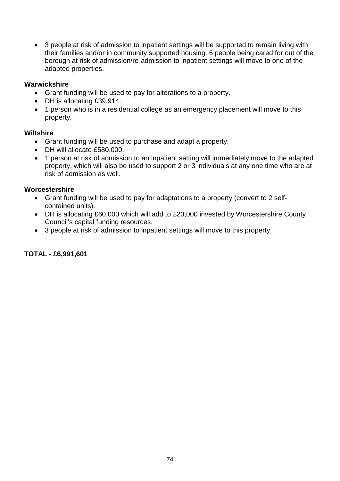• 3 people at risk of admission to inpatient settings will be supported to remain living with their families and/or in community supported housing. 6 people being cared for out of the borough at risk of admission/re-admission to inpatient settings will move to one of the adapted properties.

### **Warwickshire**

- Grant funding will be used to pay for alterations to a property.
- DH is allocating £39,914.
- 1 person who is in a residential college as an emergency placement will move to this property.

#### **Wiltshire**

- Grant funding will be used to purchase and adapt a property.
- DH will allocate £580,000.
- 1 person at risk of admission to an inpatient setting will immediately move to the adapted property, which will also be used to support 2 or 3 individuals at any one time who are at risk of admission as well.

#### **Worcestershire**

- Grant funding will be used to pay for adaptations to a property (convert to 2 selfcontained units).
- DH is allocating £60,000 which will add to £20,000 invested by Worcestershire County Council's capital funding resources.
- 3 people at risk of admission to inpatient settings will move to this property.

# **TOTAL - £6,991,601**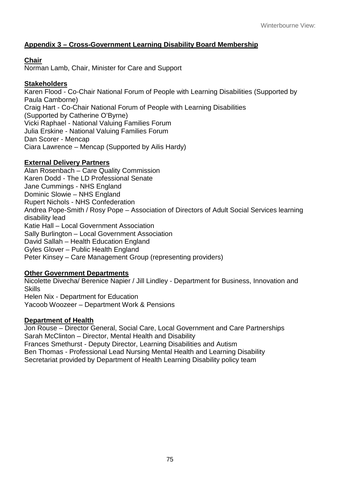# **Appendix 3 – Cross-Government Learning Disability Board Membership**

# **Chair**

Norman Lamb, Chair, Minister for Care and Support

# **Stakeholders**

Karen Flood - Co-Chair National Forum of People with Learning Disabilities (Supported by Paula Camborne) Craig Hart - Co-Chair National Forum of People with Learning Disabilities (Supported by Catherine O'Byrne) Vicki Raphael - National Valuing Families Forum Julia Erskine - National Valuing Families Forum Dan Scorer - Mencap Ciara Lawrence – Mencap (Supported by Ailis Hardy)

# **External Delivery Partners**

Alan Rosenbach – Care Quality Commission Karen Dodd - The LD Professional Senate Jane Cummings - NHS England Dominic Slowie – NHS England Rupert Nichols - NHS Confederation Andrea Pope-Smith / Rosy Pope – Association of Directors of Adult Social Services learning disability lead Katie Hall – Local Government Association Sally Burlington – Local Government Association David Sallah – Health Education England Gyles Glover – Public Health England Peter Kinsey – Care Management Group (representing providers)

# **Other Government Departments**

Nicolette Divecha/ Berenice Napier / Jill Lindley - Department for Business, Innovation and **Skills** Helen Nix - Department for Education Yacoob Woozeer – Department Work & Pensions

## **Department of Health**

Jon Rouse – Director General, Social Care, Local Government and Care Partnerships Sarah McClinton – Director, Mental Health and Disability Frances Smethurst - Deputy Director, Learning Disabilities and Autism Ben Thomas - Professional Lead Nursing Mental Health and Learning Disability Secretariat provided by Department of Health Learning Disability policy team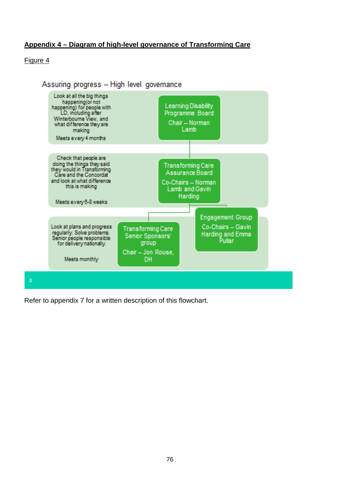# **Appendix 4 – Diagram of high-level governance of Transforming Care**

### Figure 4



Refer to appendix 7 for a written description of this flowchart.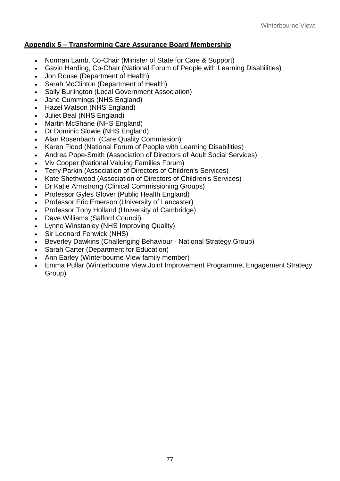# **Appendix 5 – Transforming Care Assurance Board Membership**

- Norman Lamb, Co-Chair (Minister of State for Care & Support)
- Gavin Harding, Co-Chair (National Forum of People with Learning Disabilities)
- Jon Rouse (Department of Health)
- Sarah McClinton (Department of Health)
- Sally Burlington (Local Government Association)
- Jane Cummings (NHS England)
- Hazel Watson (NHS England)
- Juliet Beal (NHS England)
- Martin McShane (NHS England)
- Dr Dominic Slowie (NHS England)
- Alan Rosenbach (Care Quality Commission)
- Karen Flood (National Forum of People with Learning Disabilities)
- Andrea Pope-Smith (Association of Directors of Adult Social Services)
- Viv Cooper (National Valuing Families Forum)
- Terry Parkin (Association of Directors of Children's Services)
- Kate Shethwood (Association of Directors of Children's Services)
- Dr Katie Armstrong (Clinical Commissioning Groups)
- Professor Gyles Glover (Public Health England)
- Professor Eric Emerson (University of Lancaster)
- Professor Tony Holland (University of Cambridge)
- Dave Williams (Salford Council)
- Lynne Winstanley (NHS Improving Quality)
- Sir Leonard Fenwick (NHS)
- Beverley Dawkins (Challenging Behaviour National Strategy Group)
- Sarah Carter (Department for Education)
- Ann Earley (Winterbourne View family member)
- Emma Pullar (Winterbourne View Joint Improvement Programme, Engagement Strategy Group)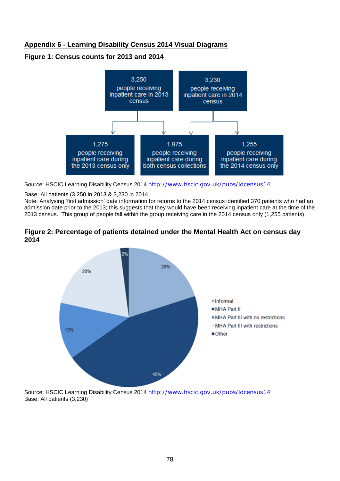# **Appendix 6 - Learning Disability Census 2014 Visual Diagrams**

#### **Figure 1: Census counts for 2013 and 2014**



Source: HSCIC Learning Disability Census 2014 <http://www.hscic.gov.uk/pubs/ldcensus14>

#### Base: All patients (3,250 in 2013 & 3,230 in 2014

Note: Analysing 'first admission' date information for returns to the 2014 census identified 370 patients who had an admission date prior to the 2013; this suggests that they would have been receiving inpatient care at the time of the 2013 census. This group of people fall within the group receiving care in the 2014 census only (1,255 patients)

#### **Figure 2: Percentage of patients detained under the Mental Health Act on census day 2014**



Source: HSCIC Learning Disability Census 2014 <http://www.hscic.gov.uk/pubs/ldcensus14> Base: All patients (3,230)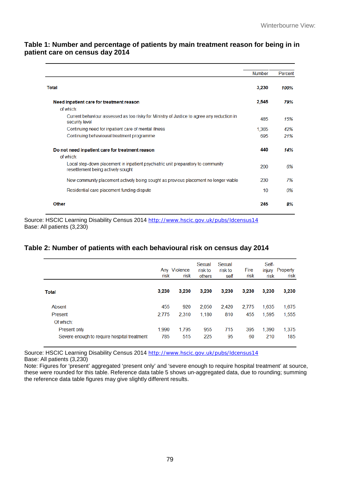#### **Table 1: Number and percentage of patients by main treatment reason for being in in patient care on census day 2014**

|                                                                                                                        | <b>Number</b> | Percent |
|------------------------------------------------------------------------------------------------------------------------|---------------|---------|
| Total                                                                                                                  | 3,230         | 100%    |
| Need inpatient care for treatment reason                                                                               | 2,545         | 79%     |
| of which:                                                                                                              |               |         |
| Current behaviour assessed as too risky for Ministry of Justice to agree any reduction in<br>security level            | 485           | 15%     |
| Continuing need for inpatient care of mental illness                                                                   | 1.365         | 42%     |
| Continuing behavioural treatment programme                                                                             | 695           | 21%     |
| Do not need inpatient care for treatment reason                                                                        | 440           | 14%     |
| of which:                                                                                                              |               |         |
| Local step-down placement in inpatient psychiatric unit preparatory to community<br>resettlement being actively sought | 200           | 6%      |
| New community placement actively being sought as previous placement no longer viable                                   | 230           | 7%      |
| Residential care placement funding dispute                                                                             | 10            | 0%      |
| Other                                                                                                                  | 245           | 8%      |

Source: HSCIC Learning Disability Census 2014 http://www.hscic.gov.uk/pubs/Idcensus14 Base: All patients (3,230)

## **Table 2: Number of patients with each behavioural risk on census day 2014**

|                                             | risk  | Any Violence<br>risk | Sexual<br>risk to<br>others | Sexual<br>risk to<br>self | Fire<br>risk | Self-<br>injury<br>risk | Property<br>risk |
|---------------------------------------------|-------|----------------------|-----------------------------|---------------------------|--------------|-------------------------|------------------|
| <b>Total</b>                                | 3,230 | 3,230                | 3,230                       | 3.230                     | 3.230        | 3.230                   | 3,230            |
| Absent                                      | 455   | 920                  | 2,050                       | 2,420                     | 2,775        | 1,635                   | 1,675            |
| Present                                     | 2,775 | 2.310                | 1.180                       | 810                       | 455          | 1.595                   | 1,555            |
| Of which:                                   |       |                      |                             |                           |              |                         |                  |
| <b>Present only</b>                         | 1,990 | 1,795                | 955                         | 715                       | 395          | 1.390                   | 1,375            |
| Severe enough to require hospital treatment | 785   | 515                  | 225                         | 95                        | 60           | 210                     | 185              |

Source: HSCIC Learning Disability Census 2014 <http://www.hscic.gov.uk/pubs/ldcensus14> Base: All patients (3,230)

Note: Figures for 'present' aggregated 'present only' and 'severe enough to require hospital treatment' at source, these were rounded for this table. Reference data table 5 shows un-aggregated data, due to rounding; summing the reference data table figures may give slightly different results.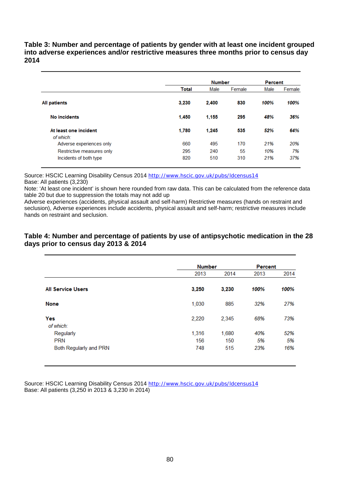**Table 3: Number and percentage of patients by gender with at least one incident grouped into adverse experiences and/or restrictive measures three months prior to census day 2014** 

|                           |       | <b>Number</b> | <b>Percent</b> |      |        |
|---------------------------|-------|---------------|----------------|------|--------|
|                           | Total | Male          | Female         | Male | Female |
| <b>All patients</b>       | 3.230 | 2.400         | 830            | 100% | 100%   |
| <b>No incidents</b>       | 1.450 | 1,155         | 295            | 48%  | 36%    |
| At least one incident     | 1,780 | 1,245         | 535            | 52%  | 64%    |
| of which:                 |       |               |                |      |        |
| Adverse experiences only  | 660   | 495           | 170            | 21%  | 20%    |
| Restrictive measures only | 295   | 240           | 55             | 10%  | 7%     |
| Incidents of both type    | 820   | 510           | 310            | 21%  | 37%    |

Source: HSCIC Learning Disability Census 2014 <http://www.hscic.gov.uk/pubs/ldcensus14> Base: All patients (3,230)

Note: 'At least one incident' is shown here rounded from raw data. This can be calculated from the reference data table 20 but due to suppression the totals may not add up

Adverse experiences (accidents, physical assault and self-harm) Restrictive measures (hands on restraint and seclusion), Adverse experiences include accidents, physical assault and self-harm; restrictive measures include hands on restraint and seclusion.

#### **Table 4: Number and percentage of patients by use of antipsychotic medication in the 28 days prior to census day 2013 & 2014**

|                          | <b>Number</b> |       | Percent |      |
|--------------------------|---------------|-------|---------|------|
|                          | 2013          | 2014  | 2013    | 2014 |
| <b>All Service Users</b> | 3,250         | 3,230 | 100%    | 100% |
| <b>None</b>              | 1,030         | 885   | 32%     | 27%  |
| Yes<br>of which:         | 2,220         | 2,345 | 68%     | 73%  |
| Regularly                | 1,316         | 1,680 | 40%     | 52%  |
| <b>PRN</b>               | 156           | 150   | 5%      | 5%   |
| Both Regularly and PRN   | 748           | 515   | 23%     | 16%  |

Source: HSCIC Learning Disability Census 2014 <http://www.hscic.gov.uk/pubs/ldcensus14> Base: All patients (3,250 in 2013 & 3,230 in 2014)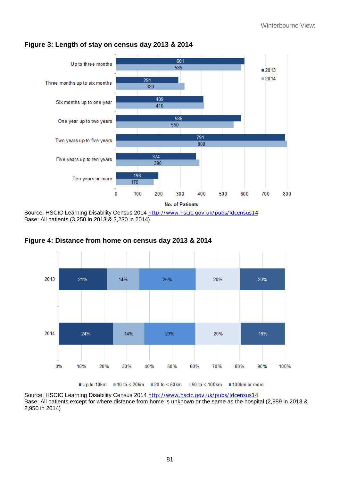

## **Figure 3: Length of stay on census day 2013 & 2014**

Source: HSCIC Learning Disability Census 2014 <http://www.hscic.gov.uk/pubs/ldcensus14> Base: All patients (3,250 in 2013 & 3,230 in 2014)





Source: HSCIC Learning Disability Census 2014 http://www.hscic.gov.uk/pubs/Idcensus14 Base: All patients except for where distance from home is unknown or the same as the hospital (2,889 in 2013 & 2,950 in 2014)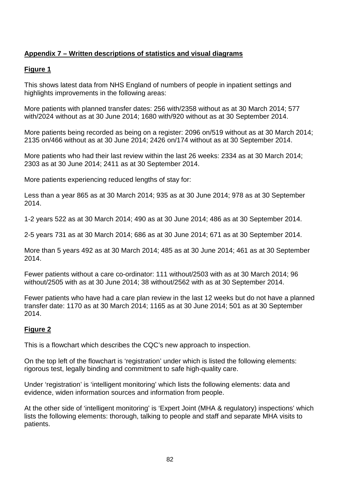# **Appendix 7 – Written descriptions of statistics and visual diagrams**

### **Figure 1**

This shows latest data from NHS England of numbers of people in inpatient settings and highlights improvements in the following areas:

More patients with planned transfer dates: 256 with/2358 without as at 30 March 2014; 577 with/2024 without as at 30 June 2014; 1680 with/920 without as at 30 September 2014.

More patients being recorded as being on a register: 2096 on/519 without as at 30 March 2014; 2135 on/466 without as at 30 June 2014; 2426 on/174 without as at 30 September 2014.

More patients who had their last review within the last 26 weeks: 2334 as at 30 March 2014; 2303 as at 30 June 2014; 2411 as at 30 September 2014.

More patients experiencing reduced lengths of stay for:

Less than a year 865 as at 30 March 2014; 935 as at 30 June 2014; 978 as at 30 September 2014.

1-2 years 522 as at 30 March 2014; 490 as at 30 June 2014; 486 as at 30 September 2014.

2-5 years 731 as at 30 March 2014; 686 as at 30 June 2014; 671 as at 30 September 2014.

More than 5 years 492 as at 30 March 2014; 485 as at 30 June 2014; 461 as at 30 September 2014.

Fewer patients without a care co-ordinator: 111 without/2503 with as at 30 March 2014; 96 without/2505 with as at 30 June 2014; 38 without/2562 with as at 30 September 2014.

Fewer patients who have had a care plan review in the last 12 weeks but do not have a planned transfer date: 1170 as at 30 March 2014; 1165 as at 30 June 2014; 501 as at 30 September 2014.

## **Figure 2**

This is a flowchart which describes the CQC's new approach to inspection.

On the top left of the flowchart is 'registration' under which is listed the following elements: rigorous test, legally binding and commitment to safe high-quality care.

Under 'registration' is 'intelligent monitoring' which lists the following elements: data and evidence, widen information sources and information from people.

At the other side of 'intelligent monitoring' is 'Expert Joint (MHA & regulatory) inspections' which lists the following elements: thorough, talking to people and staff and separate MHA visits to patients.